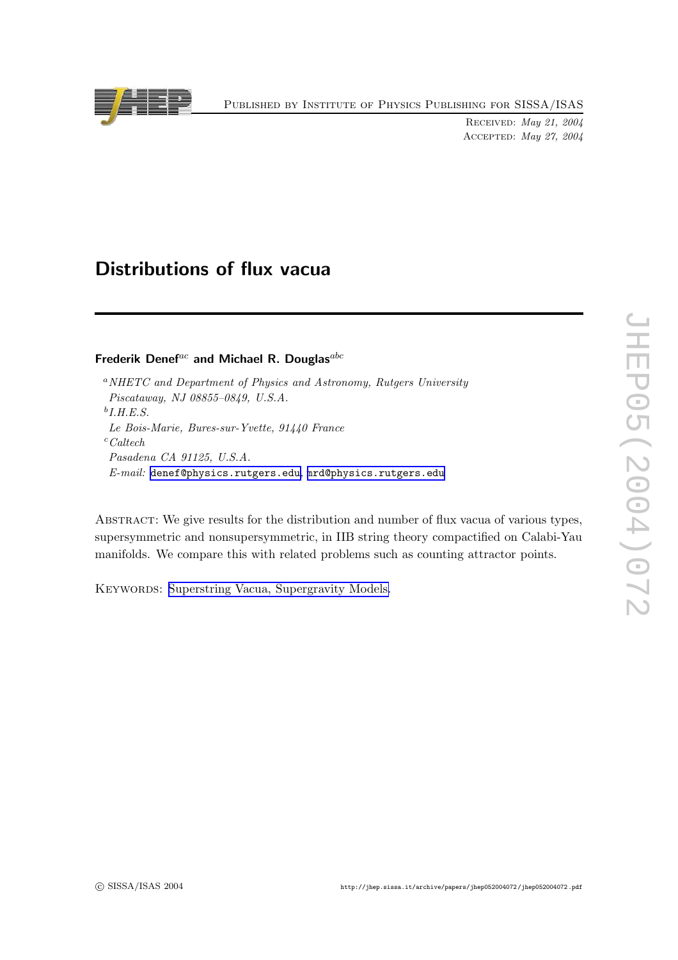



Received: May 21, 2004 Accepted: May 27, 2004

# Distributions of flux vacua

## Frederik Denefac and Michael R. Douglas<sup>abc</sup>

<sup>a</sup>NHETC and Department of Physics and Astronomy, Rutgers University Piscataway, NJ 08855–0849, U.S.A.  $b$ *I.H.E.S.* Le Bois-Marie, Bures-sur-Yvette, 91440 Franc e  $c$ Caltech Pasadena CA 91125, U.S.A.  $\emph{E-mail:}$  [denef@physics.rutgers.ed](mailto:denef@physics.rutgers.edu)u, [mrd@physics.rutgers.edu](mailto:mrd@physics.rutgers.edu)

ABSTRACT: We give results for the distribution and number of flux vacua of various types, supersymmetric and nonsupersymmetric, in IIB string theory compactified on Calabi-Yau manifolds. We compare this with related problems suc h as counting attractor points.

KEYWORDS: Superstring Vacua, [Supergravit](http://jhep.sissa.it/stdsearch?keywords=Superstring_Vacua+Supergravity_Models)y Models.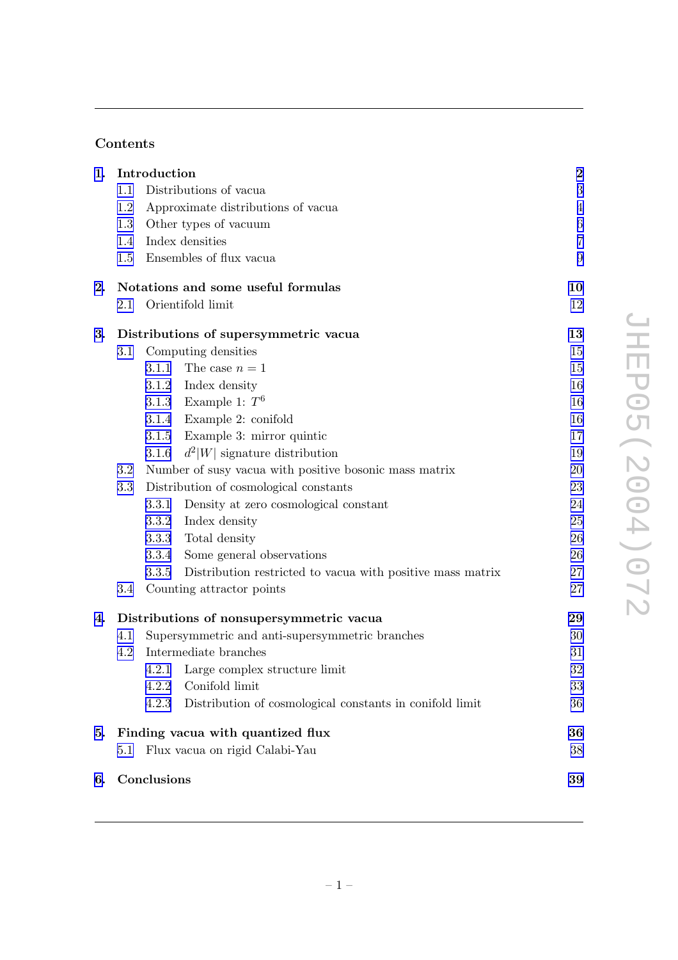## Contents

| 1. | Introduction                             |                                                 |                                                            | $\bf{2}$         |
|----|------------------------------------------|-------------------------------------------------|------------------------------------------------------------|------------------|
|    | 1.1                                      | Distributions of vacua                          |                                                            |                  |
|    | 1.2                                      |                                                 | Approximate distributions of vacua                         | $\overline{4}$   |
|    | 1.3                                      |                                                 | Other types of vacuum                                      | $\boldsymbol{6}$ |
|    | 1.4                                      | Index densities                                 |                                                            | $\overline{7}$   |
|    |                                          | 1.5 Ensembles of flux vacua                     |                                                            | 9                |
| 2. | Notations and some useful formulas       |                                                 |                                                            | 10<br>12         |
|    | 2.1                                      | Orientifold limit                               |                                                            |                  |
| 3. | Distributions of supersymmetric vacua    |                                                 |                                                            | 13               |
|    | Computing densities<br>3.1               |                                                 |                                                            | 15               |
|    |                                          |                                                 | 3.1.1 The case $n=1$                                       | 15               |
|    |                                          |                                                 | 3.1.2 Index density                                        | 16               |
|    |                                          |                                                 | 3.1.3 Example 1: $T^6$                                     | 16               |
|    |                                          |                                                 | 3.1.4 Example 2: conifold                                  | 16               |
|    |                                          | 3.1.5                                           | Example 3: mirror quintic                                  | 17               |
|    |                                          | 3.1.6                                           | $d^2 W $ signature distribution                            | 19               |
|    | 3.2                                      |                                                 | Number of susy vacua with positive bosonic mass matrix     | 20               |
|    | 3.3                                      | Distribution of cosmological constants          |                                                            | 23               |
|    |                                          | 3.3.1                                           | Density at zero cosmological constant                      | 24               |
|    |                                          |                                                 | 3.3.2 Index density                                        | 25               |
|    |                                          | 3.3.3                                           | Total density                                              | 26               |
|    |                                          | 3.3.4                                           | Some general observations                                  | 26               |
|    |                                          | 3.3.5                                           | Distribution restricted to vacua with positive mass matrix | 27               |
|    | 3.4                                      | Counting attractor points                       |                                                            | 27               |
| 4. | Distributions of nonsupersymmetric vacua |                                                 |                                                            | 29               |
|    | 4.1                                      | Supersymmetric and anti-supersymmetric branches |                                                            | 30               |
|    | 4.2                                      | Intermediate branches                           |                                                            | 31               |
|    |                                          |                                                 | 4.2.1 Large complex structure limit                        | 32               |
|    |                                          | 4.2.2                                           | Conifold limit                                             | 33               |
|    |                                          | 4.2.3                                           | Distribution of cosmological constants in conifold limit   | 36               |
| 5. | Finding vacua with quantized flux        |                                                 |                                                            | 36               |
|    | Flux vacua on rigid Calabi-Yau<br>5.1    |                                                 |                                                            | 38               |
| 6. | Conclusions                              |                                                 |                                                            | 39               |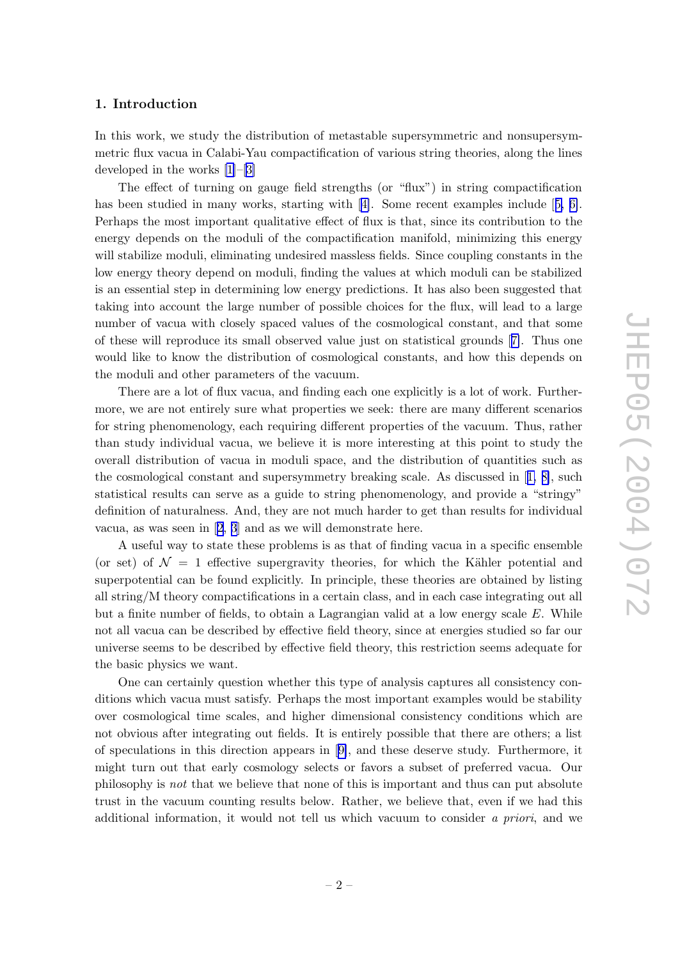#### <span id="page-2-0"></span>1. Introduction

In this work, w e study the distribution of metastable supersymmetric and nonsupersymmetric flux vacua in Calabi-Yau compactification of various string theories, along the lines developed in the works [\[1\]](#page-43-0)–[\[3](#page-43-0) ]

The effect of turning on gauge field strengths (or "flux") in string compactification has been studied in many works, starting with [[4\]](#page-43-0). Some recent examples include [[5](#page-43-0), [6\]](#page-44-0). Perhaps the most important qualitative effect of flux is that, since its contribution to the energy depends on the moduli of the compactification manifold, minimizing this energy will stabilize moduli, eliminating undesired massless fields. Since coupling constants in the lo w energy theory depend on moduli, finding the values at whic h moduli can b e stabilized is an essential step in determining lo w energy predictions. It has also been suggested that taking into accoun t the large num ber of possible choices for the flux, will lead to a large num ber of vacua with closely spaced values of the cosmological constant, and that some of these will reproduce its small observed value just on statistical grounds [[7\]](#page-44-0). Thus one would lik e to kno w the distribution of cosmological constants, and ho w this depends on the moduli and other parameters of the vacuum.

There are a lot of flux vacua, and finding eac h one explicitly is a lot of work. Furthermore, we are not entirely sure what properties we seek: there are many different scenarios for string phenomenology , eac h requiring differen t properties of the vacuum. Thus, rather than study individual vacua, we believe it is more interesting at this point to study the o verall distribution of vacua in moduli space, and the distribution of quantities suc h as the cosmological constant and supersymmetry breaking scale. As discussed in [[1](#page-43-0), [8\]](#page-44-0), such statistical results can serv e as a guide to string phenomenology , and provide a "stringy" definition of naturalness. And, they are not muc h harder to get than results for individual vacua, as was seen in [[2](#page-43-0) , [3](#page-43-0) ] and as w e will demonstrate here.

A useful w ay to state these problems is as that of finding vacua in a specific ensemble (or set) of  $\mathcal{N} = 1$  effective supergravity theories, for which the Kähler potential and superpotential can be found explicitly. In principle, these theories are obtained by listing all string/M theory compactifications in a certain class, and in eac h case integrating out all but a finite num ber of fields, to obtain a Lagrangian valid at a lo w energy scale E . While not all vacua can b e described b y effectiv e field theory , since at energies studied so far our universe seems to b e described b y effectiv e field theory , this restriction seems adequate for the basic physics w e want.

One can certainly question whether this typ e of analysis captures all consistency conditions which vacua must satisfy. Perhaps the most important examples would be stability over cosmological time scales, and higher dimensional consistency conditions which are not obvious after integrating out fields. It is entirely possible that there are others; a list of speculations in this direction appears in [[9\]](#page-44-0), and these deserv e study . Furthermore, it migh t turn out that early cosmology selects or favors a subset of preferred vacua. Our philosophy is *not* that we believe that none of this is important and thus can put absolute trust in the vacuum counting results below. Rather, w e believ e that, even if w e had this additional information, it would not tell us which vacuum to consider a priori, and we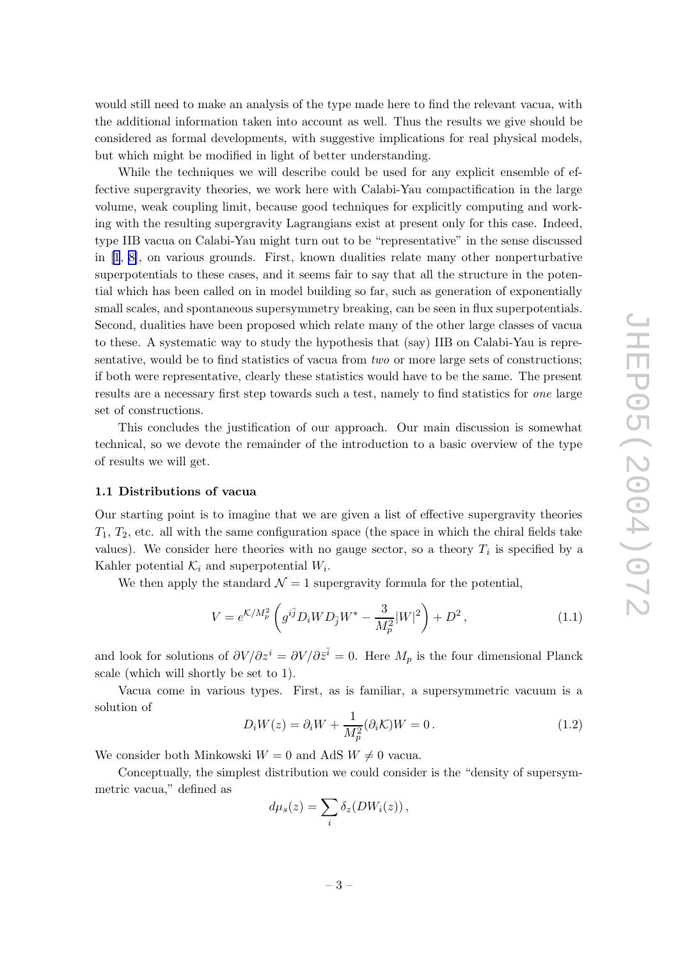<span id="page-3-0"></span>would still need to mak e an analysis of the typ e made here to find the relevan t vacua, with the additional information taken into account as well. Thus the results we give should be considered as formal developments, with suggestiv e implications for real physical models, but whic h migh t b e modified in ligh t of better understanding.

While the techniques we will describe could be used for any explicit ensemble of effective supergravity theories, we work here with Calabi-Yau compactification in the large volume, weak coupling limit, because good techniques for explicitly computing and working with the resulting supergravity Lagrangians exist at present only for this case. Indeed, type IIB vacua on Calabi-Yau might turn out to be "representative" in the sense discussed in [\[1](#page-43-0) , [8\]](#page-44-0), on various grounds. First, known dualities relate man y other nonperturbativ e superpotentials to these cases, and it seems fair to say that all the structure in the potential which has been called on in model building so far, such as generation of exponentially small scales, and spontaneous supersymmetry breaking, can b e seen in flux superpotentials. Second, dualities hav e been proposed whic h relate man y of the other large classes of vacua to these. A systematic w ay to study the hypothesis that (say) IIB on Calabi-Yau is representative, would be to find statistics of vacua from two or more large sets of constructions; if both were representative, clearly these statistics would hav e to b e the same. The presen t results are a necessary first step to wards suc h a test, namely to find statistics for one large set of constructions.

This concludes the justification of our approach. Our main discussion is somewhat technical, so we devote the remainder of the introduction to a basic overview of the type of results w e will get.

#### 1.1 Distributions of vacua

Our starting point is to imagine that we are given a list of effective supergravity theories  $T_1, T_2$ , etc. all with the same configuration space (the space in which the chiral fields take values). We consider here theories with no gauge sector, so a theory  $T_i$  is specified by a Kahler potential  $\mathcal{K}_i$  and superpotential  $W_i$ .

We then apply the standard  $\mathcal{N}=1$  supergravity formula for the potential,

$$
V = e^{\mathcal{K}/M_p^2} \left( g^{i\bar{j}} D_i W D_{\bar{j}} W^* - \frac{3}{M_p^2} |W|^2 \right) + D^2 , \qquad (1.1)
$$

and look for solutions of  $\partial V/\partial z^i = \partial V/\partial \bar{z}^{\bar{i}} = 0$ . Here  $M_p$  is the four dimensional Planck scale (whic h will shortly b e set to 1).

Vacua come in various types. First, as is familiar, a supersymmetric vacuum is a solution of

$$
D_i W(z) = \partial_i W + \frac{1}{M_p^2} (\partial_i \mathcal{K}) W = 0.
$$
\n(1.2)

We consider both Minkowski  $W = 0$  and AdS  $W \neq 0$  vacua.

Conceptually, the simplest distribution we could consider is the "density of supersymmetric vacua," defined as

$$
d\mu_s(z) = \sum_i \delta_z(DW_i(z)),
$$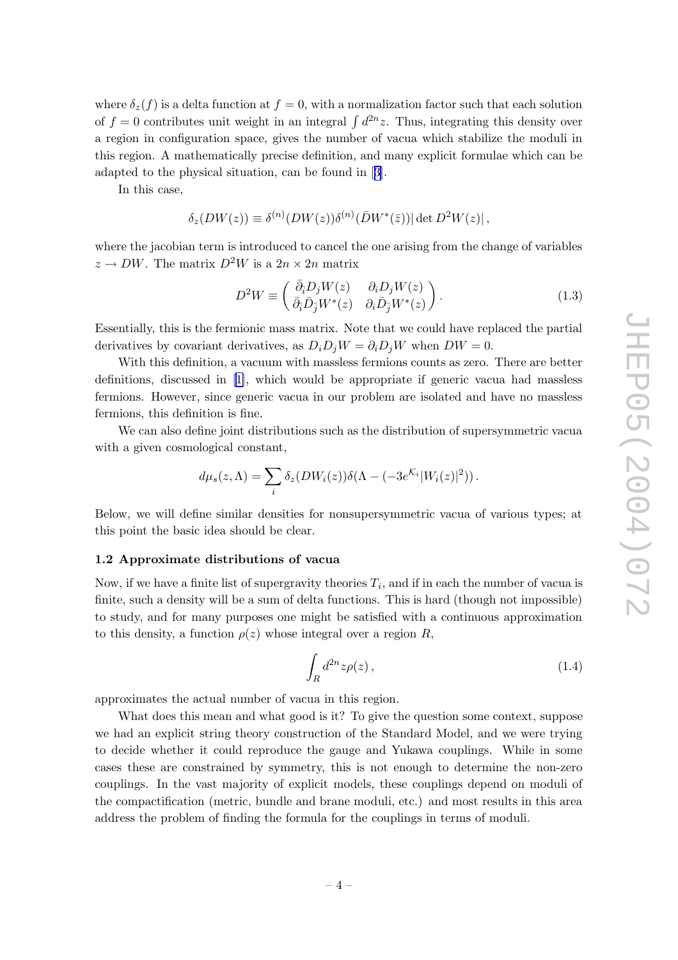<span id="page-4-0"></span>where  $\delta_z(f)$  is a delta function at  $f = 0$ , with a normalization factor such that each solution of  $f = 0$  contributes unit weight in an integral  $\int d^{2n}z$ . Thus, integrating this density over a region in configuration space, gives the num ber of vacua whic h stabilize the moduli in this region. A mathematically precise definition, and man y explicit formulae whic h can b e adapted to the physical situation, can b e found in [[3\]](#page-43-0).

In this case,

$$
\delta_z(DW(z)) \equiv \delta^{(n)}(DW(z))\delta^{(n)}(\bar{D}W^*(\bar{z}))|\det D^2W(z)|,
$$

where the jacobian term is introduced to cancel the one arising from the change of variables  $z \to DW$ . The matrix  $D^2W$  is a  $2n \times 2n$  matrix

$$
D^2W \equiv \begin{pmatrix} \bar{\partial}_{\bar{i}}D_j W(z) & \partial_i D_j W(z) \\ \bar{\partial}_{\bar{i}} \bar{D}_{\bar{j}} W^*(z) & \partial_i \bar{D}_{\bar{j}} W^*(z) \end{pmatrix}.
$$
 (1.3)

Essentially , this is the fermionic mass matrix. Note that w e could hav e replaced the partial derivatives by covariant derivatives, as  $D_i D_j W = \partial_i D_j W$  when  $DW = 0$ .

With this definition, a vacuum with massless fermions counts as zero. There are better definitions, discussed in [\[1\]](#page-43-0), whic h would b e appropriate if generic vacua had massless fermions. Ho wever, since generic vacua in our problem are isolated and hav e no massless fermions, this definition is fine.

We can also define joint distributions suc h as the distribution of supersymmetric vacua with a given cosmological constant,

$$
d\mu_s(z,\Lambda)=\sum_i \delta_z(DW_i(z))\delta(\Lambda-(-3e^{{\cal K}_i}|W_i(z)|^2))\,.
$$

Below, w e will define similar densities for nonsupersymmetric vacua of various types; at this poin t the basic idea should b e clear.

#### 1.2 Approximate distributions of vacua

Now, if we have a finite list of supergravity theories  $T_i$ , and if in each the number of vacua is finite, such a density will be a sum of delta functions. This is hard (though not impossible) to study , and for man y purposes one migh t b e satisfied with a continuous approximation to this density, a function  $\rho(z)$  whose integral over a region R,

$$
\int_{R} d^{2n}z \rho(z) ,\qquad (1.4)
$$

approximates the actual num ber of vacua in this region.

What does this mean and what good is it? To give the question some context, suppose we had an explicit string theory construction of the Standard Model, and we were trying to decide whether it could reproduce the gauge and Yuk aw a couplings. While in some cases these are constrained b y symmetry , this is not enough to determine the non-zero couplings. In the vast majorit y of explicit models, these couplings depend on moduli of the compactification (metric, bundle and brane moduli, etc.) and most results in this area address the problem of finding the formula for the couplings in terms of moduli.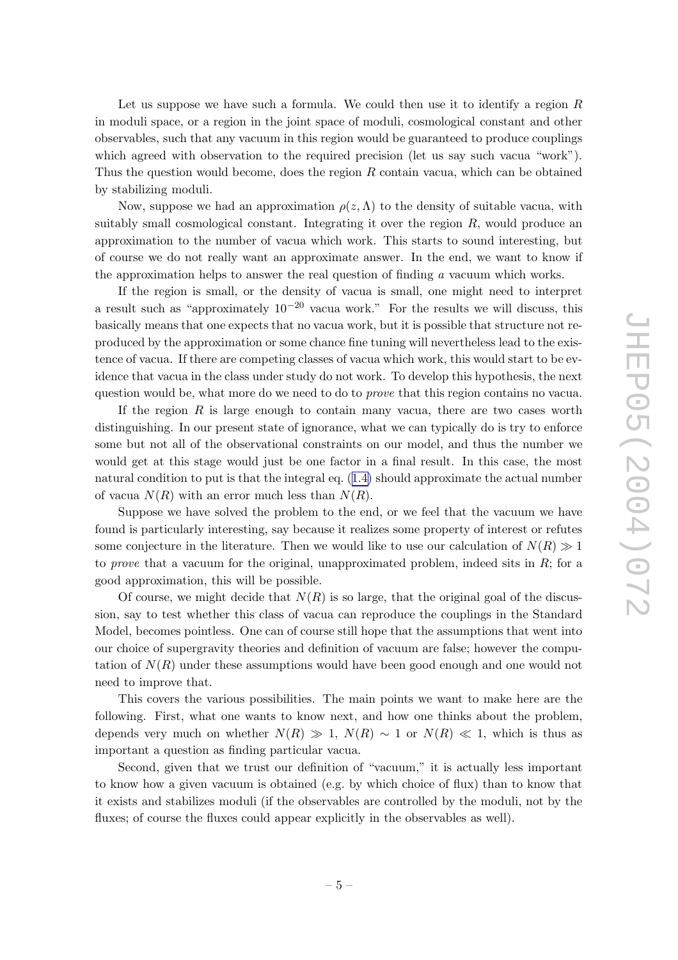Let us suppose we have such a formula. We could then use it to identify a region  $R$ in moduli space, or a region in the join t space of moduli, cosmological constan t and other observables, suc h that an y vacuum in this region would b e guaranteed to produce couplings whic h agreed with observation to the required precision (let us say suc h vacua "work"). Thus the question would become, does the region R contain vacua, whic h can b e obtained b y stabilizing moduli.

Now, suppose we had an approximation  $\rho(z,\Lambda)$  to the density of suitable vacua, with suitably small cosmological constant. Integrating it over the region  $R$ , would produce an approximation to the num ber of vacua whic h work. This starts to sound interesting, but of course w e do not really wan t an approximate answer. In the end, w e wan t to kno w if the approximation helps to answer the real question of finding a vacuum which works.

If the region is small, or the densit y of vacua is small, one migh t need to interpret a result such as "approximately  $10^{-20}$  vacua work." For the results we will discuss, this basically means that one expects that no vacua work, but it is possible that structure not reproduced by the approximation or some chance fine tuning will nevertheless lead to the existence of vacua. If there are competing classes of vacua which work, this would start to be evidence that vacua in the class under study do not work. To develop this hypothesis, the next question would be, what more do we need to do to *prove* that this region contains no vacua.

If the region  $R$  is large enough to contain many vacua, there are two cases worth distinguishing. In our present state of ignorance, what we can typically do is try to enforce some but not all of the observational constraints on our model, and thus the number we would get at this stage would just b e one factor in a final result. In this case, the most natural condition to put is that the integral eq. ([1.4](#page-4-0) ) should approximate the actual num ber of vacua  $N(R)$  with an error much less than  $N(R)$ .

Suppose we have solved the problem to the end, or we feel that the vacuum we have found is particularly interesting, say because it realizes some propert y of interest or refutes some conjecture in the literature. Then we would like to use our calculation of  $N(R) \gg 1$ to *prove* that a vacuum for the original, unapproximated problem, indeed sits in  $R$ ; for a go o d approximation, this will b e possible.

Of course, we might decide that  $N(R)$  is so large, that the original goal of the discussion, say to test whether this class of vacua can reproduce the couplings in the Standard Model, becomes pointless. One can of course still hop e that the assumptions that wen t into our choice of supergravit y theories and definition of vacuum are false; ho wever the computation of  $N(R)$  under these assumptions would have been good enough and one would not need to improve that.

This co vers the various possibilities. The main points w e wan t to mak e here are the following. First, what one wants to kno w next, and ho w one thinks about the problem, depends very much on whether  $N(R) \gg 1$ ,  $N(R) \sim 1$  or  $N(R) \ll 1$ , which is thus as importan t a question as finding particular vacua.

Second, given that we trust our definition of "vacuum," it is actually less important to kno w ho w a given vacuum is obtained (e.g. b y whic h choice of flux) than to kno w that it exists and stabilizes moduli (if the observables are controlled b y the moduli, not b y the fluxes; of course the fluxes could appear explicitly in the observables as well).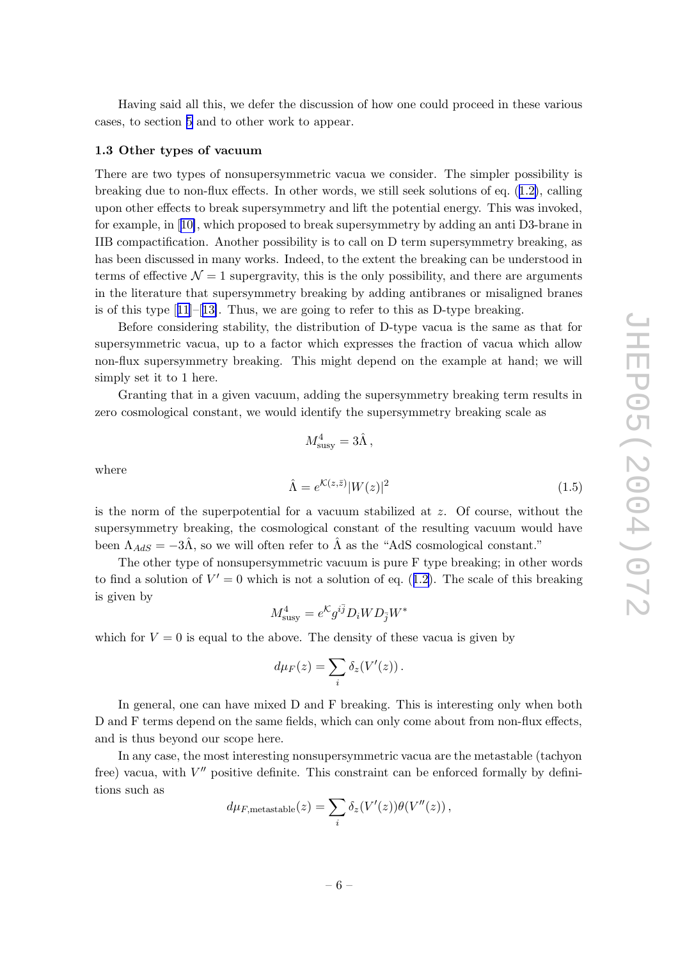<span id="page-6-0"></span>Having said all this, w e defer the discussion of ho w one could proceed in these various cases, to section [5](#page-36-0) and to other work to appear.

#### 1.3 Other types of vacuum

There are two types of nonsupersymmetric vacua we consider. The simpler possibility is breaking due to non-flux effects. In other words, w e still seek solutions of eq. ([1.2\)](#page-3-0), calling upon other effects to break supersymmetry and lift the potential energy . This was in voked, for example, in [[10\]](#page-44-0), which proposed to break supersymmetry by adding an anti D3-brane in IIB compactification. Another possibilit y is to call on D term supersymmetry breaking, as has been discussed in many works. Indeed, to the extent the breaking can be understood in terms of effective  $\mathcal{N}=1$  supergravity, this is the only possibility, and there are arguments in the literature that supersymmetry breaking by adding antibranes or misaligned branes is of this typ e [[11](#page-44-0)]–[[13\]](#page-44-0). Thus, w e are going to refer to this as D-typ e breaking.

Before considering stabilit y , the distribution of D-typ e vacua is the same as that for supersymmetric vacua, up to a factor whic h expresses the fraction of vacua whic h allo w non-flux supersymmetry breaking. This might depend on the example at hand; we will simply set it to 1 here.

Granting that in a given vacuum, adding the supersymmetry breaking term results in zero cosmological constant, w e would identify the supersymmetry breaking scale as

$$
M_{\text{susy}}^4 = 3\hat{\Lambda},
$$
  

$$
\hat{\Lambda} = e^{\mathcal{K}(z,\bar{z})} |W(z)|^2
$$
 (1.5)

where

is the norm of the superpotential for a vacuum stabilized at z . Of course, without the supersymmetry breaking, the cosmological constan t of the resulting vacuum would hav e been  $\Lambda_{AdS} = -3\hat{\Lambda}$ , so we will often refer to  $\hat{\Lambda}$  as the "AdS cosmological constant."

The other typ e of nonsupersymmetric vacuum is pure F typ e breaking; in other words to find a solution of  $V' = 0$  which is not a solution of eq. ([1.2\)](#page-3-0). The scale of this breaking is given b y

$$
M_{\text{susy}}^4 = e^{\mathcal{K}} g^{i\bar{j}} D_i W D_{\bar{j}} W^*
$$

which for  $V = 0$  is equal to the above. The density of these vacua is given by

$$
d\mu_F(z) = \sum_i \delta_z(V'(z))\,.
$$

In general, one can hav e mixed D and F breaking. This is interesting only when both D and F terms depend on the same fields, whic h can only come about from non-flux effects, and is thus beyond our scop e here.

In any case, the most interesting nonsupersymmetric vacua are the metastable (tachyon free) vacua, with  $V''$  positive definite. This constraint can be enforced formally by definitions such as

$$
d\mu_{F,\text{metastable}}(z) = \sum_{i} \delta_z(V'(z))\theta(V''(z)),
$$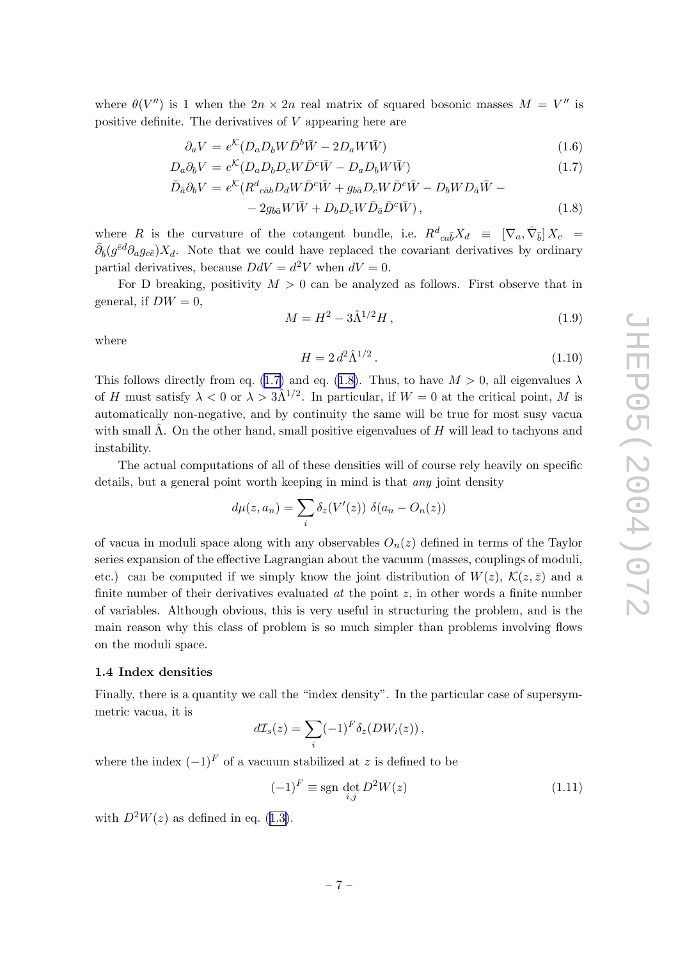<span id="page-7-0"></span>where  $\theta(V'')$  is 1 when the  $2n \times 2n$  real matrix of squared bosonic masses  $M = V''$  is positiv e definite. The derivatives of V appearing here are

$$
\partial_a V = e^{\mathcal{K}} (D_a D_b W \bar{D}^b \bar{W} - 2D_a W \bar{W}) \tag{1.6}
$$

$$
D_a \partial_b V = e^{\mathcal{K}} (D_a D_b D_c W \bar{D}^c \bar{W} - D_a D_b W \bar{W}) \tag{1.7}
$$

$$
\bar{D}_{\bar{a}}\partial_b V = e^{\mathcal{K}}(R^d{}_{c\bar{a}b}D_d W \bar{D}^c \bar{W} + g_{b\bar{a}}D_c W \bar{D}^c \bar{W} - D_b W D_{\bar{a}} \bar{W} -\n- 2g_{b\bar{a}} W \bar{W} + D_b D_c W \bar{D}_{\bar{a}} \bar{D}^c \bar{W}),
$$
\n(1.8)

where R is the curvature of the cotangent bundle, i.e.  $R^d_{ca\bar{b}}X_d \equiv [\nabla_a, \bar{\nabla}_{\bar{b}}]X_c =$  $\bar{\partial}_{\bar{b}}(g^{\bar{e}d}\partial_{a}g_{c\bar{e}})X_{d}$ . Note that we could have replaced the covariant derivatives by ordinary partial derivatives, because  $DdV = d^2V$  when  $dV = 0$ .

For D breaking, positivity  $M > 0$  can be analyzed as follows. First observe that in general, if  $DW = 0$ ,

$$
M = H^2 - 3\hat{\Lambda}^{1/2}H\,,\tag{1.9}
$$

where

$$
H = 2 d^2 \hat{\Lambda}^{1/2} \,. \tag{1.10}
$$

This follows directly from eq. (1.7) and eq. (1.8). Thus, to have  $M > 0$ , all eigenvalues  $\lambda$ of H must satisfy  $\lambda < 0$  or  $\lambda > 3\hat{\Lambda}^{1/2}$ . In particular, if  $W = 0$  at the critical point, M is automatically non-negative, and b y continuit y the same will b e true for most susy vacua with small  $\hat{\Lambda}$ . On the other hand, small positive eigenvalues of H will lead to tachyons and instabilit y .

The actual computations of all of these densities will of course rely heavily on specific details, but a general point worth keeping in mind is that *any* joint density

$$
d\mu(z, a_n) = \sum_i \delta_z(V'(z)) \delta(a_n - O_n(z))
$$

of vacua in moduli space along with any observables  $O_n(z)$  defined in terms of the Taylor series expansion of the effectiv e Lagrangian about the vacuum (masses, couplings of moduli, etc.) can be computed if we simply know the joint distribution of  $W(z)$ ,  $\mathcal{K}(z,\bar{z})$  and a finite number of their derivatives evaluated  $at$  the point  $z$ , in other words a finite number of variables. Although obvious, this is very useful in structuring the problem, and is the main reason wh y this class of problem is so muc h simpler than problems in volving flows on the moduli space.

## 1.4 Index densities

Finally, there is a quantity we call the "index density". In the particular case of supersymmetric vacua, it is

$$
d\mathcal{I}_s(z) = \sum_i (-1)^F \delta_z(DW_i(z)),
$$

where the index  $(-1)^F$  of a vacuum stabilized at z is defined to be

$$
(-1)^F \equiv \operatorname{sgn} \det_{i,j} D^2 W(z) \tag{1.11}
$$

with  $D^2W(z)$  as defined in eq. ([1.3\)](#page-4-0).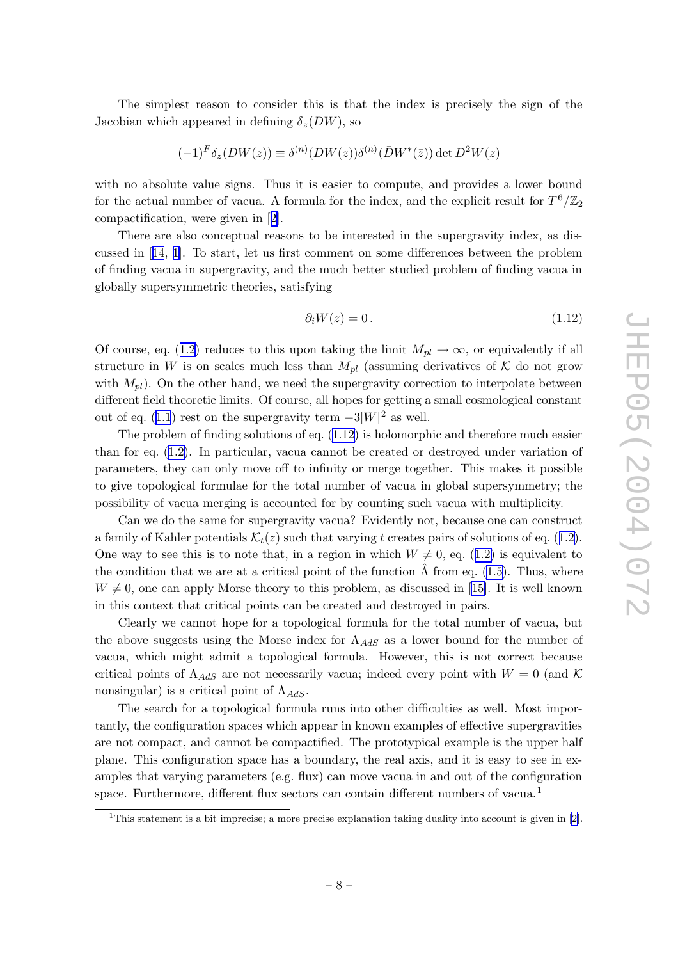The simplest reason to consider this is that the index is precisely the sign of the Jacobian which appeared in defining  $\delta_z(DW)$ , so

$$
(-1)^F \delta_z(DW(z)) \equiv \delta^{(n)}(DW(z))\delta^{(n)}(\bar{D}W^*(\bar{z})) \det D^2W(z)
$$

with no absolute value signs. Thus it is easier to compute, and provides a lower bound for the actual number of vacua. A formula for the index, and the explicit result for  $T^6/\mathbb{Z}_2$ compactification, were given in [[2\]](#page-43-0).

There are also conceptual reasons to be interested in the supergravity index, as discussed in [[14](#page-44-0), [1\]](#page-43-0). To start, let us first comment on some differences between the problem of finding vacua in supergravit y , and the muc h better studied problem of finding vacua in globally supersymmetric theories, satisfying

$$
\partial_i W(z) = 0. \tag{1.12}
$$

Of course, eq. ([1.2](#page-3-0)) reduces to this upon taking the limit  $M_{pl} \to \infty$ , or equivalently if all structure in W is on scales much less than  $M_{pl}$  (assuming derivatives of K do not grow with  $M_{pl}$ ). On the other hand, we need the supergravity correction to interpolate between different field theoretic limits. Of course, all hopes for getting a small cosmological constant out of eq. ([1.1](#page-3-0)) rest on the supergravity term  $-3|W|^2$  as well.

The problem of finding solutions of eq. (1.12 ) is holomorphic and therefore muc h easier than for eq.  $(1.2)$  $(1.2)$ . In particular, vacua cannot be created or destroyed under variation of parameters, they can only move off to infinity or merge together. This makes it possible to giv e topological formulae for the total num ber of vacua in global supersymmetry; the possibility of vacua merging is accounted for by counting such vacua with multiplicity.

Can w e do the same for supergravit y vacua? Evidently not, because one can construct a family of Kahler potentials  $\mathcal{K}_t(z)$  such that varying t creates pairs of solutions of eq. ([1.2\)](#page-3-0). One way to see this is to note that, in a region in which  $W \neq 0$ , eq. ([1.2](#page-3-0)) is equivalent to the condition that we are at a critical point of the function  $\hat{\Lambda}$  from eq. [\(1.5](#page-6-0)). Thus, where  $W \neq 0$ , one can apply Morse theory to this problem, as discussed in [[15\]](#page-44-0). It is well known in this context that critical points can b e created and destro yed in pairs.

Clearly w e cannot hop e for a topological formula for the total num ber of vacua, but the above suggests using the Morse index for  $\Lambda_{AdS}$  as a lower bound for the number of vacua, whic h migh t admit a topological formula. Ho wever, this is not correct because critical points of  $\Lambda_{AdS}$  are not necessarily vacua; indeed every point with  $W=0$  (and  $\mathcal K$ nonsingular) is a critical point of  $\Lambda_{AdS}$ .

The searc h for a topological formula runs into other difficulties as well. Most importantly, the configuration spaces which appear in known examples of effective supergravities are not compact, and cannot b e compactified. The prototypical example is the upper half plane. This configuration space has a boundary , the real axis, and it is easy to see in examples that varying parameters (e.g. flux) can move vacua in and out of the configuration space. Furthermore, different flux sectors can contain different numbers of vacua.<sup>1</sup>

<sup>&</sup>lt;sup>1</sup>This statement is a bit imprecise; a more precise explanation taking duality into account is given in [[2\]](#page-43-0).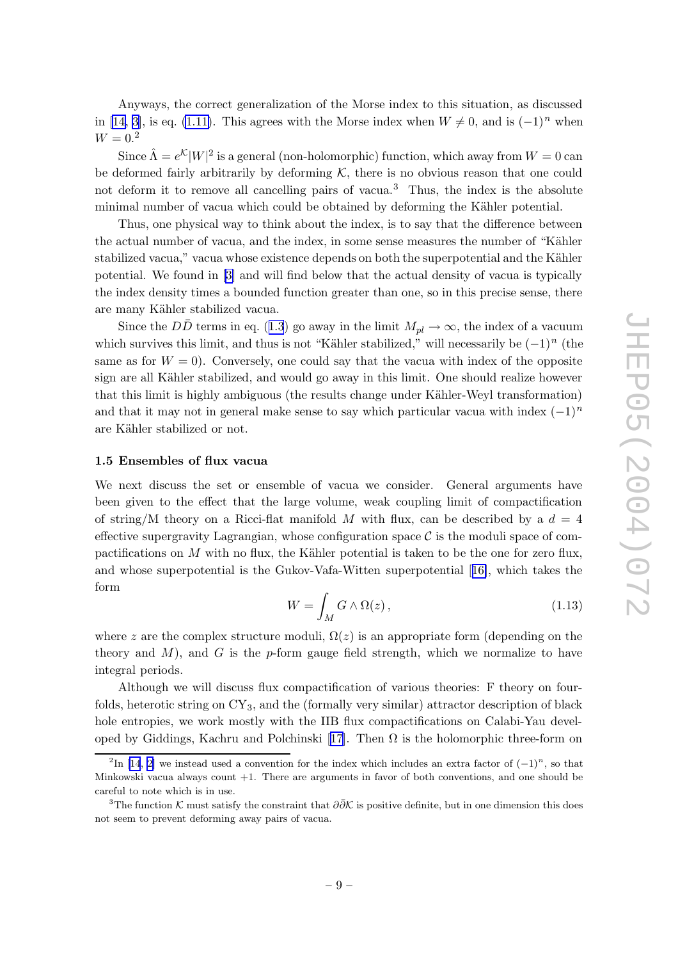<span id="page-9-0"></span>Anyw ays, the correct generalization of the Morse index to this situation, as discussed in [[14](#page-44-0), [3\]](#page-43-0), is eq. [\(1.11\)](#page-7-0). This agrees with the Morse index when  $W \neq 0$ , and is  $(-1)^n$  when  $W = 0.2$ 

Since  $\hat{\Lambda} = e^{\mathcal{K}} |W|^2$  is a general (non-holomorphic) function, which away from  $W = 0$  can be deformed fairly arbitrarily by deforming  $K$ , there is no obvious reason that one could not deform it to remove all cancelling pairs of vacua.<sup>3</sup> Thus, the index is the absolute minimal number of vacua which could be obtained by deforming the Kähler potential.

Thus, one physical way to think about the index, is to say that the difference between the actual number of vacua, and the index, in some sense measures the number of "Kähler" stabilized vacua," vacua whose existence depends on both the superpotential and the Kähler potential. We found in [\[3](#page-43-0) ] and will find belo w that the actual densit y of vacua is typically the index densit y times a bounded function greater than one, so in this precise sense, there are many Kähler stabilized vacua.

Since the  $D\bar{D}$  terms in eq. ([1.3](#page-4-0)) go away in the limit  $M_{pl} \rightarrow \infty$ , the index of a vacuum which survives this limit, and thus is not "Kähler stabilized," will necessarily be  $(-1)^n$  (the same as for  $W = 0$ ). Conversely, one could say that the vacua with index of the opposite sign are all Kähler stabilized, and would go away in this limit. One should realize however that this limit is highly ambiguous (the results change under Kähler-Weyl transformation) and that it may not in general make sense to say which particular vacua with index  $(-1)^n$ are Kähler stabilized or not.

#### 1.5 Ensembles of flux vacua

We next discuss the set or ensemble of vacua we consider. General arguments have been given to the effect that the large volume, weak coupling limit of compactification of string/M theory on a Ricci-flat manifold M with flux, can be described by a  $d = 4$ effective supergravity Lagrangian, whose configuration space  $\mathcal C$  is the moduli space of compactifications on  $M$  with no flux, the Kähler potential is taken to be the one for zero flux, and whose superpotential is the Guk ov-Vafa-Witten superpotential [[16\]](#page-44-0), whic h takes the form

$$
W = \int_M G \wedge \Omega(z) \,, \tag{1.13}
$$

where z are the complex structure moduli,  $\Omega(z)$  is an appropriate form (depending on the theory and  $M$ ), and  $G$  is the  $p$ -form gauge field strength, which we normalize to have integral periods.

Although w e will discuss flux compactification of various theories: F theory on fourfolds, heterotic string on  $CY_3$ , and the (formally very similar) attractor description of black hole entropies, we work mostly with the IIB flux compactifications on Calabi-Yau devel-oped by Giddings, Kachru and Polchinski [\[17\]](#page-44-0). Then  $\Omega$  is the holomorphic three-form on

<sup>&</sup>lt;sup>2</sup>In [\[14](#page-44-0), [2](#page-43-0)] we instead used a convention for the index which includes an extra factor of  $(-1)^n$ , so that Minkowski vacua always count  $+1$ . There are arguments in favor of both conventions, and one should be careful to note whic h is in use.

<sup>&</sup>lt;sup>3</sup>The function  $K$  must satisfy the constraint that  $\partial \bar{\partial} K$  is positive definite, but in one dimension this does not seem to prevent deforming away pairs of vacua.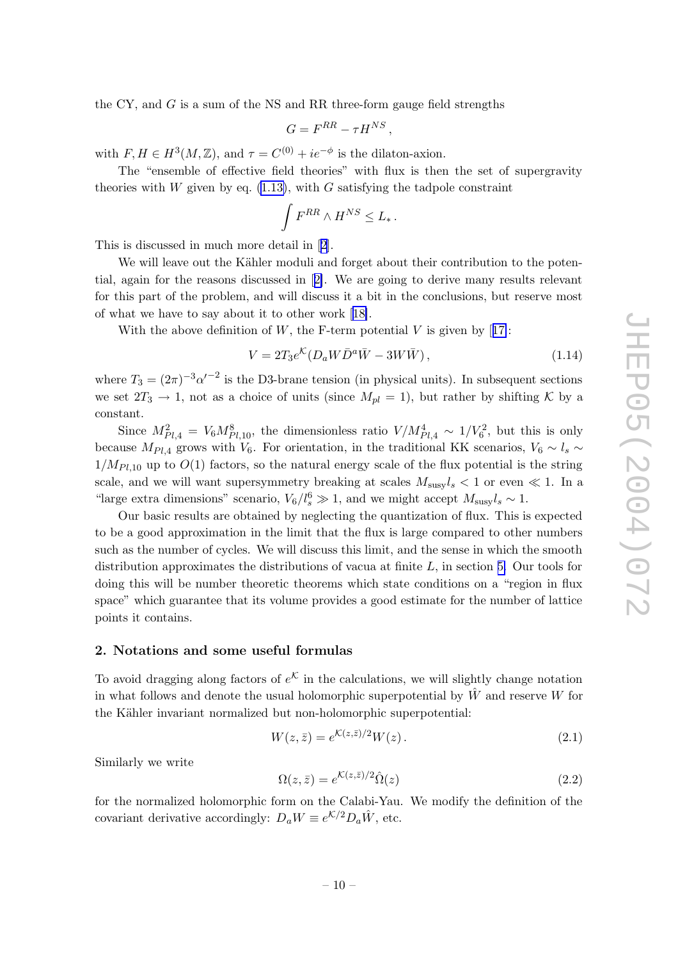<span id="page-10-0"></span>the CY, and  $G$  is a sum of the NS and RR three-form gauge field strengths

$$
G = F^{RR} - \tau H^{NS},
$$

with  $F, H \in H^3(M, \mathbb{Z})$ , and  $\tau = C^{(0)} + ie^{-\phi}$  is the dilaton-axion.

The "ensemble of effective field theories" with flux is then the set of supergravity theories with W given by eq.  $(1.13)$ , with G satisfying the tadpole constraint

$$
\int F^{RR} \wedge H^{NS} \leq L_* \, .
$$

This is discussed in muc h more detail in [[2\]](#page-43-0).

We will leave out the Kähler moduli and forget about their contribution to the potential, again for the reasons discussed in [[2\]](#page-43-0). We are going to derive many results relevant for this part of the problem, and will discuss it a bit in the conclusions, but reserv e most of what w e hav e to say about it to other work [[18\]](#page-44-0).

With the above definition of  $W$ , the F-term potential  $V$  is given by [[17\]](#page-44-0):

$$
V = 2T_3 e^{\mathcal{K}} (D_a W \bar{D}^a \bar{W} - 3W \bar{W}), \qquad (1.14)
$$

where  $T_3 = (2\pi)^{-3} \alpha'^{-2}$  is the D3-brane tension (in physical units). In subsequent sections we set  $2T_3 \to 1$ , not as a choice of units (since  $M_{pl} = 1$ ), but rather by shifting K by a constant.

Since  $M_{Pl,4}^2 = V_6 M_{Pl,10}^8$ , the dimensionless ratio  $V/M_{Pl,4}^4 \sim 1/V_6^2$ , but this is only because  $M_{Pl,4}$  grows with  $V_6$ . For orientation, in the traditional KK scenarios,  $V_6 \sim l_s \sim$  $1/M_{Pl,10}$  up to  $O(1)$  factors, so the natural energy scale of the flux potential is the string scale, and we will want supersymmetry breaking at scales  $M_{\text{susy}} l_s < 1$  or even  $\ll 1$ . In a "large extra dimensions" scenario,  $V_6/l_s^6 \gg 1$ , and we might accept  $M_{susy}l_s \sim 1$ .

Our basic results are obtained b y neglecting the quantization of flux. This is expected to be a good approximation in the limit that the flux is large compared to other numbers suc h as the num ber of cycles. We will discuss this limit, and the sense in whic h the smooth distribution approximates the distributions of vacua at finite  $L$ , in section [5](#page-36-0). Our tools for doing this will b e num ber theoretic theorems whic h state conditions on a "region in flux space" whic h guarantee that its volume provides a go o d estimate for the num ber of lattice points it contains.

## 2. Notations and some useful formulas

To avoid dragging along factors of  $e^{\mathcal{K}}$  in the calculations, we will slightly change notation in what follows and denote the usual holomorphic superpotential by  $\hat{W}$  and reserve W for the Kähler invariant normalized but non-holomorphic superpotential:

$$
W(z, \bar{z}) = e^{\mathcal{K}(z, \bar{z})/2} W(z).
$$
\n(2.1)

Similarly w e write

$$
\Omega(z,\bar{z}) = e^{\mathcal{K}(z,\bar{z})/2} \hat{\Omega}(z)
$$
\n(2.2)

for the normalized holomorphic form on the Calabi-Yau. We modify the definition of the covariant derivative accordingly:  $D_a W \equiv e^{\mathcal{K}/2} D_a \hat{W}$ , etc.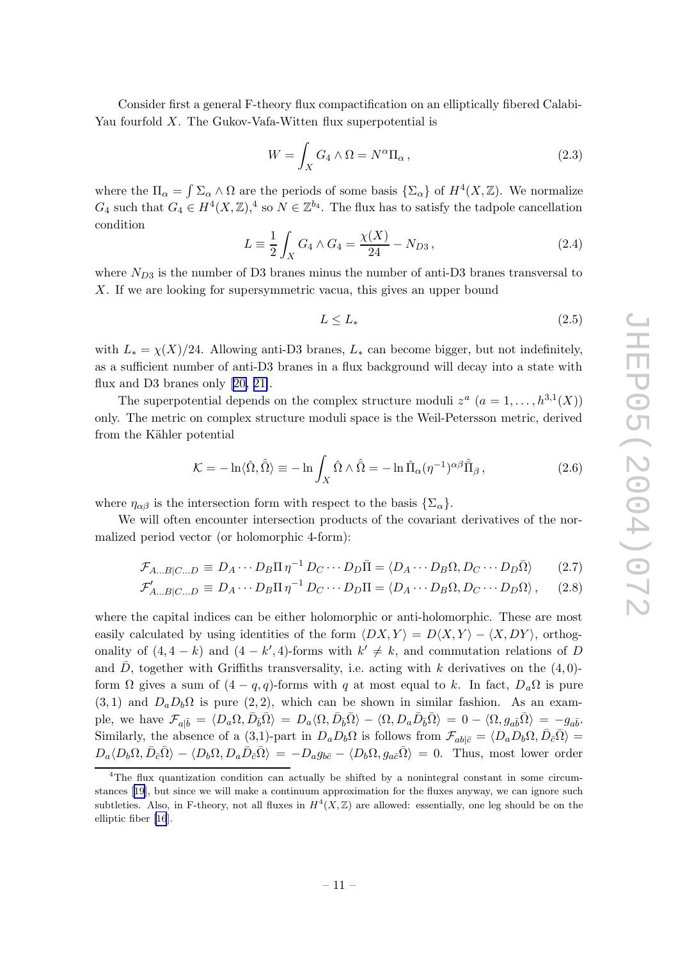<span id="page-11-0"></span>Consider first a general F-theory flux compactification on an elliptically fibered Calabi-Yau fourfold X. The Gukov-Vafa-Witten flux superpotential is

$$
W = \int_X G_4 \wedge \Omega = N^{\alpha} \Pi_{\alpha} , \qquad (2.3)
$$

where the  $\Pi_{\alpha} = \int \Sigma_{\alpha} \wedge \Omega$  are the periods of some basis  $\{\Sigma_{\alpha}\}\$  of  $H^4(X,\mathbb{Z})$ . We normalize  $G_4$  such that  $G_4 \in H^4(X,\mathbb{Z})$ ,<sup>4</sup> so  $N \in \mathbb{Z}^{b_4}$ . The flux has to satisfy the tadpole cancellation condition

$$
L \equiv \frac{1}{2} \int_{X} G_4 \wedge G_4 = \frac{\chi(X)}{24} - N_{D3}, \qquad (2.4)
$$

where  $N_{D3}$  is the number of D3 branes minus the number of anti-D3 branes transversal to X. If we are looking for supersymmetric vacua, this gives an upper bound

$$
L \le L_* \tag{2.5}
$$

with  $L_* = \chi(X)/24$ . Allowing anti-D3 branes,  $L_*$  can become bigger, but not indefinitely, as a sufficien t num ber of anti-D3 branes in a flux background will decay into a state with flux and D3 branes only [[20](#page-44-0) , [21\]](#page-44-0).

The superpotential depends on the complex structure moduli  $z^a$   $(a = 1, \ldots, h^{3,1}(X))$ only . The metric on complex structure moduli space is the Weil-Petersson metric, derived from the Kähler potential

$$
\mathcal{K} = -\ln\langle\hat{\Omega}, \hat{\Omega}\rangle \equiv -\ln\int_X \hat{\Omega} \wedge \hat{\Omega} = -\ln\hat{\Pi}_{\alpha}(\eta^{-1})^{\alpha\beta}\hat{\Pi}_{\beta}, \qquad (2.6)
$$

where  $\eta_{\alpha\beta}$  is the intersection form with respect to the basis  $\{\Sigma_{\alpha}\}.$ 

We will often encounter intersection products of the covariant derivatives of the normalized period vector (or holomorphic 4-form):

$$
\mathcal{F}_{A\ldots B|C\ldots D} \equiv D_A \cdots D_B \Pi \eta^{-1} D_C \cdots D_D \bar{\Pi} = \langle D_A \cdots D_B \Omega, D_C \cdots D_D \bar{\Omega} \rangle \tag{2.7}
$$

$$
\mathcal{F}'_{A\ldots B|C\ldots D} \equiv D_A \cdots D_B \Pi \eta^{-1} D_C \cdots D_D \Pi = \langle D_A \cdots D_B \Omega, D_C \cdots D_D \Omega \rangle, \tag{2.8}
$$

where the capital indices can b e either holomorphic or anti-holomorphic. These are most easily calculated by using identities of the form  $\langle DX, Y \rangle = D\langle X, Y \rangle - \langle X, DY \rangle$ , orthogonality of  $(4, 4 - k)$  and  $(4 - k', 4)$ -forms with  $k' \neq k$ , and commutation relations of D and  $\bar{D}$ , together with Griffiths transversality, i.e. acting with k derivatives on the  $(4,0)$ form  $\Omega$  gives a sum of  $(4-q, q)$ -forms with q at most equal to k. In fact,  $D_a\Omega$  is pure  $(3,1)$  and  $D_aD_b\Omega$  is pure  $(2,2)$ , which can be shown in similar fashion. As an example, we have  $\mathcal{F}_{a|\bar{b}} = \langle D_a \Omega, \bar{D}_{\bar{b}} \bar{\Omega} \rangle = D_a \langle \Omega, \bar{D}_{\bar{b}} \bar{\Omega} \rangle - \langle \Omega, D_a \bar{D}_{\bar{b}} \bar{\Omega} \rangle = 0 - \langle \Omega, g_{a\bar{b}} \bar{\Omega} \rangle = -g_{a\bar{b}}.$ Similarly, the absence of a (3,1)-part in  $D_a D_b \Omega$  is follows from  $\mathcal{F}_{ab|\bar{c}} = \langle D_a D_b \Omega, \bar{D}_{\bar{c}} \bar{\Omega} \rangle =$  $D_a \langle D_b \Omega, \bar{D}_{\bar{c}} \bar{\Omega} \rangle - \langle D_b \Omega, D_a \bar{D}_{\bar{c}} \bar{\Omega} \rangle = -D_a g_{b\bar{c}} - \langle D_b \Omega, g_{a\bar{c}} \bar{\Omega} \rangle = 0$ . Thus, most lower order

<sup>&</sup>lt;sup>4</sup>The flux quantization condition can actually be shifted by a nonintegral constant in some circumstances [[19\]](#page-44-0), but since we will make a continuum approximation for the fluxes anyway, we can ignore such subtleties. Also, in F-theory, not all fluxes in  $H^4(X,\mathbb{Z})$  are allowed: essentially, one leg should be on the elliptic fiber [\[16](#page-44-0)].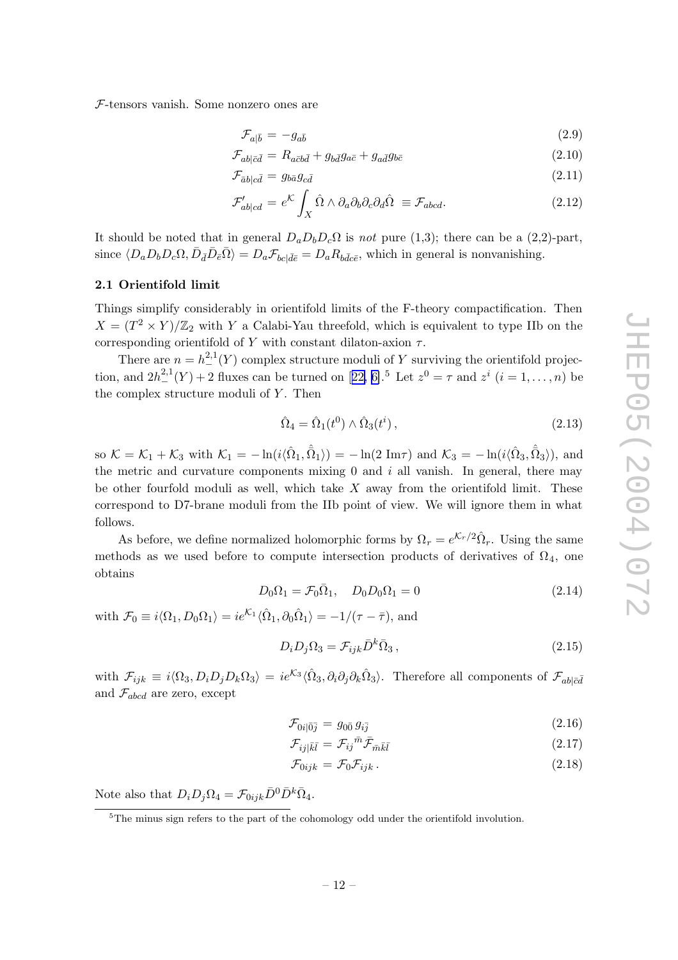<span id="page-12-0"></span>F-tensors vanish. Some nonzero ones are

$$
\mathcal{F}_{a|\bar{b}} = -g_{a\bar{b}} \tag{2.9}
$$

$$
\mathcal{F}_{ab|\bar{c}\bar{d}} = R_{a\bar{c}b\bar{d}} + g_{b\bar{d}}g_{a\bar{c}} + g_{a\bar{d}}g_{b\bar{c}} \tag{2.10}
$$

$$
\mathcal{F}_{\bar{a}b|c\bar{d}} = g_{b\bar{a}}g_{c\bar{d}} \tag{2.11}
$$

$$
\mathcal{F}'_{ab|cd} = e^{\mathcal{K}} \int_X \hat{\Omega} \wedge \partial_a \partial_b \partial_c \partial_d \hat{\Omega} \equiv \mathcal{F}_{abcd}.
$$
\n(2.12)

It should be noted that in general  $D_a D_b D_c \Omega$  is not pure (1,3); there can be a (2,2)-part, since  $\langle D_a D_b D_c \Omega, \bar{D}_{\bar{d}} \bar{D}_{\bar{e}} \bar{\Omega} \rangle = D_a \mathcal{F}_{bc|\bar{d}\bar{e}} = D_a R_{b\bar{d}c\bar{e}}$ , which in general is nonvanishing.

#### 2.1 Orientifold limit

Things simplify considerably in orientifold limits of the F-theory compactification. Then  $X = (T^2 \times Y)/\mathbb{Z}_2$  with Y a Calabi-Yau threefold, which is equivalent to type IIb on the corresponding orientifold of Y with constant dilaton-axion  $\tau$ .

There are  $n = h^{2,1}_ \perp$ <sup>2,1</sup>(Y) complex structure moduli of Y surviving the orientifold projection, and  $2h^{2,1}_-(Y) + 2$  fluxes can be turned on [[22,](#page-44-0) [6\]](#page-44-0).<sup>5</sup> Let  $z^0 = \tau$  and  $z^i$   $(i = 1, ..., n)$  be the complex structure moduli of Y . Then

$$
\hat{\Omega}_4 = \hat{\Omega}_1(t^0) \wedge \hat{\Omega}_3(t^i) , \qquad (2.13)
$$

so  $\mathcal{K} = \mathcal{K}_1 + \mathcal{K}_3$  with  $\mathcal{K}_1 = -\ln(i\langle \hat{\Omega}_1, \hat{\Omega}_1 \rangle) = -\ln(2 \text{ Im}\tau)$  and  $\mathcal{K}_3 = -\ln(i\langle \hat{\Omega}_3, \hat{\Omega}_3 \rangle)$ , and the metric and curvature components mixing  $0$  and  $i$  all vanish. In general, there may b e other fourfold moduli as well, whic h tak e X aw ay from the orientifold limit. These correspond to D7-brane moduli from the IIb point of view. We will ignore them in what follows.

As before, we define normalized holomorphic forms by  $\Omega_r = e^{\mathcal{K}_r/2} \hat{\Omega}_r$ . Using the same methods as we used before to compute intersection products of derivatives of  $\Omega_4$ , one obtains

$$
D_0 \Omega_1 = \mathcal{F}_0 \overline{\Omega}_1, \quad D_0 D_0 \Omega_1 = 0 \tag{2.14}
$$

with  $\mathcal{F}_0 \equiv i \langle \Omega_1, D_0 \Omega_1 \rangle = ie^{\mathcal{K}_1} \langle \hat{\Omega}_1, \partial_0 \hat{\Omega}_1 \rangle = -1/(\tau - \bar{\tau}),$  and

$$
D_i D_j \Omega_3 = \mathcal{F}_{ijk} \bar{D}^k \bar{\Omega}_3, \qquad (2.15)
$$

with  $\mathcal{F}_{ijk} \equiv i \langle \Omega_3, D_i D_j D_k \Omega_3 \rangle = i e^{\mathcal{K}_3} \langle \hat{\Omega}_3, \partial_i \partial_j \partial_k \hat{\Omega}_3 \rangle$ . Therefore all components of  $\mathcal{F}_{ab|\bar{c}\bar{d}}$ and  $\mathcal{F}_{abcd}$  are zero, except

$$
\mathcal{F}_{0i|\bar{0}\bar{j}} = g_{0\bar{0}} g_{i\bar{j}} \tag{2.16}
$$

$$
\mathcal{F}_{ij|\bar{k}\bar{l}} = \mathcal{F}_{ij}{}^{\bar{m}} \bar{\mathcal{F}}_{\bar{m}\bar{k}\bar{l}} \tag{2.17}
$$

$$
\mathcal{F}_{0ijk} = \mathcal{F}_0 \mathcal{F}_{ijk} \,. \tag{2.18}
$$

Note also that  $D_i D_j \Omega_4 = \mathcal{F}_{0ijk} \bar{D}^0 \bar{D}^k \bar{\Omega}_4$ .

<sup>&</sup>lt;sup>5</sup>The minus sign refers to the part of the cohomology odd under the orientifold involution.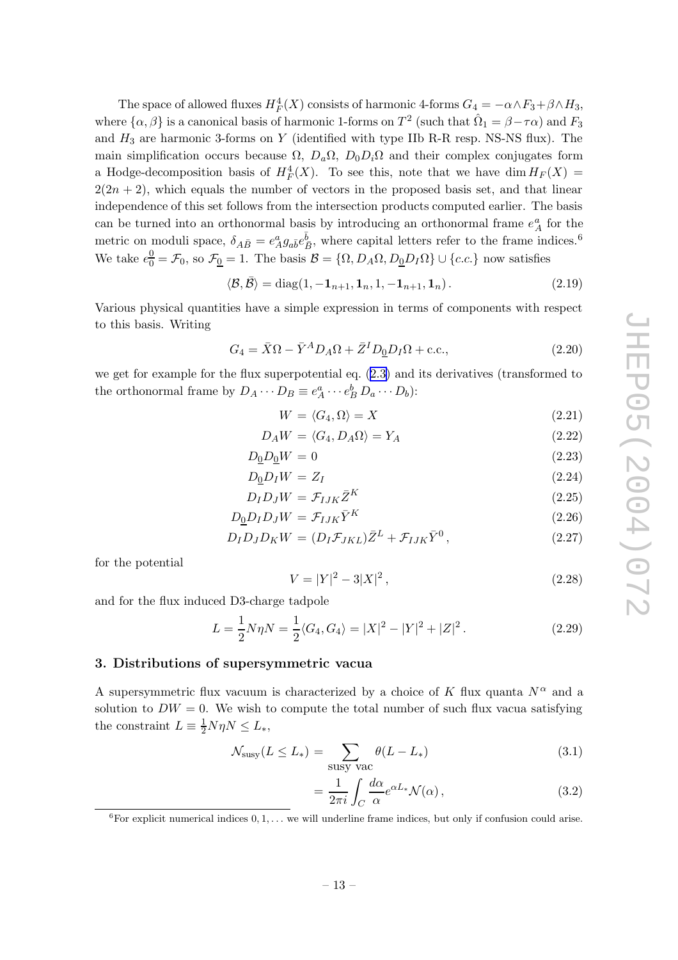<span id="page-13-0"></span>The space of allowed fluxes  $H_F^4(X)$  consists of harmonic 4-forms  $G_4 = -\alpha \wedge F_3 + \beta \wedge H_3$ , where  $\{\alpha, \beta\}$  is a canonical basis of harmonic 1-forms on  $T^2$  (such that  $\hat{\Omega}_1 = \beta - \tau \alpha$ ) and  $F_3$ and  $H_3$  are harmonic 3-forms on Y (identified with type IIb R-R resp. NS-NS flux). The main simplification occurs because  $\Omega$ ,  $D_a\Omega$ ,  $D_0D_i\Omega$  and their complex conjugates form a Hodge-decomposition basis of  $H_F^4(X)$ . To see this, note that we have  $\dim H_F(X) =$  $2(2n+2)$ , which equals the number of vectors in the proposed basis set, and that linear independence of this set follows from the intersection products computed earlier. The basis can be turned into an orthonormal basis by introducing an orthonormal frame  $e_A^a$  for the metric on moduli space,  $\delta_{A\bar{B}}=e^a_A g_{a\bar{b}}e^{\bar{b}}_{\bar{B}}$ , where capital letters refer to the frame indices.<sup>6</sup> We take  $e_0^0 = \mathcal{F}_0$ , so  $\mathcal{F}_0 = 1$ . The basis  $\mathcal{B} = {\Omega, D_A \Omega, D_0 D_I \Omega} \cup {c.c.}$  now satisfies

$$
\langle \mathcal{B}, \bar{\mathcal{B}} \rangle = \text{diag}(1, -\mathbf{1}_{n+1}, \mathbf{1}_n, 1, -\mathbf{1}_{n+1}, \mathbf{1}_n). \tag{2.19}
$$

Various physical quantities hav e a simple expression in terms of components with respect to this basis. Writing

$$
G_4 = \bar{X}\Omega - \bar{Y}^A D_A \Omega + \bar{Z}^I D_{\underline{0}} D_I \Omega + \text{c.c.},\tag{2.20}
$$

w e get for example for the flux superpotential eq. ([2.3](#page-11-0) ) and its derivatives (transformed to the orthonormal frame by  $D_A \cdots D_B \equiv e_A^a \cdots e_B^b D_a \cdots D_b$ :

$$
W = \langle G_4, \Omega \rangle = X \tag{2.21}
$$

$$
D_A W = \langle G_4, D_A \Omega \rangle = Y_A \tag{2.22}
$$

$$
D_{\underline{0}}D_{\underline{0}}W = 0\tag{2.23}
$$

$$
D_{\underline{0}}D_{I}W = Z_{I} \tag{2.24}
$$

$$
D_I D_J W = \mathcal{F}_{IJK} \bar{Z}^K \tag{2.25}
$$

$$
D_{\underline{0}}D_{I}D_{J}W = \mathcal{F}_{IJK}\bar{Y}^{K}
$$
\n(2.26)

$$
D_I D_J D_K W = (D_I \mathcal{F}_{JKL}) \bar{Z}^L + \mathcal{F}_{IJK} \bar{Y}^0, \qquad (2.27)
$$

for the potential

$$
V = |Y|^2 - 3|X|^2,
$$
\n(2.28)

and for the flux induced D3-charge tadpole

$$
L = \frac{1}{2}N\eta N = \frac{1}{2}\langle G_4, G_4 \rangle = |X|^2 - |Y|^2 + |Z|^2. \tag{2.29}
$$

## 3. Distributions of supersymmetric vacua

A supersymmetric flux vacuum is characterized by a choice of K flux quanta  $N^{\alpha}$  and a solution to  $DW = 0$ . We wish to compute the total number of such flux vacua satisfying the constraint  $L \equiv \frac{1}{2} N \eta N \leq L_*$ ,

$$
\mathcal{N}_{\text{susy}}(L \le L_*) = \sum_{\text{susy vac}} \theta(L - L_*)
$$
\n(3.1)

$$
=\frac{1}{2\pi i}\int_C \frac{d\alpha}{\alpha} e^{\alpha L_*} \mathcal{N}(\alpha)\,,\tag{3.2}
$$

 ${}^{6}$  For explicit numerical indices  $0, 1, \ldots$  we will underline frame indices, but only if confusion could arise.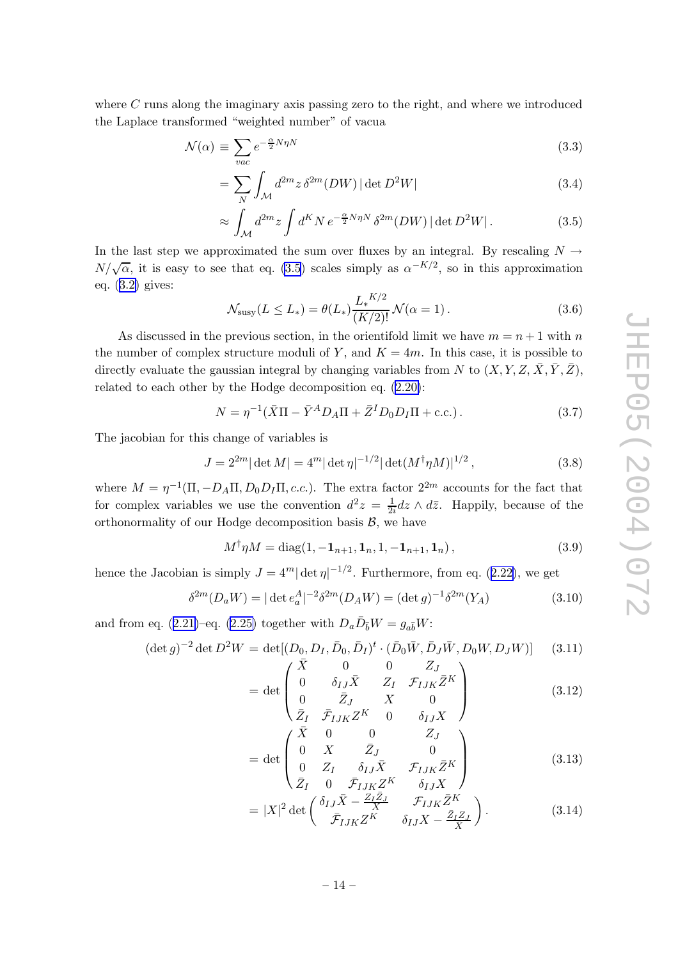<span id="page-14-0"></span>where  $C$  runs along the imaginary axis passing zero to the right, and where we introduced the Laplace transformed "weighted num ber" of vacua

$$
\mathcal{N}(\alpha) \equiv \sum_{vac} e^{-\frac{\alpha}{2}N\eta N} \tag{3.3}
$$

$$
=\sum_{N}\int_{\mathcal{M}}d^{2m}z\,\delta^{2m}(DW)\,|\det D^2W|\tag{3.4}
$$

$$
\approx \int_{\mathcal{M}} d^{2m} z \int d^{K} N e^{-\frac{\alpha}{2} N \eta N} \delta^{2m} (DW) |\det D^{2} W|.
$$
 (3.5)

In the last step we approximated the sum over fluxes by an integral. By rescaling  $N \to$  $N/\sqrt{\alpha}$ , it is easy to see that eq. (3.5) scales simply as  $\alpha^{-K/2}$ , so in this approximation eq. ([3.2](#page-13-0) ) gives:

$$
\mathcal{N}_{\text{susy}}(L \le L_*) = \theta(L_*) \frac{L_*^{K/2}}{(K/2)!} \mathcal{N}(\alpha = 1).
$$
\n(3.6)

As discussed in the previous section, in the orientifold limit we have  $m = n + 1$  with n the number of complex structure moduli of Y, and  $K = 4m$ . In this case, it is possible to directly evaluate the gaussian integral by changing variables from N to  $(X, Y, Z, \overline{X}, \overline{Y}, \overline{Z})$ , related to eac h other b y the Hodge decomposition eq. ([2.20\)](#page-13-0):

$$
N = \eta^{-1} (\bar{X}\Pi - \bar{Y}^{A}D_{A}\Pi + \bar{Z}^{I}D_{0}D_{I}\Pi + \text{c.c.}).
$$
\n(3.7)

The jacobian for this change of variables is

 $\overline{a}$ 

$$
J = 2^{2m} |\det M| = 4^m |\det \eta|^{-1/2} |\det (M^\dagger \eta M)|^{1/2}, \qquad (3.8)
$$

where  $M = \eta^{-1}(\Pi, -D_A\Pi, D_0D_I\Pi, c.c.)$ . The extra factor  $2^{2m}$  accounts for the fact that for complex variables we use the convention  $d^2z = \frac{1}{2i}dz \wedge d\bar{z}$ . Happily, because of the orthonormality of our Hodge decomposition basis  $B$ , we have

$$
M^{\dagger}\eta M = \text{diag}(1, -\mathbf{1}_{n+1}, \mathbf{1}_n, 1, -\mathbf{1}_{n+1}, \mathbf{1}_n), \qquad (3.9)
$$

hence the Jacobian is simply  $J = 4^m |\det \eta|^{-1/2}$ . Furthermore, from eq. ([2.22\)](#page-13-0), we get

$$
\delta^{2m}(D_a W) = |\det e_a^A|^{-2} \delta^{2m}(D_A W) = (\det g)^{-1} \delta^{2m}(Y_A)
$$
\n(3.10)

and from eq. ([2.21\)](#page-13-0)–eq. [\(2.25](#page-13-0)) together with  $D_a \bar{D}_{\bar{b}} W = g_{a\bar{b}} W$ :

$$
det\ g)^{-2} det\ D^2 W = det[(D_0, D_I, \bar{D}_0, \bar{D}_I)^t \cdot (\bar{D}_0 \bar{W}, \bar{D}_J \bar{W}, D_0 W, D_J W)] \tag{3.11}
$$
\n
$$
\begin{pmatrix} \bar{X} & 0 & 0 & Z_J \end{pmatrix}
$$

$$
= \det \begin{pmatrix} X & 0 & 0 & Z_J \\ 0 & \delta_{IJ}\bar{X} & Z_I & \mathcal{F}_{IJK}\bar{Z}^K \\ 0 & \bar{Z}_J & X & 0 \\ \bar{Z}_I & \bar{\mathcal{F}}_{IJK}Z^K & 0 & \delta_{IJ}X \end{pmatrix}
$$
(3.12)

$$
= \det \begin{pmatrix} \bar{X} & 0 & 0 & Z_J \\ 0 & X & \bar{Z}_J & 0 \\ 0 & Z_I & \delta_{IJ}\bar{X} & \mathcal{F}_{IJK}\bar{Z}^K \\ \bar{Z}_I & 0 & \bar{\mathcal{F}}_{IJK}\bar{Z}^K & \delta_{IJ}X \end{pmatrix}
$$
(3.13)

$$
= |X|^2 \det \begin{pmatrix} \delta_{IJ}\bar{X} - \frac{Z_I\bar{Z_J}}{X} & \mathcal{F}_{IJK}\bar{Z}^K\\ \bar{\mathcal{F}}_{IJK}Z^K & \delta_{IJ}X - \frac{\bar{Z}_IZ_J}{X} \end{pmatrix}.
$$
 (3.14)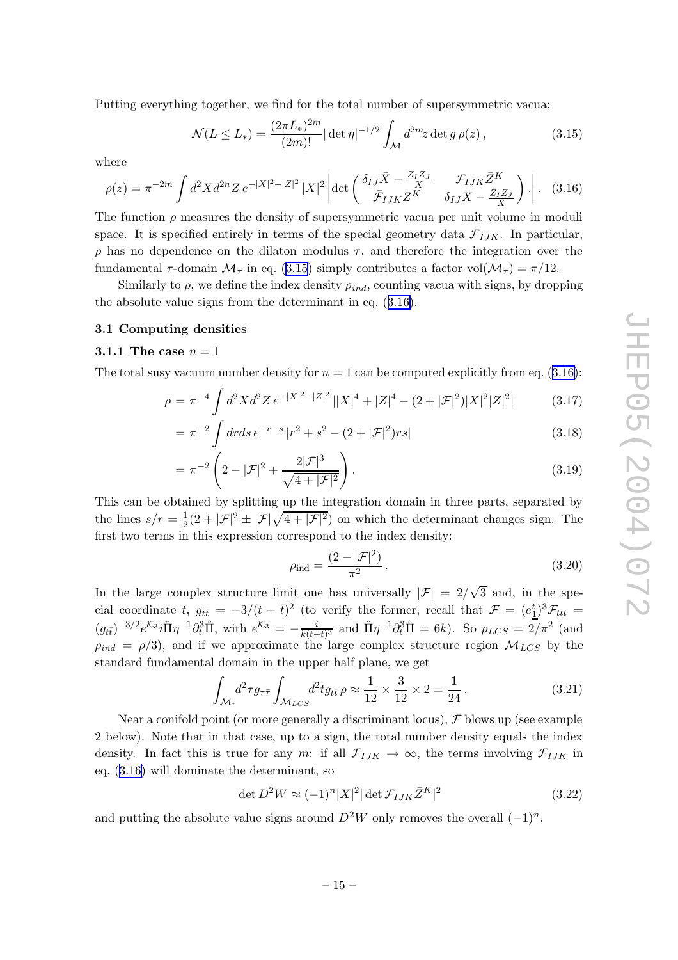<span id="page-15-0"></span>Putting everything together, w e find for the total num ber of supersymmetric vacua:

$$
\mathcal{N}(L \le L_*) = \frac{(2\pi L_*)^{2m}}{(2m)!} |\det \eta|^{-1/2} \int_{\mathcal{M}} d^{2m}z \det g \,\rho(z) , \qquad (3.15)
$$

where

$$
\rho(z) = \pi^{-2m} \int d^2 X d^{2n} Z \, e^{-|X|^2 - |Z|^2} \, |X|^2 \left| \det \begin{pmatrix} \delta_{IJ} \bar{X} - \frac{Z_I \bar{Z}_J}{X} & \mathcal{F}_{IJK} \bar{Z}^K \\ \bar{\mathcal{F}}_{IJK} Z^K & \delta_{IJ} X - \frac{\bar{Z}_I Z_J}{X} \end{pmatrix} \right|.
$$
 (3.16)

The function  $\rho$  measures the density of supersymmetric vacua per unit volume in moduli space. It is specified entirely in terms of the special geometry data  $\mathcal{F}_{IJK}$ . In particular,  $\rho$  has no dependence on the dilaton modulus  $\tau$ , and therefore the integration over the fundamental  $\tau$ -domain  $\mathcal{M}_{\tau}$  in eq. (3.15) simply contributes a factor  $vol(\mathcal{M}_{\tau}) = \pi/12$ .

Similarly to  $\rho$ , we define the index density  $\rho_{ind}$ , counting vacua with signs, by dropping the absolute value signs from the determinan t in eq. (3.16).

### 3.1 Computing densities

#### 3.1.1 The case  $n=1$

The total susy vacuum number density for  $n = 1$  can be computed explicitly from eq. (3.16):

$$
\rho = \pi^{-4} \int d^2 X d^2 Z \, e^{-|X|^2 - |Z|^2} \, | |X|^4 + |Z|^4 - (2 + |\mathcal{F}|^2) |X|^2 |Z|^2 | \tag{3.17}
$$

$$
= \pi^{-2} \int dr ds \, e^{-r-s} \, |r^2 + s^2 - (2+|\mathcal{F}|^2) rs| \tag{3.18}
$$

$$
= \pi^{-2} \left( 2 - |\mathcal{F}|^2 + \frac{2|\mathcal{F}|^3}{\sqrt{4 + |\mathcal{F}|^2}} \right). \tag{3.19}
$$

This can b e obtained b y splitting up the integration domain in three parts, separated b y the lines  $s/r = \frac{1}{2}(2 + |\mathcal{F}|^2 \pm |\mathcal{F}|\sqrt{4 + |\mathcal{F}|^2})$  on which the determinant changes sign. The first t w o terms in this expression correspond to the index density:

$$
\rho_{\rm ind} = \frac{(2 - |\mathcal{F}|^2)}{\pi^2}.
$$
\n(3.20)

In the large complex structure limit one has universally  $|\mathcal{F}| = 2/\sqrt{3}$  and, in the special coordinate t,  $g_{t\bar{t}} = -3/(t - \bar{t})^2$  (to verify the former, recall that  $\mathcal{F} = (e_{\underline{t}}^t)^3 \mathcal{F}_{ttt} =$  $(g_{t\bar{t}})^{-3/2}e^{\mathcal{K}_3}i\hat{\Pi}\eta^{-1}\partial_t^3\hat{\Pi}$ , with  $e^{\mathcal{K}_3} = -\frac{i}{k(t-\tau)}$  $\frac{i}{k(t-t)^3}$  and  $\hat{\Pi}\eta^{-1}\partial_t^3\hat{\Pi} = 6k$ ). So  $\rho_{LCS} = 2/\pi^2$  (and  $\rho_{ind} = \rho/3$ , and if we approximate the large complex structure region  $M_{LCS}$  by the standard fundamental domain in the upper half plane, w e get

$$
\int_{\mathcal{M}_{\tau}} d^2 \tau g_{\tau \bar{\tau}} \int_{\mathcal{M}_{LCS}} d^2 t g_{t\bar{t}} \rho \approx \frac{1}{12} \times \frac{3}{12} \times 2 = \frac{1}{24} \,. \tag{3.21}
$$

Near a conifold point (or more generally a discriminant locus),  ${\mathcal F}$  blows up (see example 2 below). Note that in that case, up to a sign, the total num ber densit y equals the index density. In fact this is true for any m: if all  $\mathcal{F}_{IJK} \to \infty$ , the terms involving  $\mathcal{F}_{IJK}$  in eq. (3.16 ) will dominate the determinant, so

$$
\det D^2 W \approx (-1)^n |X|^2 |\det \mathcal{F}_{IJK} \bar{Z}^K|^2 \tag{3.22}
$$

and putting the absolute value signs around  $D^2W$  only removes the overall  $(-1)^n$ .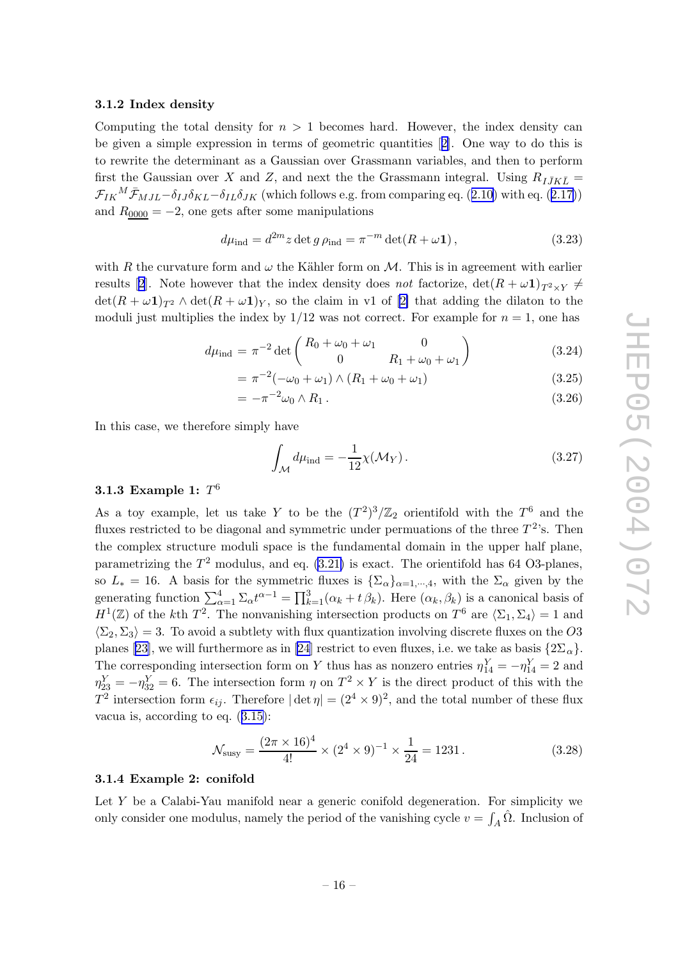#### <span id="page-16-0"></span>3.1.2 Index densit y

Computing the total density for  $n > 1$  becomes hard. However, the index density can b e given a simple expression in terms of geometric quantities [[2\]](#page-43-0). One w ay to do this is to rewrite the determinant as a Gaussian over Grassmann variables, and then to perform first the Gaussian over X and Z, and next the the Grassmann integral. Using  $R_{I \bar{J} K \bar{L}} =$  $\mathcal{F}_{IK}{}^M \bar{\mathcal{F}}_{MJL} - \delta_{IJ} \delta_{KL} - \delta_{IL} \delta_{JK}$  (which follows e.g. from comparing eq. ([2.10](#page-12-0)) with eq. ([2.17\)](#page-12-0)) and  $R_{0000} = -2$ , one gets after some manipulations

$$
d\mu_{\rm ind} = d^{2m} z \det g \,\rho_{\rm ind} = \pi^{-m} \det(R + \omega \mathbf{1}),\tag{3.23}
$$

with R the curvature form and  $\omega$  the Kähler form on M. This is in agreement with earlier results [[2](#page-43-0)]. Note however that the index density does *not* factorize,  $\det(R + \omega \mathbf{1})_{T^2 \times Y} \neq$  $\det(R+\omega \mathbf{1})_{T^2} \wedge \det(R+\omega \mathbf{1})_Y$ , so the claim in v1 of [\[2](#page-43-0)] that adding the dilaton to the moduli just multiplies the index by  $1/12$  was not correct. For example for  $n = 1$ , one has

$$
d\mu_{\rm ind} = \pi^{-2} \det \begin{pmatrix} R_0 + \omega_0 + \omega_1 & 0 \\ 0 & R_1 + \omega_0 + \omega_1 \end{pmatrix}
$$
 (3.24)

$$
= \pi^{-2}(-\omega_0 + \omega_1) \wedge (R_1 + \omega_0 + \omega_1)
$$
\n(3.25)

$$
= -\pi^{-2}\omega_0 \wedge R_1. \tag{3.26}
$$

In this case, w e therefore simply hav e

$$
\int_{\mathcal{M}} d\mu_{\text{ind}} = -\frac{1}{12}\chi(\mathcal{M}_Y). \tag{3.27}
$$

## $3.1.3$  Example 1:  $T^6$

As a toy example, let us take Y to be the  $(T^2)^3/\mathbb{Z}_2$  orientifold with the  $T^6$  and the fluxes restricted to be diagonal and symmetric under permuations of the three  $T^2$ 's. Then the complex structure moduli space is the fundamental domain in the upper half plane, parametrizing the  $T^2$  modulus, and eq. [\(3.21](#page-15-0)) is exact. The orientifold has 64 O3-planes, so  $L_* = 16$ . A basis for the symmetric fluxes is  $\{\Sigma_{\alpha}\}_{{\alpha}=1,\cdots,4}$ , with the  $\Sigma_{\alpha}$  given by the generating function  $\sum_{0}^{4}$  $_{\alpha=1}^4 \Sigma_\alpha t^{\alpha-1} = \prod_k^3$  $\sum_{k=1}^{3} (\alpha_k + t \beta_k)$ . Here  $(\alpha_k, \beta_k)$  is a canonical basis of  $H^1(\mathbb{Z})$  of the kth  $T^2$ . The nonvanishing intersection products on  $T^6$  are  $\langle \Sigma_1, \Sigma_4 \rangle = 1$  and  $\langle \Sigma_2, \Sigma_3 \rangle = 3$ . To avoid a subtlety with flux quantization involving discrete fluxes on the O3 planes [[23\]](#page-44-0), we will furthermore as in [\[24](#page-44-0)] restrict to even fluxes, i.e. we take as basis  $\{2\Sigma_{\alpha}\}.$ The corresponding intersection form on Y thus has as nonzero entries  $\eta_{14}^Y = -\eta_{14}^Y = 2$  and  $\eta_{23}^Y = -\eta_{32}^Y = 6$ . The intersection form  $\eta$  on  $T^2 \times Y$  is the direct product of this with the  $T^2$  intersection form  $\epsilon_{ij}$ . Therefore  $|\det \eta| = (2^4 \times 9)^2$ , and the total number of these flux vacua is, according to eq. ([3.15\)](#page-15-0):

$$
\mathcal{N}_{\text{susy}} = \frac{(2\pi \times 16)^4}{4!} \times (2^4 \times 9)^{-1} \times \frac{1}{24} = 1231. \tag{3.28}
$$

## 3.1.4 Example 2: conifold

Let Y be a Calabi-Yau manifold near a generic conifold degeneration. For simplicity we only consider one modulus, namely the period of the vanishing cycle  $v = \int_A \hat{\Omega}$ . Inclusion of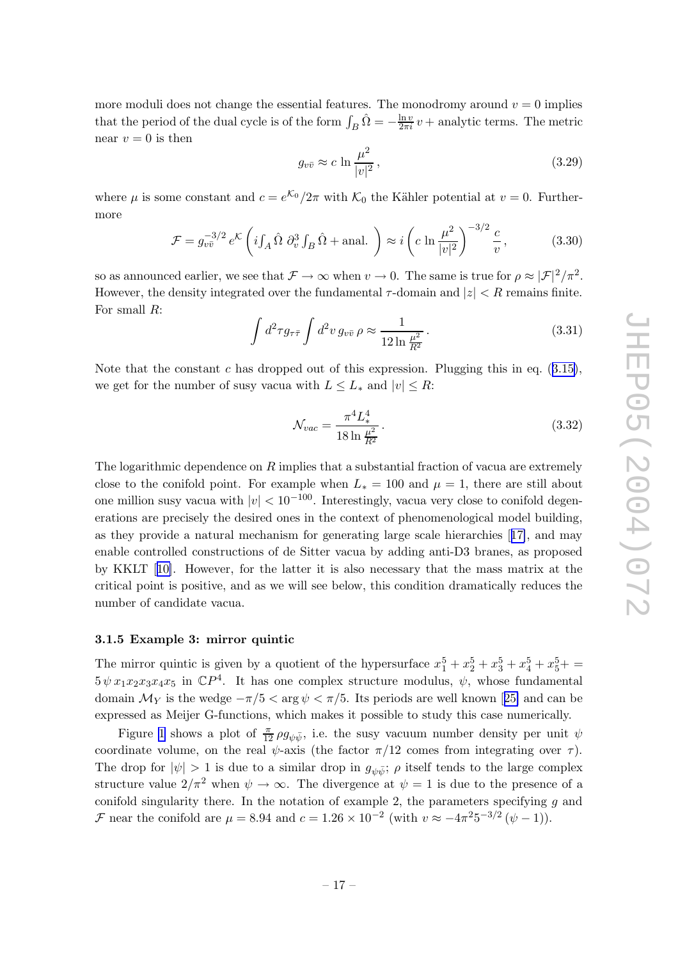<span id="page-17-0"></span>more moduli does not change the essential features. The monodromy around  $v = 0$  implies that the period of the dual cycle is of the form  $\int_B \hat{\Omega} = -\frac{\ln v}{2\pi i}$  $\frac{\ln v}{2\pi i}v +$  analytic terms. The metric near  $v = 0$  is then

$$
g_{v\bar{v}} \approx c \ln \frac{\mu^2}{|v|^2},\tag{3.29}
$$

where  $\mu$  is some constant and  $c = e^{\mathcal{K}_0}/2\pi$  with  $\mathcal{K}_0$  the Kähler potential at  $v = 0$ . Furthermore

$$
\mathcal{F} = g_{v\bar{v}}^{-3/2} e^{\mathcal{K}} \left( i \int_A \hat{\Omega} \partial_v^3 \int_B \hat{\Omega} + \text{anal.} \right) \approx i \left( c \ln \frac{\mu^2}{|v|^2} \right)^{-3/2} \frac{c}{v}, \quad (3.30)
$$

so as announced earlier, we see that  $\mathcal{F} \to \infty$  when  $v \to 0$ . The same is true for  $\rho \approx |\mathcal{F}|^2/\pi^2$ . However, the density integrated over the fundamental  $\tau$ -domain and  $|z| < R$  remains finite. For small R:

$$
\int d^2 \tau g_{\tau \bar{\tau}} \int d^2 v \, g_{v \bar{v}} \, \rho \approx \frac{1}{12 \ln \frac{\mu^2}{R^2}}. \tag{3.31}
$$

Note that the constant  $c$  has dropped out of this expression. Plugging this in eq.  $(3.15)$  $(3.15)$ , we get for the number of susy vacua with  $L \leq L_*$  and  $|v| \leq R$ :

$$
\mathcal{N}_{vac} = \frac{\pi^4 L_*^4}{18 \ln \frac{\mu^2}{R^2}}.
$$
\n(3.32)

The logarithmic dependence on R implies that a substantial fraction of vacua are extremely close to the conifold point. For example when  $L_* = 100$  and  $\mu = 1$ , there are still about one million susy vacua with  $|v| < 10^{-100}$ . Interestingly, vacua very close to conifold degenerations are precisely the desired ones in the context of phenomenological model building, as they provide a natural mechanism for generating large scale hierarchies [[17\]](#page-44-0), and may enable controlled constructions of de Sitter vacua b y adding anti-D3 branes, as proposed b y KKLT [[10\]](#page-44-0). Ho wever, for the latter it is also necessary that the mass matrix at the critical poin t is positive, and as w e will see below, this condition dramatically reduces the num ber of candidate vacua.

#### 3.1.5 Example 3: mirror quintic

The mirror quintic is given by a quotient of the hypersurface  $x_1^5 + x_2^5 + x_3^5 + x_4^5 + x_5^5 +$  $5\psi x_1x_2x_3x_4x_5$  in  $\mathbb{C}P^4$ . It has one complex structure modulus,  $\psi$ , whose fundamental domain  $\mathcal{M}_Y$  is the wedge  $-\pi/5 < \arg \psi < \pi/5$ . Its periods are well known [[25](#page-44-0)] and can be expressed as Meijer G-functions, whic h makes it possible to study this case numerically .

Figure [1](#page-18-0) shows a plot of  $\frac{\pi}{12} \rho g_{\psi\bar{\psi}}$ , i.e. the susy vacuum number density per unit  $\psi$ coordinate volume, on the real  $\psi$ -axis (the factor  $\pi/12$  comes from integrating over  $\tau$ ). The drop for  $|\psi| > 1$  is due to a similar drop in  $g_{\psi \bar{\psi}}$ ;  $\rho$  itself tends to the large complex structure value  $2/\pi^2$  when  $\psi \to \infty$ . The divergence at  $\psi = 1$  is due to the presence of a conifold singularity there. In the notation of example 2, the parameters specifying  $g$  and F near the conifold are  $\mu = 8.94$  and  $c = 1.26 \times 10^{-2}$  (with  $v \approx -4\pi^2 5^{-3/2} (\psi - 1)$ ).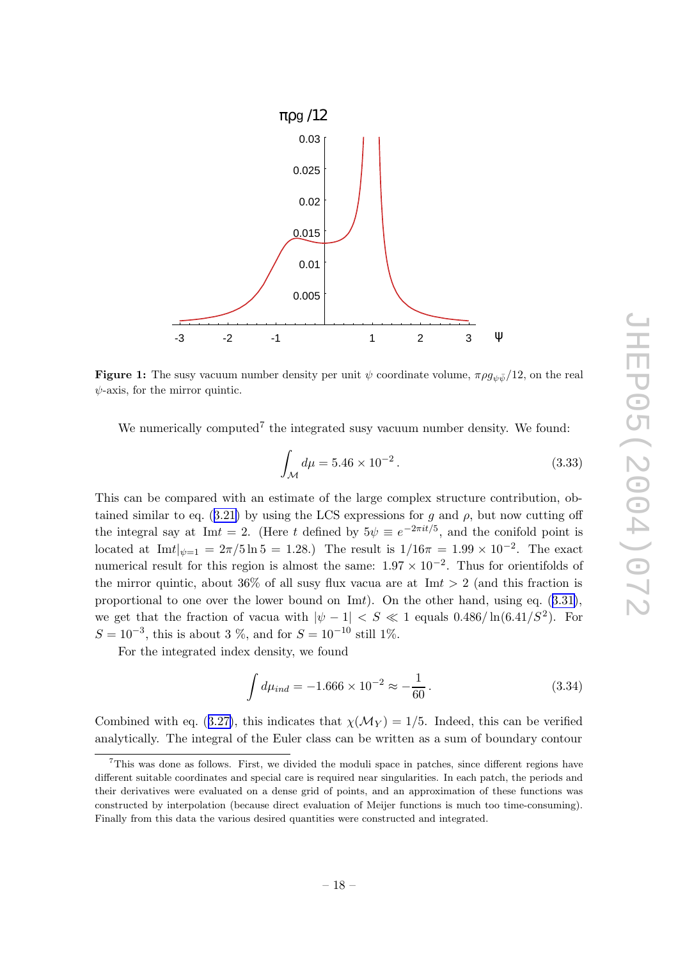<span id="page-18-0"></span>

**Figure 1:** The susy vacuum number density per unit  $\psi$  coordinate volume,  $\pi \rho g_{\psi \bar{\psi}}/12$ , on the real  $\psi$ -axis, for the mirror quintic.

We numerically computed<sup>7</sup> the integrated susy vacuum number density. We found:

$$
\int_{\mathcal{M}} d\mu = 5.46 \times 10^{-2} \,. \tag{3.33}
$$

This can b e compared with an estimate of the large complex structure contribution, ob-tained similar to eq. ([3.21\)](#page-15-0) by using the LCS expressions for g and  $\rho$ , but now cutting off the integral say at Im $t = 2$ . (Here t defined by  $5\psi \equiv e^{-2\pi i t/5}$ , and the conifold point is located at  $\text{Im}t|_{\psi=1} = 2\pi/5 \ln 5 = 1.28$ .) The result is  $1/16\pi = 1.99 \times 10^{-2}$ . The exact numerical result for this region is almost the same:  $1.97 \times 10^{-2}$ . Thus for orientifolds of the mirror quintic, about  $36\%$  of all susy flux vacua are at Im $t > 2$  (and this fraction is proportional to one over the lower bound on Imt). On the other hand, using eq.  $(3.31)$  $(3.31)$ , we get that the fraction of vacua with  $|\psi - 1| < S \ll 1$  equals  $0.486/\ln(6.41/S^2)$ . For  $S = 10^{-3}$ , this is about 3 %, and for  $S = 10^{-10}$  still 1%.

For the integrated index density, we found

$$
\int d\mu_{ind} = -1.666 \times 10^{-2} \approx -\frac{1}{60} \,. \tag{3.34}
$$

Combined with eq. ([3.27\)](#page-16-0), this indicates that  $\chi(\mathcal{M}_Y) = 1/5$ . Indeed, this can be verified analytically . The integral of the Euler class can b e written as a sum of boundary contour

<sup>&</sup>lt;sup>7</sup>This was done as follows. First, we divided the moduli space in patches, since different regions have different suitable coordinates and special care is required near singularities. In each patch, the periods and their derivatives were evaluated on a dense grid of points, and an approximation of these functions was constructed b y interpolation (because direct evaluation of Meijer functions is muc h to o time-consuming). Finally from this data the various desired quantities were constructed and integrated.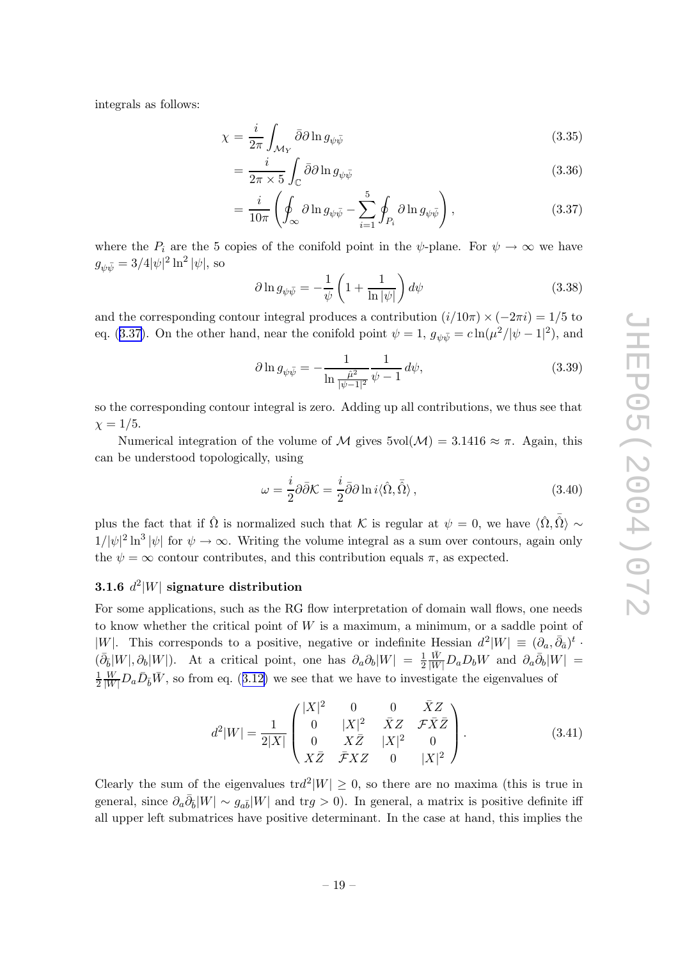<span id="page-19-0"></span>integrals as follows:

$$
\chi = \frac{i}{2\pi} \int_{\mathcal{M}_Y} \bar{\partial} \partial \ln g_{\psi \bar{\psi}} \tag{3.35}
$$

$$
= \frac{i}{2\pi \times 5} \int_{\mathbb{C}} \bar{\partial} \partial \ln g_{\psi \bar{\psi}} \tag{3.36}
$$

$$
= \frac{i}{10\pi} \left( \oint_{\infty} \partial \ln g_{\psi \bar{\psi}} - \sum_{i=1}^{5} \oint_{P_i} \partial \ln g_{\psi \bar{\psi}} \right), \tag{3.37}
$$

where the  $P_i$  are the 5 copies of the conifold point in the  $\psi$ -plane. For  $\psi \to \infty$  we have  $g_{\psi\bar{\psi}} = 3/4|\psi|^2 \ln^2 |\psi|$ , so

$$
\partial \ln g_{\psi\bar{\psi}} = -\frac{1}{\psi} \left( 1 + \frac{1}{\ln|\psi|} \right) d\psi \tag{3.38}
$$

and the corresponding contour integral produces a contribution  $(i/10\pi) \times (-2\pi i) = 1/5$  to eq. (3.37). On the other hand, near the conifold point  $\psi = 1$ ,  $g_{\psi \bar{\psi}} = c \ln(\mu^2/|\psi - 1|^2)$ , and

$$
\partial \ln g_{\psi \bar{\psi}} = -\frac{1}{\ln \frac{\hat{\mu}^2}{|\psi - 1|^2}} \frac{1}{\psi - 1} d\psi,
$$
\n(3.39)

so the corresponding contour integral is zero. Adding up all contributions, w e thus see that  $\chi = 1/5$ .

Numerical integration of the volume of  $\mathcal M$  gives  $5vol(\mathcal M) = 3.1416 \approx \pi$ . Again, this can b e understo o d topologically , using

$$
\omega = \frac{i}{2} \partial \bar{\partial} \mathcal{K} = \frac{i}{2} \bar{\partial} \partial \ln i \langle \hat{\Omega}, \bar{\hat{\Omega}} \rangle, \qquad (3.40)
$$

plus the fact that if  $\hat{\Omega}$  is normalized such that K is regular at  $\psi = 0$ , we have  $\langle \hat{\Omega}, \bar{\hat{\Omega}} \rangle \sim$  $1/|\psi|^2 \ln^3 |\psi|$  for  $\psi \to \infty$ . Writing the volume integral as a sum over contours, again only the  $\psi = \infty$  contour contributes, and this contribution equals  $\pi$ , as expected.

## $\bf{3.1.6} \,\,\it{d^2|W|} \,\, \rm{signature \,\, distribution}$

For some applications, such as the RG flow interpretation of domain wall flows, one needs to know whether the critical point of  $W$  is a maximum, a minimum, or a saddle point of |W|. This corresponds to a positive, negative or indefinite Hessian  $d^2|W| \equiv (\partial_a, \bar{\partial}_{\bar{a}})^t$ .  $(\bar{\partial}_{\bar{b}}|W|, \partial_b|W|)$ . At a critical point, one has  $\partial_a\partial_b|W| = \frac{1}{2} \frac{\bar{W}}{|W|}D_a D_b W$  and  $\partial_a\bar{\partial}_b|W| =$  $\frac{1}{2} \frac{W}{W} D_a \bar{D}_{\bar{b}} \bar{W}$ , so from eq. ([3.12\)](#page-14-0) we see that we have to investigate the eigenvalues of

$$
d^{2}|W| = \frac{1}{2|X|} \begin{pmatrix} |X|^{2} & 0 & 0 & \bar{X}Z \\ 0 & |X|^{2} & \bar{X}Z & \mathcal{F}\bar{X}\bar{Z} \\ 0 & X\bar{Z} & |X|^{2} & 0 \\ X\bar{Z} & \bar{\mathcal{F}}XZ & 0 & |X|^{2} \end{pmatrix}.
$$
 (3.41)

Clearly the sum of the eigenvalues  $tr d^2|W| \geq 0$ , so there are no maxima (this is true in general, since  $\partial_a\bar{\partial_b}|W| \sim g_{a\bar{b}}|W|$  and tr $g > 0$ ). In general, a matrix is positive definite iff all upper left submatrices hav e positiv e determinant. In the case at hand, this implies the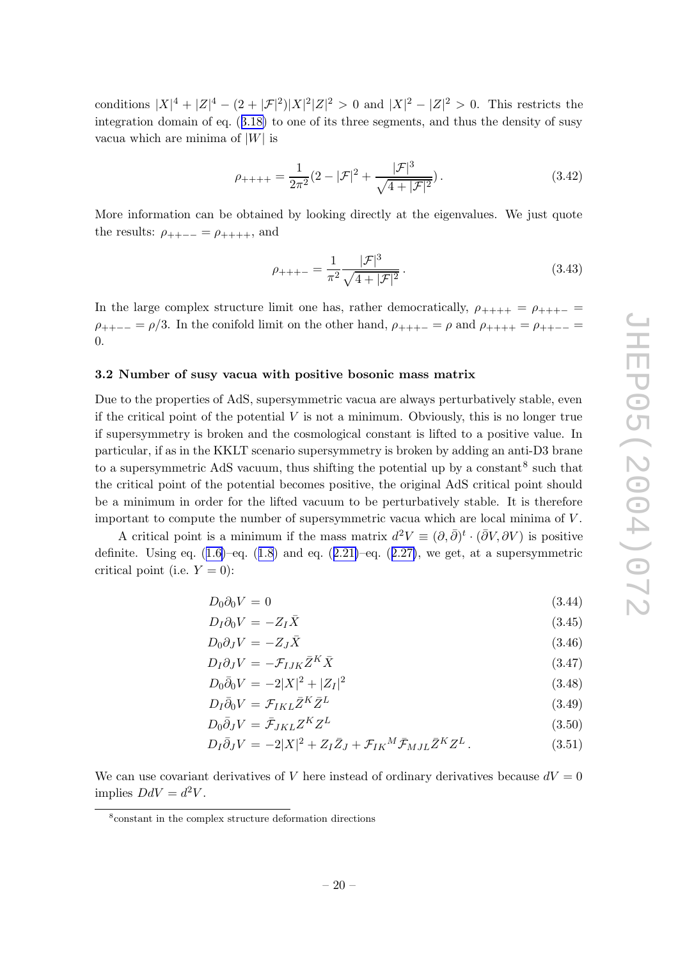<span id="page-20-0"></span>conditions  $|X|^4 + |Z|^4 - (2 + |\mathcal{F}|^2)|X|^2|Z|^2 > 0$  and  $|X|^2 - |Z|^2 > 0$ . This restricts the integration domain of eq.  $(3.18)$  $(3.18)$  $(3.18)$  to one of its three segments, and thus the density of susy vacua which are minima of  $|W|$  is

$$
\rho_{++++} = \frac{1}{2\pi^2} (2 - |\mathcal{F}|^2 + \frac{|\mathcal{F}|^3}{\sqrt{4 + |\mathcal{F}|^2}}). \tag{3.42}
$$

More information can be obtained by looking directly at the eigenvalues. We just quote the results:  $\rho_{++--} = \rho_{++++}$ , and

$$
\rho_{+++-} = \frac{1}{\pi^2} \frac{|\mathcal{F}|^3}{\sqrt{4 + |\mathcal{F}|^2}}.
$$
\n(3.43)

In the large complex structure limit one has, rather democratically,  $\rho_{++++} = \rho_{+++-}$  $\rho_{++--} = \rho/3$ . In the conifold limit on the other hand,  $\rho_{+++-} = \rho$  and  $\rho_{++++} = \rho_{++--}$ 0.

#### 3.2 Num ber of susy vacua with positiv e bosonic mass matrix

Due to the properties of AdS, supersymmetric vacua are alw ays perturbatively stable, even if the critical point of the potential  $V$  is not a minimum. Obviously, this is no longer true if supersymmetry is broken and the cosmological constan t is lifted to a positiv e value. In particular, if as in the KKLT scenario supersymmetry is broken b y adding an anti-D3 brane to a supersymmetric AdS vacuum, thus shifting the potential up by a constant<sup>8</sup> such that the critical point of the potential becomes positive, the original AdS critical point should b e a minimum in order for the lifted vacuum to b e perturbatively stable. It is therefore importan t to compute the num ber of supersymmetric vacua whic h are local minima of V .

A critical point is a minimum if the mass matrix  $d^2V \equiv (\partial, \bar{\partial})^t \cdot (\bar{\partial}V, \partial V)$  is positive definite. Using eq.  $(1.6)$  $(1.6)$ -eq.  $(1.8)$  $(1.8)$  $(1.8)$  and eq.  $(2.21)$  $(2.21)$ -eq.  $(2.27)$  $(2.27)$ , we get, at a supersymmetric critical point (i.e.  $Y = 0$ ):

$$
D_0 \partial_0 V = 0 \tag{3.44}
$$

$$
D_I \partial_0 V = -Z_I \bar{X} \tag{3.45}
$$

$$
D_0 \partial_J V = -Z_J \bar{X} \tag{3.46}
$$

$$
D_I \partial_J V = -\mathcal{F}_{IJK} \bar{Z}^K \bar{X}
$$
\n(3.47)

$$
D_0 \bar{\partial}_0 V = -2|X|^2 + |Z_I|^2 \tag{3.48}
$$

$$
D_I \bar{\partial}_0 V = \mathcal{F}_{IKL} \bar{Z}^K \bar{Z}^L \tag{3.49}
$$

$$
D_0 \bar{\partial}_J V = \bar{\mathcal{F}}_{JKL} Z^K Z^L \tag{3.50}
$$

$$
D_I \bar{\partial}_J V = -2|X|^2 + Z_I \bar{Z}_J + \mathcal{F}_{IK}{}^M \bar{\mathcal{F}}_{MJL} \bar{Z}^K Z^L. \tag{3.51}
$$

We can use covariant derivatives of V here instead of ordinary derivatives because  $dV = 0$ implies  $DdV = d^2V$ .

<sup>8</sup> constan t in the complex structure deformation directions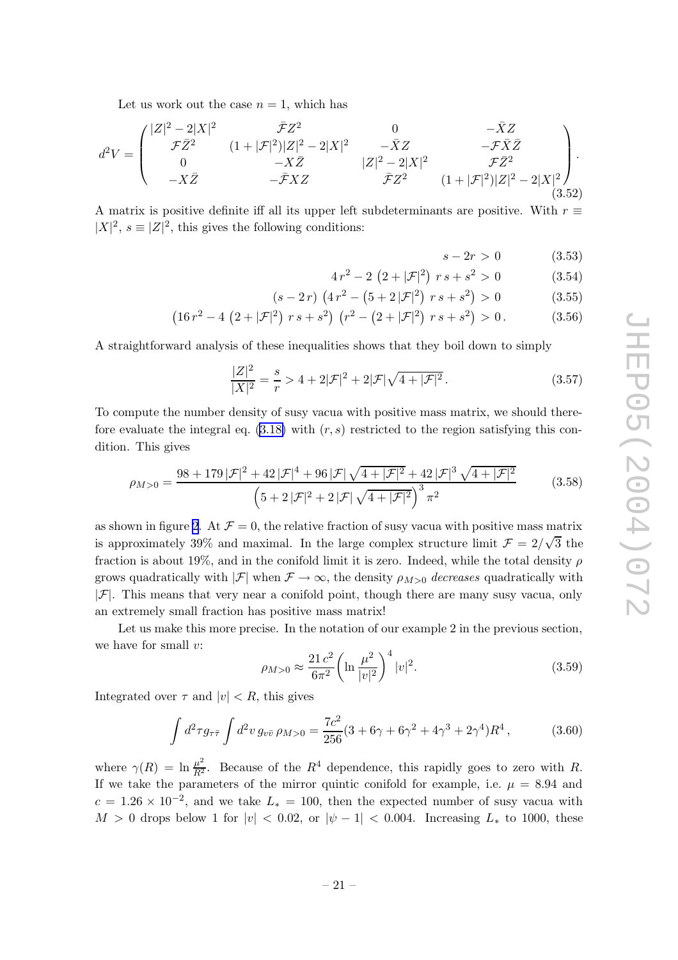<span id="page-21-0"></span>Let us work out the case  $n = 1$ , which has

$$
d^2V = \begin{pmatrix} |Z|^2 - 2|X|^2 & \bar{\mathcal{F}}Z^2 & 0 & -\bar{X}Z \\ \bar{\mathcal{F}}\bar{Z}^2 & (1 + |\mathcal{F}|^2)|Z|^2 - 2|X|^2 & -\bar{X}Z & -\mathcal{F}\bar{X}\bar{Z} \\ 0 & -X\bar{Z} & |Z|^2 - 2|X|^2 & \bar{\mathcal{F}}\bar{Z}^2 \\ -X\bar{Z} & -\bar{\mathcal{F}}XZ & \bar{\mathcal{F}}Z^2 & (1 + |\mathcal{F}|^2)|Z|^2 - 2|X|^2 \end{pmatrix}.
$$
\n(3.52)

A matrix is positive definite iff all its upper left subdeterminants are positive. With  $r \equiv$  $|X|^2$ ,  $s \equiv |Z|^2$ , this gives the following conditions:

$$
s - 2r > 0 \tag{3.53}
$$

$$
4r^2 - 2(2 + |\mathcal{F}|^2)rs + s^2 > 0 \qquad (3.54)
$$

$$
(s - 2r) \left( 4r^2 - (5 + 2|\mathcal{F}|^2) \, rs + s^2 \right) > 0 \tag{3.55}
$$

$$
(16 r2 - 4 (2 + |\mathcal{F}|2) r s + s2) (r2 - (2 + |\mathcal{F}|2) r s + s2) > 0.
$$
 (3.56)

A straightforward analysis of these inequalities shows that they boil down to simply

$$
\frac{|Z|^2}{|X|^2} = \frac{s}{r} > 4 + 2|\mathcal{F}|^2 + 2|\mathcal{F}|\sqrt{4 + |\mathcal{F}|^2}.
$$
 (3.57)

To compute the num ber densit y of susy vacua with positiv e mass matrix, w e should therefore evaluate the integral eq.  $(3.18)$  with  $(r, s)$  restricted to the region satisfying this condition. This gives

$$
\rho_{M>0} = \frac{98 + 179 |\mathcal{F}|^2 + 42 |\mathcal{F}|^4 + 96 |\mathcal{F}| \sqrt{4 + |\mathcal{F}|^2 + 42 |\mathcal{F}|^3 \sqrt{4 + |\mathcal{F}|^2}}}{\left(5 + 2 |\mathcal{F}|^2 + 2 |\mathcal{F}| \sqrt{4 + |\mathcal{F}|^2}\right)^3 \pi^2}
$$
(3.58)

as shown in figure [2](#page-22-0). At  $\mathcal{F} = 0$ , the relative fraction of susy vacua with positive mass matrix is approximately 39% and maximal. In the large complex structure limit  $\mathcal{F} = 2/\sqrt{3}$  the fraction is about 19%, and in the conifold limit it is zero. Indeed, while the total density  $\rho$ grows quadratically with  $|\mathcal{F}|$  when  $\mathcal{F} \to \infty$ , the density  $\rho_{M>0}$  decreases quadratically with  $|\mathcal{F}|$ . This means that very near a conifold point, though there are many susy vacua, only an extremely small fraction has positiv e mass matrix!

Let us make this more precise. In the notation of our example 2 in the previous section, we have for small  $v$ :

$$
\rho_{M>0} \approx \frac{21 c^2}{6\pi^2} \left( \ln \frac{\mu^2}{|v|^2} \right)^4 |v|^2.
$$
\n(3.59)

Integrated over  $\tau$  and  $|v| < R$ , this gives

$$
\int d^2 \tau g_{\tau \bar{\tau}} \int d^2 v \, g_{v \bar{v}} \, \rho_{M>0} = \frac{7c^2}{256} (3 + 6\gamma + 6\gamma^2 + 4\gamma^3 + 2\gamma^4) R^4 \,, \tag{3.60}
$$

where  $\gamma(R) = \ln \frac{\mu^2}{R^2}$  $\frac{\mu^2}{R^2}$ . Because of the  $R^4$  dependence, this rapidly goes to zero with R. If we take the parameters of the mirror quintic conifold for example, i.e.  $\mu = 8.94$  and  $c = 1.26 \times 10^{-2}$ , and we take  $L_* = 100$ , then the expected number of susy vacua with  $M > 0$  drops below 1 for  $|v| < 0.02$ , or  $|\psi - 1| < 0.004$ . Increasing  $L_*$  to 1000, these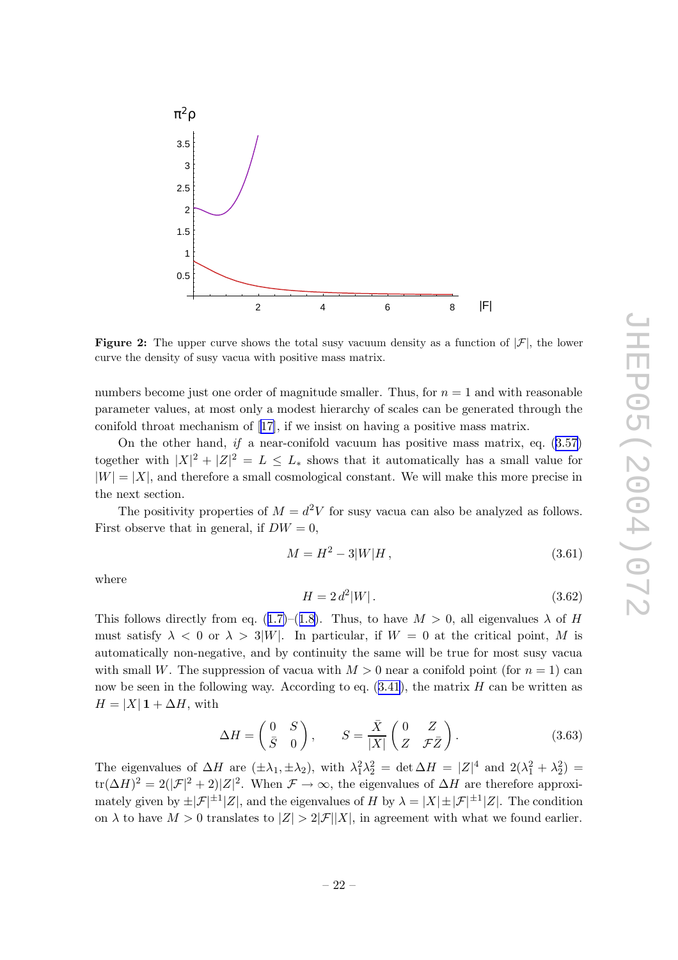<span id="page-22-0"></span>

**Figure 2:** The upper curve shows the total susy vacuum density as a function of  $|\mathcal{F}|$ , the lower curv e the densit y of susy vacua with positiv e mass matrix.

numbers become just one order of magnitude smaller. Thus, for  $n = 1$  and with reasonable parameter values, at most only a modest hierarc h y of scales can b e generated through the conifold throat mechanism of [[17\]](#page-44-0), if we insist on having a positive mass matrix.

On the other hand, if a near-conifold vacuum has positive mass matrix, eq.  $(3.57)$  $(3.57)$  $(3.57)$ together with  $|X|^2 + |Z|^2 = L \leq L_*$  shows that it automatically has a small value for  $|W| = |X|$ , and therefore a small cosmological constant. We will make this more precise in the next section.

The positivity properties of  $M = d^2V$  for susy vacua can also be analyzed as follows. First observe that in general, if  $DW = 0$ ,

$$
M = H^2 - 3|W|H,
$$
\n(3.61)

where

$$
H = 2 d^2 |W| \,. \tag{3.62}
$$

This follows directly from eq.  $(1.7)$  $(1.7)$ – $(1.8)$  $(1.8)$ . Thus, to have  $M > 0$ , all eigenvalues  $\lambda$  of H must satisfy  $\lambda < 0$  or  $\lambda > 3|W|$ . In particular, if  $W = 0$  at the critical point, M is automatically non-negative, and b y continuit y the same will b e true for most susy vacua with small W. The suppression of vacua with  $M > 0$  near a conifold point (for  $n = 1$ ) can now be seen in the following way. According to eq.  $(3.41)$  $(3.41)$ , the matrix H can be written as  $H = |X| \mathbf{1} + \Delta H$ , with

$$
\Delta H = \begin{pmatrix} 0 & S \\ \bar{S} & 0 \end{pmatrix}, \qquad S = \frac{\bar{X}}{|X|} \begin{pmatrix} 0 & Z \\ Z & \mathcal{F}\bar{Z} \end{pmatrix} . \tag{3.63}
$$

The eigenvalues of  $\Delta H$  are  $(\pm \lambda_1, \pm \lambda_2)$ , with  $\lambda_1^2 \lambda_2^2 = \det \Delta H = |Z|^4$  and  $2(\lambda_1^2 + \lambda_2^2) =$  $tr(\Delta H)^2 = 2(|\mathcal{F}|^2 + 2)|Z|^2$ . When  $\mathcal{F} \to \infty$ , the eigenvalues of  $\Delta H$  are therefore approximately given by  $\pm |\mathcal{F}|^{\pm 1} |Z|$ , and the eigenvalues of H by  $\lambda = |X| \pm |\mathcal{F}|^{\pm 1} |Z|$ . The condition on  $\lambda$  to have  $M > 0$  translates to  $|Z| > 2|\mathcal{F}||X|$ , in agreement with what we found earlier.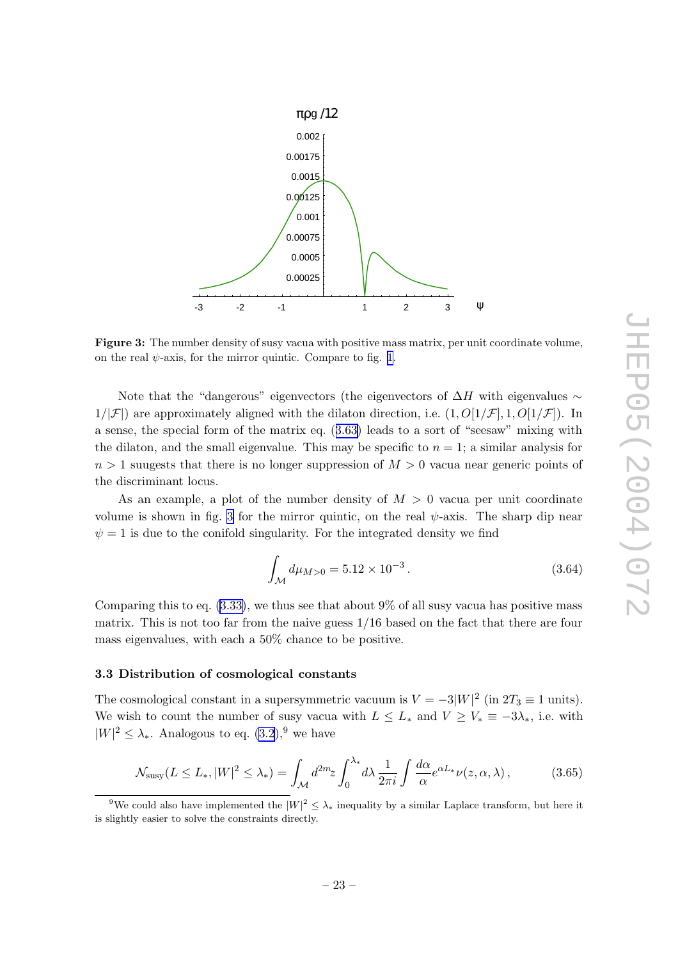<span id="page-23-0"></span>

Figure 3: The number density of susy vacua with positive mass matrix, per unit coordinate volume, on the real  $\psi$ -axis, for the mirror quintic. Compare to fig. [1](#page-18-0).

Note that the "dangerous" eigenvectors (the eigenvectors of  $\Delta H$  with eigenvalues  $\sim$  $1/|\mathcal{F}|$  are approximately aligned with the dilaton direction, i.e.  $(1, O[1/\mathcal{F}], 1, O[1/\mathcal{F}])$ . In a sense, the special form of the matrix eq. ([3.63](#page-22-0) ) leads to a sort of "seesaw" mixing with the dilaton, and the small eigenvalue. This may be specific to  $n = 1$ ; a similar analysis for  $n > 1$  suugests that there is no longer suppression of  $M > 0$  vacua near generic points of the discriminan t locus.

As an example, a plot of the number density of  $M > 0$  vacua per unit coordinate volume is shown in fig. 3 for the mirror quintic, on the real  $\psi$ -axis. The sharp dip near  $\psi = 1$  is due to the conifold singularity. For the integrated density we find

$$
\int_{\mathcal{M}} d\mu_{M>0} = 5.12 \times 10^{-3} \,. \tag{3.64}
$$

Comparing this to eq.  $(3.33)$ , we thus see that about 9% of all susy vacua has positive mass matrix. This is not to o far from the naiv e guess 1 /16 based on the fact that there are four mass eigen values, with eac h a 50% chance to b e positive.

#### 3.3 Distribution of cosmological constants

The cosmological constant in a supersymmetric vacuum is  $V = -3|W|^2$  (in  $2T_3 \equiv 1$  units). We wish to count the number of susy vacua with  $L \leq L_*$  and  $V \geq V_* \equiv -3\lambda_*$ , i.e. with  $|W|^2 \leq \lambda_*$ . Analogous to eq.  $(3.2)$ , we have

$$
\mathcal{N}_{\text{susy}}(L \le L_*, |W|^2 \le \lambda_*) = \int_{\mathcal{M}} d^{2m}z \int_0^{\lambda_*} d\lambda \frac{1}{2\pi i} \int \frac{d\alpha}{\alpha} e^{\alpha L_*} \nu(z, \alpha, \lambda), \tag{3.65}
$$

<sup>&</sup>lt;sup>9</sup>We could also have implemented the  $|W|^2 \leq \lambda_*$  inequality by a similar Laplace transform, but here it is slightly easier to solv e the constraints directly .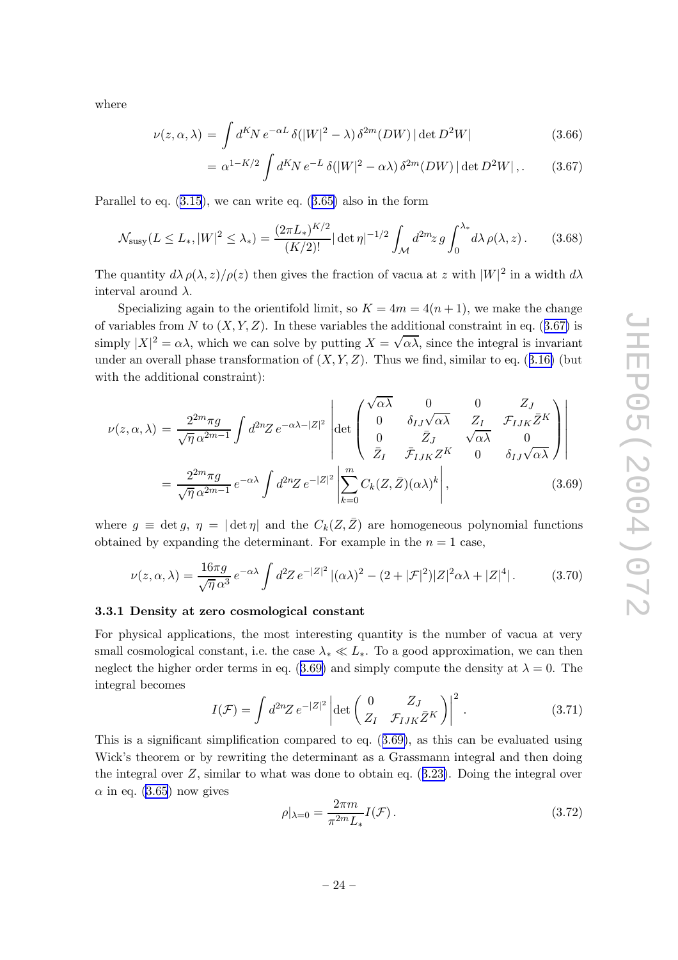<span id="page-24-0"></span>where

$$
\nu(z,\alpha,\lambda) = \int d^K N \, e^{-\alpha L} \, \delta(|W|^2 - \lambda) \, \delta^{2m}(DW) \, |\det D^2 W| \tag{3.66}
$$

$$
= \alpha^{1-K/2} \int d^K N e^{-L} \delta(|W|^2 - \alpha \lambda) \delta^{2m}(DW) |\det D^2 W|,.
$$
 (3.67)

Parallel to eq.  $(3.15)$  $(3.15)$  $(3.15)$ , we can write eq.  $(3.65)$  $(3.65)$  $(3.65)$  also in the form

$$
\mathcal{N}_{\text{susy}}(L \le L_*, |W|^2 \le \lambda_*) = \frac{(2\pi L_*)^{K/2}}{(K/2)!} |\det \eta|^{-1/2} \int_{\mathcal{M}} d^{2m}z \, g \int_0^{\lambda_*} d\lambda \, \rho(\lambda, z) \,. \tag{3.68}
$$

The quantity  $d\lambda \rho(\lambda, z)/\rho(z)$  then gives the fraction of vacua at z with  $|W|^2$  in a width  $d\lambda$ interval around  $\lambda$ .

Specializing again to the orientifold limit, so  $K = 4m = 4(n+1)$ , we make the change of variables from N to  $(X, Y, Z)$ . In these variables the additional constraint in eq. (3.67) is simply  $|X|^2 = \alpha \lambda$ , which we can solve by putting  $X = \sqrt{\alpha \lambda}$ , since the integral is invariant under an overall phase transformation of  $(X, Y, Z)$ . Thus we find, similar to eq.  $(3.16)$  $(3.16)$  $(3.16)$  (but with the additional constraint):

$$
\nu(z,\alpha,\lambda) = \frac{2^{2m}\pi g}{\sqrt{\eta} \alpha^{2m-1}} \int d^{2n}Z \, e^{-\alpha\lambda - |Z|^2} \left| \det \begin{pmatrix} \sqrt{\alpha\lambda} & 0 & 0 & Z_J \\ 0 & \delta_{IJ}\sqrt{\alpha\lambda} & Z_I & \mathcal{F}_{IJK}\bar{Z}^K \\ 0 & \bar{Z}_J & \sqrt{\alpha\lambda} & 0 \\ \bar{Z}_I & \bar{\mathcal{F}}_{IJK}Z^K & 0 & \delta_{IJ}\sqrt{\alpha\lambda} \end{pmatrix} \right|
$$
  

$$
= \frac{2^{2m}\pi g}{\sqrt{\eta} \alpha^{2m-1}} e^{-\alpha\lambda} \int d^{2n}Z \, e^{-|Z|^2} \left| \sum_{k=0}^m C_k(Z,\bar{Z})(\alpha\lambda)^k \right|, \qquad (3.69)
$$

where  $g \equiv \det g$ ,  $\eta = |\det \eta|$  and the  $C_k(Z, \bar{Z})$  are homogeneous polynomial functions obtained by expanding the determinant. For example in the  $n = 1$  case,

$$
\nu(z,\alpha,\lambda) = \frac{16\pi g}{\sqrt{\eta} \,\alpha^3} \, e^{-\alpha\lambda} \int d^2 z \, e^{-|Z|^2} \, |(\alpha\lambda)^2 - (2+|\mathcal{F}|^2)|Z|^2 \alpha\lambda + |Z|^4 \, . \tag{3.70}
$$

#### 3.3.1 Densit y at zero cosmological constan t

For physical applications, the most interesting quantity is the number of vacua at very small cosmological constant, i.e. the case  $\lambda_* \ll L_*$ . To a good approximation, we can then neglect the higher order terms in eq. (3.69) and simply compute the density at  $\lambda = 0$ . The integral becomes

$$
I(\mathcal{F}) = \int d^{2n}Z \, e^{-|Z|^2} \left| \det \begin{pmatrix} 0 & Z_J \\ Z_I & \mathcal{F}_{IJK} \bar{Z}^K \end{pmatrix} \right|^2. \tag{3.71}
$$

This is a significan t simplification compared to eq. (3.69), as this can b e evaluated using Wick's theorem or by rewriting the determinant as a Grassmann integral and then doing the integral over  $Z$ , similar to what was done to obtain eq.  $(3.23)$  $(3.23)$ . Doing the integral over  $\alpha$  in eq. [\(3.65](#page-23-0)) now gives

$$
\rho|_{\lambda=0} = \frac{2\pi m}{\pi^{2m} L_*} I(\mathcal{F}).
$$
\n(3.72)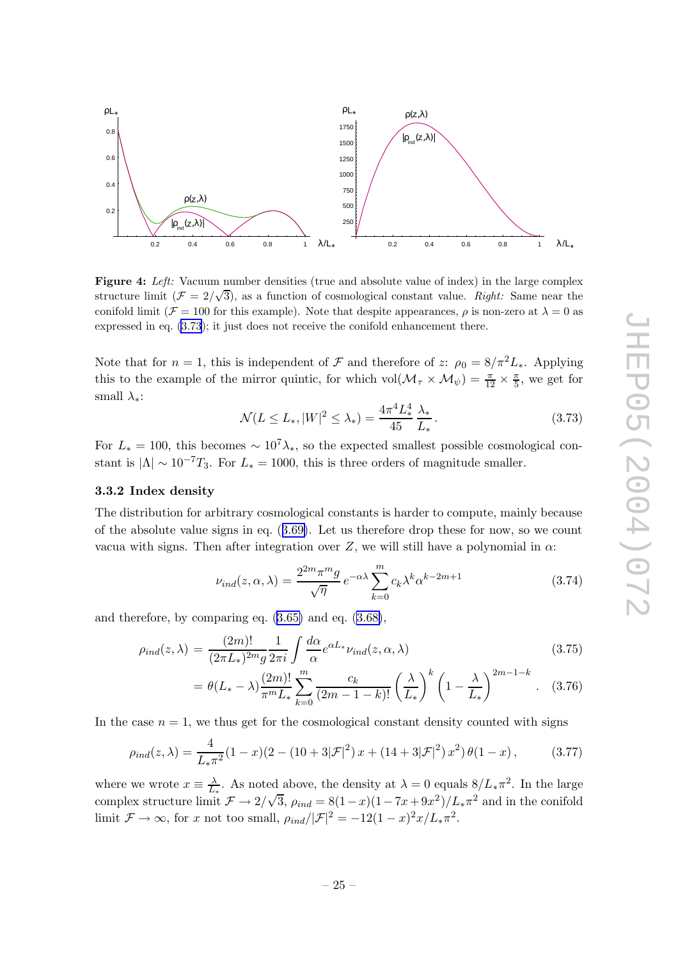<span id="page-25-0"></span>

Figure 4: Left: Vacuum number densities (true and absolute value of index) in the large complex structure limit  $(\mathcal{F} = 2/\sqrt{3})$ , as a function of cosmological constant value. Right: Same near the conifold limit ( $\mathcal{F} = 100$  for this example). Note that despite appearances,  $\rho$  is non-zero at  $\lambda = 0$  as expressed in eq. (3.73); it just does not receiv e the conifold enhancemen t there.

Note that for  $n = 1$ , this is independent of  $\mathcal F$  and therefore of z:  $\rho_0 = 8/\pi^2 L_*$ . Applying this to the example of the mirror quintic, for which  $vol(\mathcal{M}_{\tau} \times \mathcal{M}_{\psi}) = \frac{\pi}{12}$  $\frac{\pi}{12} \times \frac{\pi}{5}$  $\frac{\pi}{5}$ , we get for small  $\lambda_*$ :

$$
\mathcal{N}(L \le L_*, |W|^2 \le \lambda_*) = \frac{4\pi^4 L_*^4}{45} \frac{\lambda_*}{L_*}.
$$
\n(3.73)

For  $L_* = 100$ , this becomes  $\sim 10^7 \lambda_*$ , so the expected smallest possible cosmological constant is  $|\Lambda| \sim 10^{-7} T_3$ . For  $L_* = 1000$ , this is three orders of magnitude smaller.

#### 3.3.2 Index densit y

The distribution for arbitrary cosmological constants is harder to compute, mainly because of the absolute value signs in eq. ([3.69\)](#page-24-0). Let us therefore drop these for now, so w e coun t vacua with signs. Then after integration over Z, we will still have a polynomial in  $\alpha$ :

$$
\nu_{ind}(z,\alpha,\lambda) = \frac{2^{2m}\pi^m g}{\sqrt{\eta}} e^{-\alpha\lambda} \sum_{k=0}^m c_k \lambda^k \alpha^{k-2m+1}
$$
\n(3.74)

and therefore, b y comparing eq. [\(3.65](#page-23-0) ) and eq. [\(3.68\)](#page-24-0),

$$
\rho_{ind}(z,\lambda) = \frac{(2m)!}{(2\pi L_*)^{2m}g} \frac{1}{2\pi i} \int \frac{d\alpha}{\alpha} e^{\alpha L_*} \nu_{ind}(z,\alpha,\lambda)
$$
\n(3.75)

$$
= \theta(L_{*} - \lambda) \frac{(2m)!}{\pi^{m} L_{*}} \sum_{k=0}^{m} \frac{c_{k}}{(2m - 1 - k)!} \left(\frac{\lambda}{L_{*}}\right)^{k} \left(1 - \frac{\lambda}{L_{*}}\right)^{2m - 1 - k}.
$$
 (3.76)

In the case  $n = 1$ , we thus get for the cosmological constant density counted with signs

$$
\rho_{ind}(z,\lambda) = \frac{4}{L_* \pi^2} (1-x)(2 - (10+3|\mathcal{F}|^2) x + (14+3|\mathcal{F}|^2) x^2) \theta(1-x), \quad (3.77)
$$

where we wrote  $x \equiv \frac{\lambda}{L_*}$ . As noted above, the density at  $\lambda = 0$  equals  $8/L_* \pi^2$ . In the large complex structure limit  $\mathcal{F} \to 2/\sqrt{3}$ ,  $\rho_{ind} = 8(1-x)(1-7x+9x^2)/L_*\pi^2$  and in the conifold limit  $\mathcal{F} \to \infty$ , for x not too small,  $\rho_{ind}/|\mathcal{F}|^2 = -12(1-x)^2x/L_*\pi^2$ .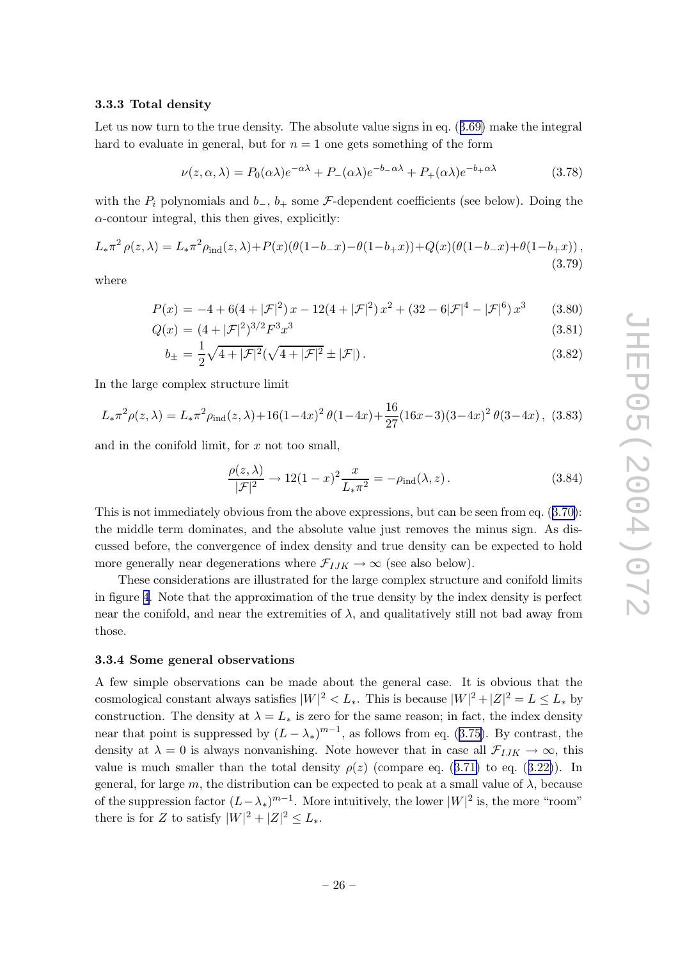#### <span id="page-26-0"></span>3.3.3 Total densit y

Let us now turn to the true density. The absolute value signs in eq.  $(3.69)$  $(3.69)$  $(3.69)$  make the integral hard to evaluate in general, but for  $n = 1$  one gets something of the form

$$
\nu(z,\alpha,\lambda) = P_0(\alpha\lambda)e^{-\alpha\lambda} + P_-(\alpha\lambda)e^{-b_-\alpha\lambda} + P_+(\alpha\lambda)e^{-b_+\alpha\lambda}
$$
\n(3.78)

with the  $P_i$  polynomials and  $b_-, b_+$  some  $\mathcal{F}\text{-dependent coefficients}$  (see below). Doing the  $\alpha$ -contour integral, this then gives, explicitly:

$$
L_{*}\pi^{2}\rho(z,\lambda) = L_{*}\pi^{2}\rho_{\text{ind}}(z,\lambda) + P(x)(\theta(1-b_{-}x) - \theta(1-b_{+}x)) + Q(x)(\theta(1-b_{-}x) + \theta(1-b_{+}x)),
$$
\n(3.79)

where

$$
P(x) = -4 + 6(4 + |\mathcal{F}|^2)x - 12(4 + |\mathcal{F}|^2)x^2 + (32 - 6|\mathcal{F}|^4 - |\mathcal{F}|^6)x^3
$$
 (3.80)  

$$
Q(x) = (4 + |\mathcal{F}|^2)^{3/2}F^3x^3
$$
 (3.81)

$$
Q(x) = (4 + |\mathcal{F}|^2)^{3/2} F^3 x^3 \tag{3.81}
$$

$$
b_{\pm} = \frac{1}{2}\sqrt{4 + |\mathcal{F}|^2}(\sqrt{4 + |\mathcal{F}|^2} \pm |\mathcal{F}|).
$$
 (3.82)

In the large complex structure limit

$$
L_{*}\pi^{2}\rho(z,\lambda) = L_{*}\pi^{2}\rho_{\text{ind}}(z,\lambda) + 16(1-4x)^{2}\theta(1-4x) + \frac{16}{27}(16x-3)(3-4x)^{2}\theta(3-4x),
$$
 (3.83)

and in the conifold limit, for  $x$  not too small,

$$
\frac{\rho(z,\lambda)}{|\mathcal{F}|^2} \to 12(1-x)^2 \frac{x}{L_*\pi^2} = -\rho_{\text{ind}}(\lambda, z). \tag{3.84}
$$

This is not immediately obvious from the above expressions, but can be seen from eq.  $(3.70)$  $(3.70)$ : the middle term dominates, and the absolute value just removes the minus sign. As discussed before, the convergence of index density and true density can be expected to hold more generally near degenerations where  $\mathcal{F}_{IJK} \to \infty$  (see also below).

These considerations are illustrated for the large complex structure and conifold limits in figure [4](#page-25-0). Note that the approximation of the true density by the index density is perfect near the conifold, and near the extremities of  $\lambda$ , and qualitatively still not bad away from those.

#### 3.3.4 Some general observations

A few simple observations can be made about the general case. It is obvious that the cosmological constant always satisfies  $|W|^2 < L_*$ . This is because  $|W|^2 + |Z|^2 = L \leq L_*$  by construction. The density at  $\lambda = L_*$  is zero for the same reason; in fact, the index density near that point is suppressed by  $(L - \lambda_*)^{m-1}$ , as follows from eq. ([3.75\)](#page-25-0). By contrast, the density at  $\lambda = 0$  is always nonvanishing. Note however that in case all  $\mathcal{F}_{IJK} \to \infty$ , this value is much smaller than the total density  $\rho(z)$  (compare eq. ([3.71](#page-24-0)) to eq. ([3.22\)](#page-15-0)). In general, for large m, the distribution can be expected to peak at a small value of  $\lambda$ , because of the suppression factor  $(L - \lambda_*)^{m-1}$ . More intuitively, the lower  $|W|^2$  is, the more "room" there is for Z to satisfy  $|W|^2 + |Z|^2 \leq L_*$ .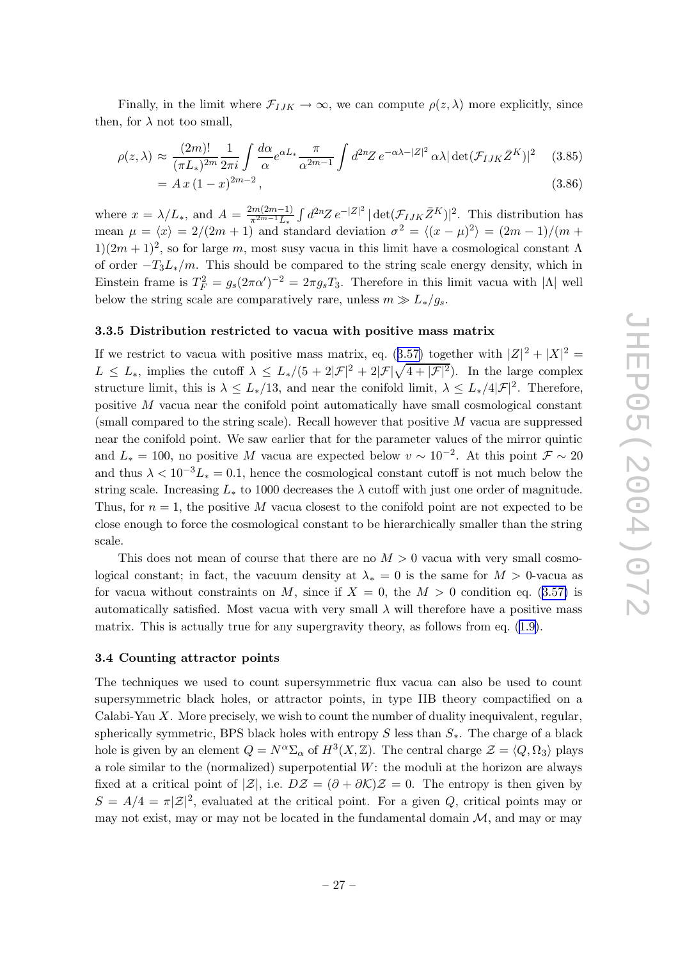<span id="page-27-0"></span>Finally, in the limit where  $\mathcal{F}_{IJK} \to \infty$ , we can compute  $\rho(z,\lambda)$  more explicitly, since then, for  $\lambda$  not too small,

$$
\rho(z,\lambda) \approx \frac{(2m)!}{(\pi L_*)^{2m}} \frac{1}{2\pi i} \int \frac{d\alpha}{\alpha} e^{\alpha L_*} \frac{\pi}{\alpha^{2m-1}} \int d^{2n}Z \, e^{-\alpha \lambda - |Z|^2} \, \alpha \lambda |\det(\mathcal{F}_{IJK}\bar{Z}^K)|^2 \tag{3.85}
$$

$$
= A x (1 - x)^{2m - 2}, \tag{3.86}
$$

where  $x = \lambda/L_*$ , and  $A = \frac{2m(2m-1)}{\pi^{2m-1}L_*}$  $\frac{m(2m-1)}{\pi^{2m-1}L_*} \int d^{2n}Z \, e^{-|Z|^2} |\det(\mathcal{F}_{IJK}\bar{Z}^K)|^2$ . This distribution has mean  $\mu = \langle x \rangle = 2/(2m+1)$  and standard deviation  $\sigma^2 = \langle (x-\mu)^2 \rangle = (2m-1)/(m+1)$  $1(2m+1)^2$ , so for large m, most susy vacua in this limit have a cosmological constant  $\Lambda$ of order  $-T_3L_*/m$ . This should be compared to the string scale energy density, which in Einstein frame is  $T_F^2 = g_s(2\pi\alpha')^{-2} = 2\pi g_s T_3$ . Therefore in this limit vacua with  $|\Lambda|$  well below the string scale are comparatively rare, unless  $m \gg L_*/g_s$ .

#### 3.3.5 Distribution restricted to vacua with positiv e mass matrix

If we restrict to vacua with positive mass matrix, eq.  $(3.57)$  $(3.57)$  $(3.57)$  together with  $|Z|^2 + |X|^2 =$  $L \leq L_*$ , implies the cutoff  $\lambda \leq L_*/(5+2|\mathcal{F}|^2+2|\mathcal{F}|\sqrt{4+|\mathcal{F}|^2})$ . In the large complex structure limit, this is  $\lambda \leq L_*/13$ , and near the conifold limit,  $\lambda \leq L_*/4|\mathcal{F}|^2$ . Therefore, positive M vacua near the conifold point automatically have small cosmological constant  $(s$ mall compared to the string scale). Recall however that positive  $M$  vacua are suppressed near the conifold point. We saw earlier that for the parameter values of the mirror quintic and  $L_* = 100$ , no positive M vacua are expected below  $v \sim 10^{-2}$ . At this point  $\mathcal{F} \sim 20$ and thus  $\lambda < 10^{-3} L_* = 0.1$ , hence the cosmological constant cutoff is not much below the string scale. Increasing  $L_*$  to 1000 decreases the  $\lambda$  cutoff with just one order of magnitude. Thus, for  $n = 1$ , the positive M vacua closest to the conifold point are not expected to be close enough to force the cosmological constan t to b e hierarchically smaller than the string scale.

This does not mean of course that there are no  $M > 0$  vacua with very small cosmological constant; in fact, the vacuum density at  $\lambda_* = 0$  is the same for  $M > 0$ -vacua as for vacua without constraints on M, since if  $X = 0$ , the  $M > 0$  condition eq. ([3.57](#page-21-0)) is automatically satisfied. Most vacua with very small  $\lambda$  will therefore have a positive mass matrix. This is actually true for any supergravity theory, as follows from eq.  $(1.9)$  $(1.9)$ .

#### 3.4 Counting attractor points

The techniques we used to count supersymmetric flux vacua can also be used to count supersymmetric black holes, or attractor points, in type IIB theory compactified on a Calabi-Yau X. More precisely, we wish to count the number of duality inequivalent, regular, spherically symmetric, BPS black holes with entropy  $S$  less than  $S_*$ . The charge of a black hole is given by an element  $Q = N^{\alpha} \Sigma_{\alpha}$  of  $H^3(X, \mathbb{Z})$ . The central charge  $\mathcal{Z} = \langle Q, \Omega_3 \rangle$  plays a role similar to the (normalized) superpotential  $W$ : the moduli at the horizon are always fixed at a critical point of  $|\mathcal{Z}|$ , i.e.  $D\mathcal{Z} = (\partial + \partial \mathcal{K})\mathcal{Z} = 0$ . The entropy is then given by  $S = A/4 = \pi |\mathcal{Z}|^2$ , evaluated at the critical point. For a given Q, critical points may or may not exist, may or may not be located in the fundamental domain  $M$ , and may or may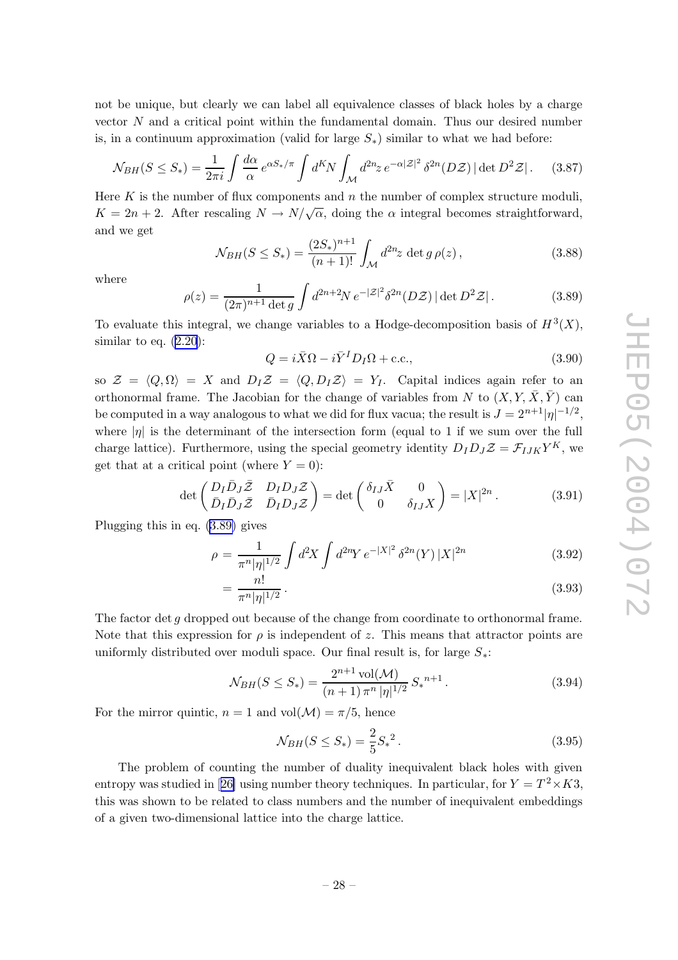<span id="page-28-0"></span>not b e unique, but clearly w e can label all equivalence classes of blac k holes b y a charge vector N and a critical point within the fundamental domain. Thus our desired number is, in a continuum approximation (valid for large  $S_*$ ) similar to what we had before:

$$
\mathcal{N}_{BH}(S \le S_*) = \frac{1}{2\pi i} \int \frac{d\alpha}{\alpha} e^{\alpha S_*/\pi} \int d^K N \int_{\mathcal{M}} d^{2n} z \, e^{-\alpha |\mathcal{Z}|^2} \, \delta^{2n}(D\mathcal{Z}) \, |\det D^2 \mathcal{Z}| \,. \tag{3.87}
$$

Here  $K$  is the number of flux components and  $n$  the number of complex structure moduli,  $K = 2n + 2$ . After rescaling  $N \to N/\sqrt{\alpha}$ , doing the  $\alpha$  integral becomes straightforward, and w e get

$$
\mathcal{N}_{BH}(S \le S_*) = \frac{(2S_*)^{n+1}}{(n+1)!} \int_{\mathcal{M}} d^{2n}z \, \det g \, \rho(z) \,, \tag{3.88}
$$

where

$$
\rho(z) = \frac{1}{(2\pi)^{n+1} \det g} \int d^{2n+2}N e^{-|\mathcal{Z}|^2} \delta^{2n}(D\mathcal{Z}) |\det D^2 \mathcal{Z}|.
$$
 (3.89)

To evaluate this integral, we change variables to a Hodge-decomposition basis of  $H^3(X)$ , similar to eq.  $(2.20)$  $(2.20)$ :

$$
Q = i\bar{X}\Omega - i\bar{Y}^I D_I \Omega + \text{c.c.},\tag{3.90}
$$

so  $\mathcal{Z} = \langle Q, \Omega \rangle = X$  and  $D_I \mathcal{Z} = \langle Q, D_I \mathcal{Z} \rangle = Y_I$ . Capital indices again refer to an orthonormal frame. The Jacobian for the change of variables from N to  $(X, Y, \overline{X}, \overline{Y})$  can be computed in a way analogous to what we did for flux vacua; the result is  $J = 2^{n+1} |\eta|^{-1/2}$ , where  $|\eta|$  is the determinant of the intersection form (equal to 1 if we sum over the full charge lattice). Furthermore, using the special geometry identity  $D_I D_J \mathcal{Z} = \mathcal{F}_{IJK} Y^K$ , we get that at a critical point (where  $Y = 0$ ):

$$
\det\begin{pmatrix} D_I \bar{D}_J \bar{Z} & D_I D_J Z \\ \bar{D}_I \bar{D}_J \bar{Z} & \bar{D}_I D_J Z \end{pmatrix} = \det\begin{pmatrix} \delta_{IJ} \bar{X} & 0 \\ 0 & \delta_{IJ} X \end{pmatrix} = |X|^{2n}.
$$
 (3.91)

Plugging this in eq. (3.89 ) gives

$$
\rho = \frac{1}{\pi^n |\eta|^{1/2}} \int d^2X \int d^{2n}Y \, e^{-|X|^2} \, \delta^{2n}(Y) \, |X|^{2n} \tag{3.92}
$$

$$
= \frac{n!}{\pi^n |\eta|^{1/2}}.
$$
\n(3.93)

The factor det g dropped out because of the change from coordinate to orthonormal frame. Note that this expression for  $\rho$  is independent of z. This means that attractor points are uniformly distributed over moduli space. Our final result is, for large  $S_*$ :

$$
\mathcal{N}_{BH}(S \le S_*) = \frac{2^{n+1} \operatorname{vol}(\mathcal{M})}{(n+1)\pi^n |\eta|^{1/2}} S_*^{n+1}.
$$
\n(3.94)

For the mirror quintic,  $n = 1$  and  $vol(\mathcal{M}) = \pi/5$ , hence

$$
\mathcal{N}_{BH}(S \le S_*) = \frac{2}{5} S_*^2 \,. \tag{3.95}
$$

The problem of counting the num ber of dualit y inequivalen t blac k holes with given entropy was studied in [[26](#page-44-0)] using number theory techniques. In particular, for  $Y = T^2 \times K3$ , this was shown to b e related to class num bers and the num ber of inequivalen t em beddings of a given t wo-dimensional lattice into the charge lattice.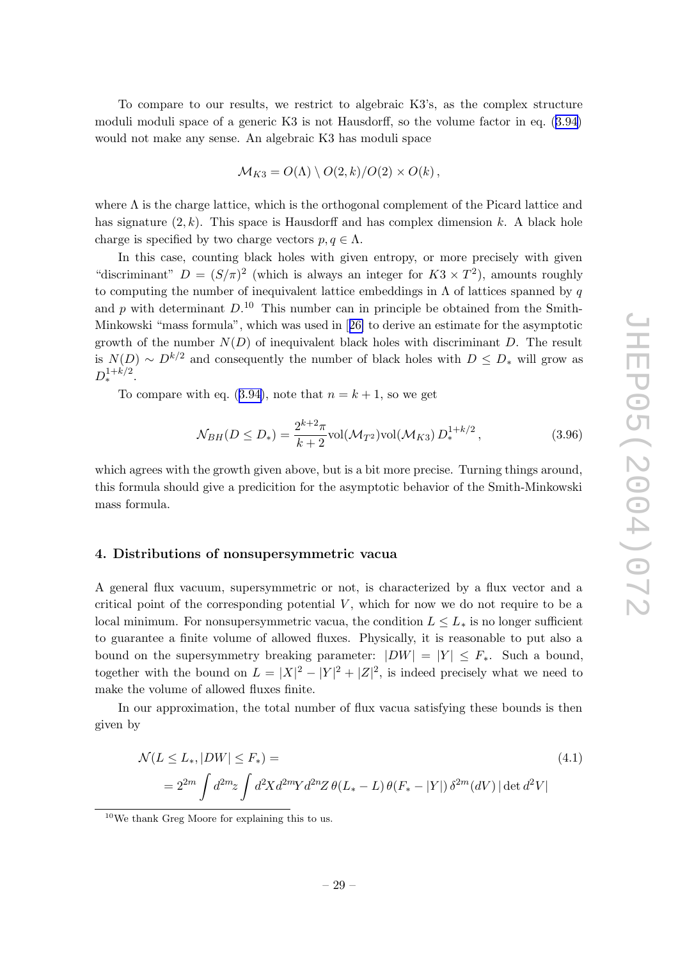<span id="page-29-0"></span>To compare to our results, w e restrict to algebraic K3's, as the complex structure moduli moduli space of a generic K3 is not Hausdorff, so the volume factor in eq. ([3.94](#page-28-0) ) would not mak e an y sense. An algebraic K3 has moduli space

$$
\mathcal{M}_{K3} = O(\Lambda) \setminus O(2,k)/O(2) \times O(k),
$$

where  $\Lambda$  is the charge lattice, which is the orthogonal complement of the Picard lattice and has signature  $(2, k)$ . This space is Hausdorff and has complex dimension k. A black hole charge is specified by two charge vectors  $p, q \in \Lambda$ .

In this case, counting black holes with given entropy, or more precisely with given "discriminant"  $D = (S/\pi)^2$  (which is always an integer for  $K3 \times T^2$ ), amounts roughly to computing the number of inequivalent lattice embeddings in  $\Lambda$  of lattices spanned by q and p with determinant  $D^{10}$ . This number can in principle be obtained from the Smith-Minkowski "mass formula", which was used in [[26\]](#page-44-0) to derive an estimate for the asymptotic growth of the number  $N(D)$  of inequivalent black holes with discriminant D. The result is  $N(D) \sim D^{k/2}$  and consequently the number of black holes with  $D \leq D_*$  will grow as  $D_*^{1+k/2}$ .

To compare with eq.  $(3.94)$  $(3.94)$ , note that  $n = k + 1$ , so we get

$$
\mathcal{N}_{BH}(D \le D_*) = \frac{2^{k+2}\pi}{k+2} \text{vol}(\mathcal{M}_{T^2}) \text{vol}(\mathcal{M}_{K3}) D_*^{1+k/2}, \qquad (3.96)
$$

which agrees with the growth given above, but is a bit more precise. Turning things around, this formula should giv e a predicition for the asymptotic behavior of the Smith-Mink owski mass formula.

## 4. Distributions of nonsupersymmetric vacua

A general flux vacuum, supersymmetric or not, is characterized b y a flux vector and a critical point of the corresponding potential  $V$ , which for now we do not require to be a local minimum. For nonsupersymmetric vacua, the condition  $L \leq L_*$  is no longer sufficient to guarantee a finite volume of allo wed fluxes. Physically , it is reasonable to put also a bound on the supersymmetry breaking parameter:  $|DW| = |Y| \leq F_*$ . Such a bound, together with the bound on  $L = |X|^2 - |Y|^2 + |Z|^2$ , is indeed precisely what we need to mak e the volume of allo wed fluxes finite.

In our approximation, the total num ber of flux vacua satisfying these bounds is then given b y

$$
\mathcal{N}(L \le L_*, |DW| \le F_*) =
$$
\n
$$
= 2^{2m} \int d^{2m}z \int d^2X d^{2m}Y d^{2n}Z \,\theta(L_* - L) \,\theta(F_* - |Y|) \,\delta^{2m}(dV) |\det d^2V|
$$
\n(4.1)

<sup>10</sup> We thank Greg Moore for explaining this to us.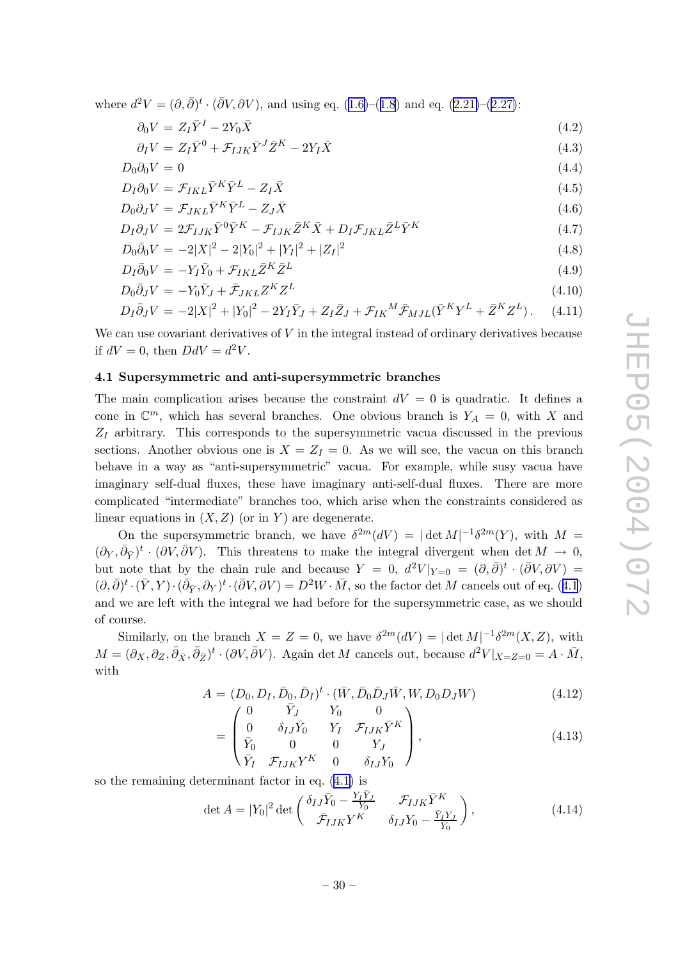<span id="page-30-0"></span>where  $d^2V = (\partial, \bar{\partial})^t \cdot (\bar{\partial}V, \partial V)$ , and using eq. ([1.6\)](#page-7-0)–([1.8](#page-7-0)) and eq. [\(2.21\)](#page-13-0)–([2.27\)](#page-13-0):

$$
\partial_0 V = Z_I \bar{Y}^I - 2Y_0 \bar{X} \tag{4.2}
$$

$$
\partial_I V = Z_I \bar{Y}^0 + \mathcal{F}_{IJK} \bar{Y}^J \bar{Z}^K - 2Y_I \bar{X}
$$
\n
$$
\tag{4.3}
$$

$$
D_0 \partial_0 V = 0 \tag{4.4}
$$

$$
D_I \partial_0 V = \mathcal{F}_{IKL} \bar{Y}^K \bar{Y}^L - Z_I \bar{X}
$$
\n
$$
\tag{4.5}
$$

$$
D_0 \partial_J V = \mathcal{F}_{JKL} \bar{Y}^K \bar{Y}^L - Z_J \bar{X}
$$
\n
$$
(4.6)
$$

$$
D_I \partial_J V = 2\mathcal{F}_{IJK} \bar{Y}^0 \bar{Y}^K - \mathcal{F}_{IJK} \bar{Z}^K \bar{X} + D_I \mathcal{F}_{JKL} \bar{Z}^L \bar{Y}^K
$$
\n
$$
\tag{4.7}
$$

$$
D_0\bar{\partial}_0 V = -2|X|^2 - 2|Y_0|^2 + |Y_I|^2 + |Z_I|^2 \tag{4.8}
$$

$$
D_I \bar{\partial}_0 V = -Y_I \bar{Y}_0 + \mathcal{F}_{IKL} \bar{Z}^K \bar{Z}^L \tag{4.9}
$$

$$
D_0 \bar{\partial}_J V = -Y_0 \bar{Y}_J + \bar{\mathcal{F}}_{JKL} Z^K Z^L \tag{4.10}
$$

$$
D_{I}\bar{\partial}_{J}V = -2|X|^{2} + |Y_{0}|^{2} - 2Y_{I}\bar{Y}_{J} + Z_{I}\bar{Z}_{J} + \mathcal{F}_{IK}{}^{M}\bar{\mathcal{F}}_{MJL}(\bar{Y}^{K}Y^{L} + \bar{Z}^{K}Z^{L}). \tag{4.11}
$$

We can use covariant derivatives of V in the integral instead of ordinary derivatives because if  $dV = 0$ , then  $DdV = d^2V$ .

#### 4.1 Supersymmetric and anti-supersymmetric branches

The main complication arises because the constraint  $dV = 0$  is quadratic. It defines a cone in  $\mathbb{C}^m$ , which has several branches. One obvious branch is  $Y_A = 0$ , with X and  $Z_I$  arbitrary. This corresponds to the supersymmetric vacua discussed in the previous sections. Another obvious one is  $X = Z_I = 0$ . As we will see, the vacua on this branch behave in a way as "anti-supersymmetric" vacua. For example, while susy vacua have imaginary self-dual fluxes, these hav e imaginary anti-self-dual fluxes. There are more complicated "intermediate" branches too, whic h arise when the constraints considered as linear equations in  $(X, Z)$  (or in Y) are degenerate.

On the supersymmetric branch, we have  $\delta^{2m}(dV) = |\det M|^{-1} \delta^{2m}(Y)$ , with  $M =$  $(\partial_Y, \bar{\partial}_Y)^t \cdot (\partial V, \bar{\partial} V)$ . This threatens to make the integral divergent when  $\det M \to 0$ , but note that by the chain rule and because  $Y = 0$ ,  $d^2V|_{Y=0} = (\partial, \bar{\partial})^t \cdot (\bar{\partial}V, \partial V) =$  $(\partial, \bar{\partial})^t \cdot (\bar{Y}, Y) \cdot (\bar{\partial}_{\bar{Y}}, \partial_Y)^t \cdot (\bar{\partial}V, \partial V) = D^2 W \cdot \bar{M}$ , so the factor det M cancels out of eq. ([4.1](#page-29-0)) and w e are left with the integral w e had before for the supersymmetric case, as w e should of course.

Similarly, on the branch  $X = Z = 0$ , we have  $\delta^{2m}(dV) = |\det M|^{-1} \delta^{2m}(X, Z)$ , with  $M = (\partial_X, \partial_Z, \bar{\partial}_{\bar{X}}, \bar{\partial}_{\bar{Z}})^t \cdot (\partial V, \bar{\partial}V)$ . Again det M cancels out, because  $d^2V|_{X = Z = 0} = A \cdot \bar{M}$ , with

$$
A = (D_0, D_I, \bar{D}_0, \bar{D}_I)^t \cdot (\bar{W}, \bar{D}_0 \bar{D}_J \bar{W}, W, D_0 D_J W)
$$
(4.12)

$$
= \begin{pmatrix} 0 & Y_J & Y_0 & 0 \\ 0 & \delta_{IJ}\bar{Y}_0 & Y_I & \mathcal{F}_{IJK}\bar{Y}^K \\ \bar{Y}_0 & 0 & 0 & Y_J \\ \bar{Y}_I & \mathcal{F}_{IJK}Y^K & 0 & \delta_{IJ}Y_0 \end{pmatrix},
$$
(4.13)

so the remaining determinan t factor in eq. ([4.1](#page-29-0) ) is

$$
\det A = |Y_0|^2 \det \begin{pmatrix} \delta_{IJ} \bar{Y}_0 - \frac{Y_I \bar{Y}_J}{Y_0} & \mathcal{F}_{IJK} \bar{Y}^K \\ \bar{\mathcal{F}}_{IJK} Y^K & \delta_{IJ} Y_0 - \frac{\bar{Y}_I Y_J}{Y_0} \end{pmatrix},
$$
(4.14)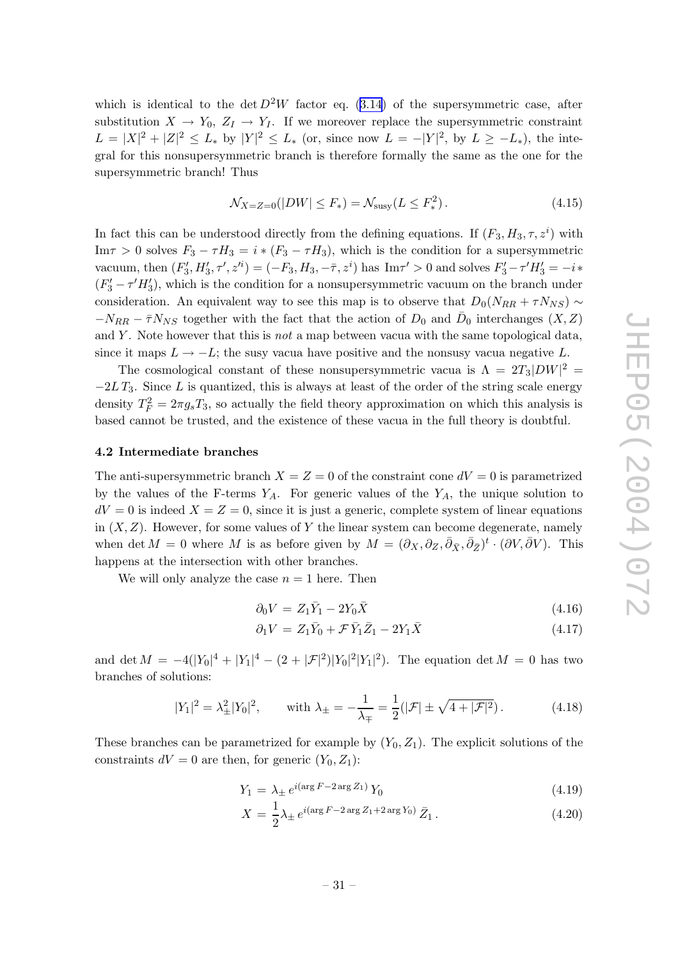<span id="page-31-0"></span>which is identical to the det  $D^2W$  factor eq. ([3.14](#page-14-0)) of the supersymmetric case, after substitution  $X \to Y_0, Z_I \to Y_I$ . If we moreover replace the supersymmetric constraint  $L = |X|^2 + |Z|^2 \le L_*$  by  $|Y|^2 \le L_*$  (or, since now  $L = -|Y|^2$ , by  $L \ge -L_*$ ), the integral for this nonsupersymmetric branch is therefore formally the same as the one for the supersymmetric branch! Thus

$$
\mathcal{N}_{X=Z=0}(|DW| \le F_*) = \mathcal{N}_{\text{susy}}(L \le F_*^2). \tag{4.15}
$$

In fact this can be understood directly from the defining equations. If  $(F_3, H_3, \tau, z^i)$  with Im  $\tau > 0$  solves  $F_3 - \tau H_3 = i * (F_3 - \tau H_3)$ , which is the condition for a supersymmetric vacuum, then  $(F'_3, H'_3, \tau', z'^i) = (-F_3, H_3, -\bar{\tau}, z^i)$  has  $\text{Im}\tau' > 0$  and solves  $F'_3 - \tau' H'_3 = -i *$  $(F'_3 - \tau' H'_3)$ , which is the condition for a nonsupersymmetric vacuum on the branch under consideration. An equivalent way to see this map is to observe that  $D_0(N_{RR} + \tau N_{NS}) \sim$  $-N_{RR} - \bar{\tau} N_{NS}$  together with the fact that the action of  $D_0$  and  $\bar{D}_0$  interchanges  $(X, Z)$ and Y. Note however that this is *not* a map between vacua with the same topological data, since it maps  $L \to -L$ ; the susy vacua have positive and the nonsusy vacua negative L.

The cosmological constant of these nonsupersymmetric vacua is  $\Lambda = 2T_3|DW|^2 =$  $-2LT_3$ . Since L is quantized, this is always at least of the order of the string scale energy density  $T_F^2 = 2\pi g_s T_3$ , so actually the field theory approximation on which this analysis is based cannot b e trusted, and the existence of these vacua in the full theory is doubtful.

#### 4.2 Intermediate branches

The anti-supersymmetric branch  $X = Z = 0$  of the constraint cone  $dV = 0$  is parametrized by the values of the F-terms  $Y_A$ . For generic values of the  $Y_A$ , the unique solution to  $dV = 0$  is indeed  $X = Z = 0$ , since it is just a generic, complete system of linear equations in ( X , Z). Ho wever, for some values of Y the linear system can become degenerate, namely when det  $M = 0$  where M is as before given by  $M = (\partial_X, \partial_Z, \bar{\partial}_{\bar{X}}, \bar{\partial}_{\bar{Z}})^t \cdot (\partial V, \bar{\partial}V)$ . This happens at the intersection with other branches.

We will only analyze the case  $n = 1$  here. Then

$$
\partial_0 V = Z_1 \overline{Y}_1 - 2Y_0 \overline{X} \tag{4.16}
$$

$$
\partial_1 V = Z_1 \overline{Y}_0 + \mathcal{F} \overline{Y}_1 \overline{Z}_1 - 2Y_1 \overline{X}
$$
\n(4.17)

and det  $M = -4(|Y_0|^4 + |Y_1|^4 - (2 + |\mathcal{F}|^2)|Y_0|^2|Y_1|^2)$ . The equation det  $M = 0$  has two branches of solutions:

$$
|Y_1|^2 = \lambda_{\pm}^2 |Y_0|^2, \quad \text{with } \lambda_{\pm} = -\frac{1}{\lambda_{\mp}} = \frac{1}{2} (|\mathcal{F}| \pm \sqrt{4 + |\mathcal{F}|^2}). \tag{4.18}
$$

These branches can be parametrized for example by  $(Y_0, Z_1)$ . The explicit solutions of the constraints  $dV = 0$  are then, for generic  $(Y_0, Z_1)$ :

$$
Y_1 = \lambda_{\pm} e^{i(\arg F - 2\arg Z_1)} Y_0 \tag{4.19}
$$

$$
X = \frac{1}{2}\lambda_{\pm} e^{i(\arg F - 2\arg Z_1 + 2\arg Y_0)} \bar{Z}_1.
$$
 (4.20)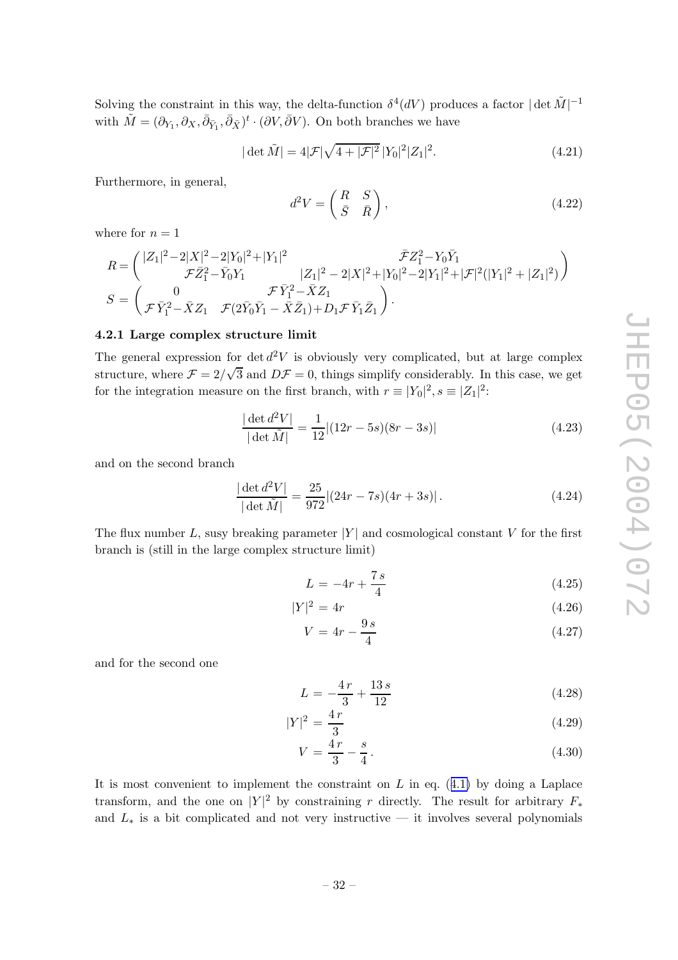<span id="page-32-0"></span>Solving the constraint in this way, the delta-function  $\delta^4(dV)$  produces a factor  $|\det \tilde{M}|^{-1}$ with  $\tilde{M} = (\partial_{Y_1}, \partial_X, \bar{\partial}_{\bar{Y}_1}, \bar{\partial}_{\bar{X}})^t \cdot (\partial V, \bar{\partial} V)$ . On both branches we have

$$
|\det \tilde{M}| = 4|\mathcal{F}|\sqrt{4+|\mathcal{F}|^2}|Y_0|^2|Z_1|^2.
$$
 (4.21)

Furthermore, in general,

$$
d^2V = \begin{pmatrix} R & S \\ \bar{S} & \bar{R} \end{pmatrix},\tag{4.22}
$$

where for  $n=1$ 

$$
R = \begin{pmatrix} |Z_1|^2 - 2|X|^2 - 2|Y_0|^2 + |Y_1|^2 & \bar{\mathcal{F}}Z_1^2 - Y_0\bar{Y}_1 \\ \mathcal{F}\bar{Z}_1^2 - \bar{Y}_0Y_1 & |Z_1|^2 - 2|X|^2 + |Y_0|^2 - 2|Y_1|^2 + |\mathcal{F}|^2(|Y_1|^2 + |Z_1|^2) \end{pmatrix}
$$
  
\n
$$
S = \begin{pmatrix} 0 & \mathcal{F}\bar{Y}_1^2 - \bar{X}Z_1 \\ \mathcal{F}\bar{Y}_1^2 - \bar{X}Z_1 & \mathcal{F}(2\bar{Y}_0\bar{Y}_1 - \bar{X}\bar{Z}_1) + D_1\mathcal{F}\bar{Y}_1\bar{Z}_1 \end{pmatrix}.
$$

## 4.2.1 Large complex structure limit

The general expression for  $\det d^2V$  is obviously very complicated, but at large complex structure, where  $\mathcal{F} = 2/\sqrt{3}$  and  $D\mathcal{F} = 0$ , things simplify considerably. In this case, we get for the integration measure on the first branch, with  $r \equiv |Y_0|^2$ ,  $s \equiv |Z_1|^2$ :

$$
\frac{|\det d^2V|}{|\det \tilde{M}|} = \frac{1}{12} |(12r - 5s)(8r - 3s)| \tag{4.23}
$$

and on the second branc h

$$
\frac{|\det d^2 V|}{|\det \tilde{M}|} = \frac{25}{972} |(24r - 7s)(4r + 3s)|.
$$
 (4.24)

The flux number  $L$ , susy breaking parameter  $|Y|$  and cosmological constant V for the first branc h is (still in the large complex structure limit)

$$
L = -4r + \frac{7s}{4}
$$
 (4.25)

$$
|Y|^2 = 4r \tag{4.26}
$$

$$
V = 4r - \frac{9s}{4}
$$
 (4.27)

and for the second one

$$
L = -\frac{4r}{3} + \frac{13s}{12} \tag{4.28}
$$

$$
|Y|^2 = \frac{4r}{3} \tag{4.29}
$$

$$
V = \frac{4r}{3} - \frac{s}{4}.
$$
\n(4.30)

It is most convenient to implement the constraint on  $L$  in eq. ([4.1](#page-29-0)) by doing a Laplace transform, and the one on  $|Y|^2$  by constraining r directly. The result for arbitrary  $F_*$ and  $L_*$  is a bit complicated and not very instructive — it involves several polynomials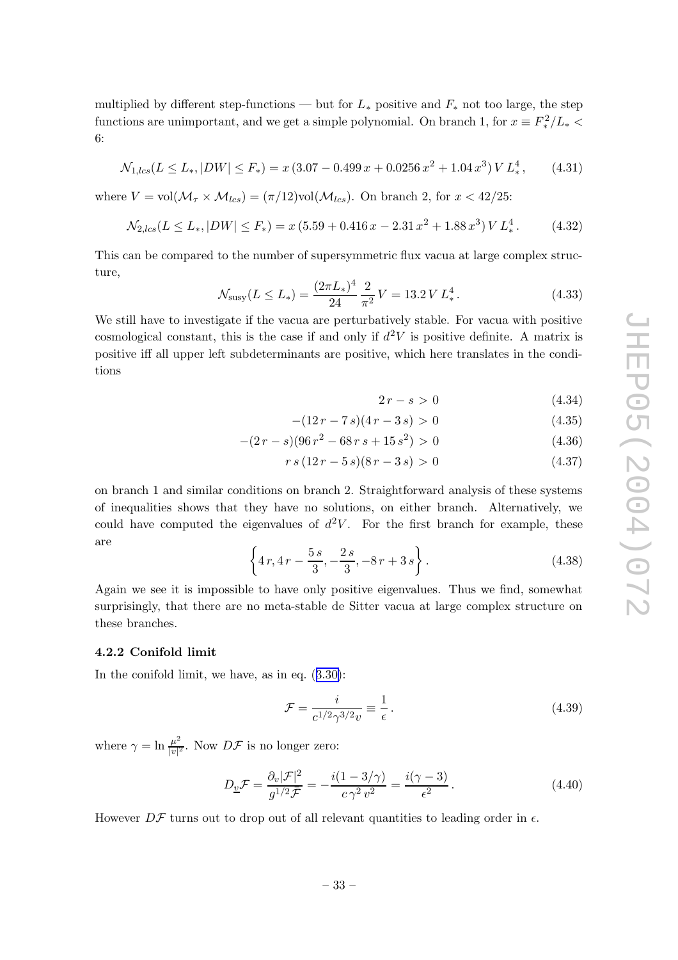<span id="page-33-0"></span>multiplied by different step-functions — but for  $L_*$  positive and  $F_*$  not too large, the step functions are unimportant, and we get a simple polynomial. On branch 1, for  $x \equiv F_*^2/L_*$  < 6:

$$
\mathcal{N}_{1, lcs}(L \le L_*, |DW| \le F_*) = x(3.07 - 0.499 x + 0.0256 x^2 + 1.04 x^3) V L_*^4, \qquad (4.31)
$$

where  $V = vol(\mathcal{M}_{\tau} \times \mathcal{M}_{lcs}) = (\pi/12) vol(\mathcal{M}_{lcs})$ . On branch 2, for  $x < 42/25$ :

$$
\mathcal{N}_{2, lcs}(L \le L_*, |DW| \le F_*) = x (5.59 + 0.416 x - 2.31 x^2 + 1.88 x^3) V L_*^4. \tag{4.32}
$$

This can b e compared to the num ber of supersymmetric flux vacua at large complex structure,

$$
\mathcal{N}_{\text{susy}}(L \le L_*) = \frac{(2\pi L_*)^4}{24} \frac{2}{\pi^2} V = 13.2 V L_*^4. \tag{4.33}
$$

We still have to investigate if the vacua are perturbatively stable. For vacua with positive cosmological constant, this is the case if and only if  $d^2V$  is positive definite. A matrix is positiv e iff all upper left subdeterminants are positive, whic h here translates in the conditions

$$
2r - s > 0 \tag{4.34}
$$

$$
-(12r - 7s)(4r - 3s) > 0 \tag{4.35}
$$

$$
-(2r - s)(96r2 - 68rs + 15s2) > 0
$$
\n(4.36)

$$
rs(12r - 5s)(8r - 3s) > 0
$$
\n(4.37)

on branc h 1 and similar conditions on branc h 2. Straightforward analysis of these systems of inequalities shows that they have no solutions, on either branch. Alternatively, we could have computed the eigenvalues of  $d^2V$ . For the first branch for example, these are

$$
\left\{4r, 4r - \frac{5s}{3}, -\frac{2s}{3}, -8r + 3s\right\}.
$$
\n(4.38)

Again we see it is impossible to have only positive eigenvalues. Thus we find, somewhat surprisingly , that there are no meta-stable de Sitter vacua at large complex structure on these branches.

#### 4.2.2 Conifold limit

In the conifold limit, w e have, as in eq. ([3.30\)](#page-17-0):

$$
\mathcal{F} = \frac{i}{c^{1/2}\gamma^{3/2}v} \equiv \frac{1}{\epsilon} \,. \tag{4.39}
$$

where  $\gamma = \ln \frac{\mu^2}{|v|^2}$  $\frac{\mu^2}{|v|^2}$ . Now  $D\mathcal{F}$  is no longer zero:

$$
D_{\underline{v}}\mathcal{F} = \frac{\partial_{\underline{v}}|\mathcal{F}|^2}{g^{1/2}\bar{\mathcal{F}}} = -\frac{i(1-3/\gamma)}{c\,\gamma^2\,v^2} = \frac{i(\gamma-3)}{\epsilon^2} \,. \tag{4.40}
$$

However  $D\mathcal{F}$  turns out to drop out of all relevant quantities to leading order in  $\epsilon$ .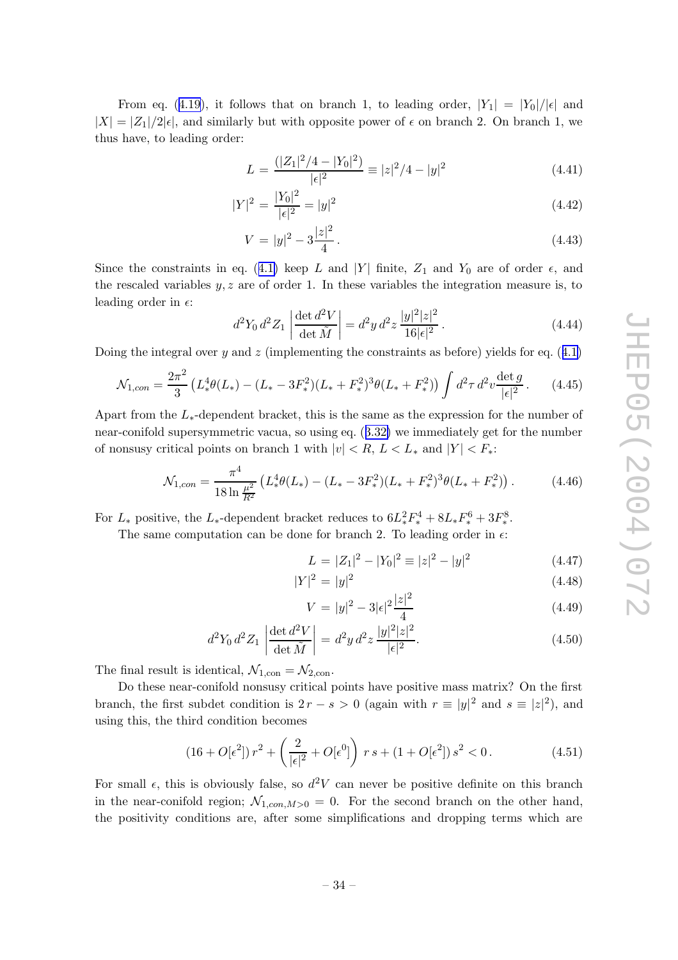<span id="page-34-0"></span>From eq. ([4.19\)](#page-31-0), it follows that on branch 1, to leading order,  $|Y_1| = |Y_0|/|\epsilon|$  and  $|X| = |Z_1|/2|\epsilon|$ , and similarly but with opposite power of  $\epsilon$  on branch 2. On branch 1, we thus have, to leading order:

$$
L = \frac{(|Z_1|^2/4 - |Y_0|^2)}{|\epsilon|^2} \equiv |z|^2/4 - |y|^2 \tag{4.41}
$$

$$
|Y|^2 = \frac{|Y_0|^2}{|\epsilon|^2} = |y|^2 \tag{4.42}
$$

$$
V = |y|^2 - 3\frac{|z|^2}{4}.\tag{4.43}
$$

Since the constraints in eq. ([4.1](#page-29-0)) keep L and |Y| finite,  $Z_1$  and  $Y_0$  are of order  $\epsilon$ , and the rescaled variables  $y, z$  are of order 1. In these variables the integration measure is, to leading order in  $\epsilon$ :

$$
d^2 Y_0 d^2 Z_1 \left| \frac{\det d^2 V}{\det \tilde{M}} \right| = d^2 y \, d^2 z \, \frac{|y|^2 |z|^2}{16 |\epsilon|^2} \,. \tag{4.44}
$$

Doing the integral over  $y$  and  $z$  (implementing the constraints as before) yields for eq.  $(4.1)$  $(4.1)$  $(4.1)$ 

$$
\mathcal{N}_{1,con} = \frac{2\pi^2}{3} \left( L_*^4 \theta(L_*) - (L_* - 3F_*^2)(L_* + F_*^2)^3 \theta(L_* + F_*^2) \right) \int d^2 \tau \, d^2 v \frac{\det g}{|\epsilon|^2} \,. \tag{4.45}
$$

Apart from the  $L_*$ -dependent bracket, this is the same as the expression for the number of near-conifold supersymmetric vacua, so using eq. ([3.32](#page-17-0) ) w e immediately get for the num ber of nonsusy critical points on branch 1 with  $|v| < R$ ,  $L < L_*$  and  $|Y| < F_*$ :

$$
\mathcal{N}_{1,con} = \frac{\pi^4}{18 \ln \frac{\mu^2}{R^2}} \left( L_*^4 \theta(L_*) - (L_* - 3F_*^2)(L_* + F_*^2)^3 \theta(L_* + F_*^2) \right). \tag{4.46}
$$

For  $L_*$  positive, the  $L_*$ -dependent bracket reduces to  $6L_*^2F_*^4 + 8L_*F_*^6 + 3F_*^8$ .

The same computation can be done for branch 2. To leading order in  $\epsilon$ :

$$
L = |Z_1|^2 - |Y_0|^2 \equiv |z|^2 - |y|^2 \tag{4.47}
$$

$$
|Y|^2 = |y|^2 \tag{4.48}
$$

$$
V = |y|^2 - 3|\epsilon|^2 \frac{|z|^2}{4}
$$
 (4.49)

$$
d^2 Y_0 d^2 Z_1 \left| \frac{\det d^2 V}{\det \tilde{M}} \right| = d^2 y \, d^2 z \, \frac{|y|^2 |z|^2}{|\epsilon|^2}.
$$
\n(4.50)

The final result is identical,  $\mathcal{N}_{1,\text{con}} = \mathcal{N}_{2,\text{con}}$ .

Do these near-conifold nonsusy critical points hav e positiv e mass matrix? On the first branch, the first subdet condition is  $2r - s > 0$  (again with  $r \equiv |y|^2$  and  $s \equiv |z|^2$ ), and using this, the third condition becomes

$$
(16+O[\epsilon^2])r^2 + \left(\frac{2}{|\epsilon|^2} + O[\epsilon^0]\right)rs + (1+O[\epsilon^2])s^2 < 0. \tag{4.51}
$$

For small  $\epsilon$ , this is obviously false, so  $d^2V$  can never be positive definite on this branch in the near-conifold region;  $\mathcal{N}_{1,con,M>0} = 0$ . For the second branch on the other hand, the positivit y conditions are, after some simplifications and dropping terms whic h are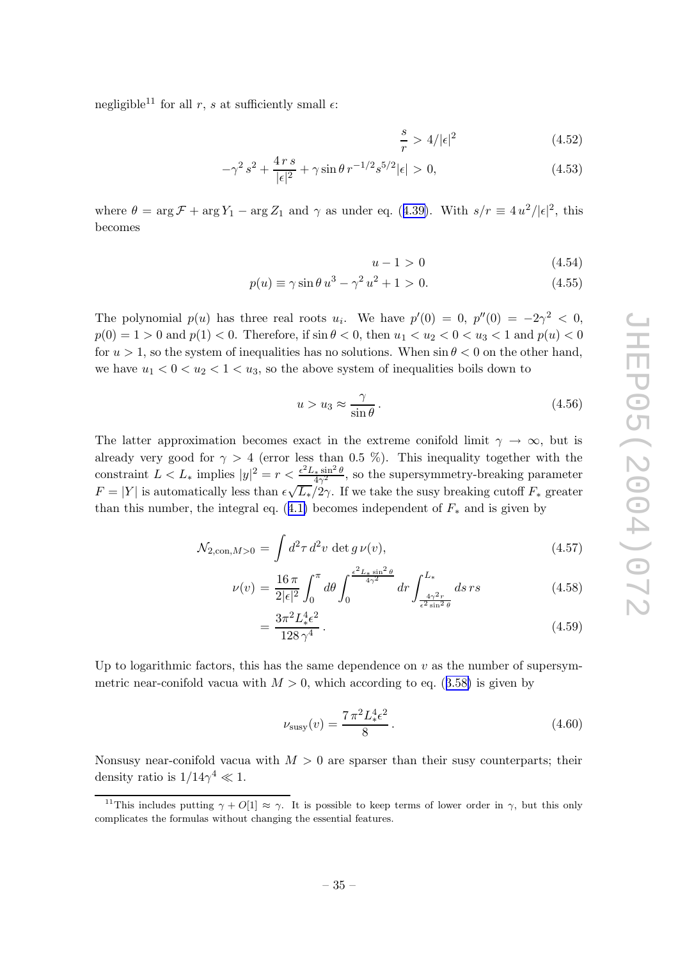<span id="page-35-0"></span>negligible<sup>11</sup> for all r, s at sufficiently small  $\epsilon$ :

$$
\frac{s}{r} > 4/|\epsilon|^2 \tag{4.52}
$$

$$
-\gamma^2 s^2 + \frac{4rs}{|\epsilon|^2} + \gamma \sin \theta \, r^{-1/2} s^{5/2} |\epsilon| > 0,\tag{4.53}
$$

where  $\theta = \arg \mathcal{F} + \arg Y_1 - \arg Z_1$  and  $\gamma$  as under eq. ([4.39\)](#page-33-0). With  $s/r \equiv 4 u^2/|\epsilon|^2$ , this becomes

$$
u - 1 > 0 \tag{4.54}
$$

$$
p(u) \equiv \gamma \sin \theta \, u^3 - \gamma^2 \, u^2 + 1 > 0. \tag{4.55}
$$

The polynomial  $p(u)$  has three real roots  $u_i$ . We have  $p'(0) = 0$ ,  $p''(0) = -2\gamma^2 < 0$ ,  $p(0) = 1 > 0$  and  $p(1) < 0$ . Therefore, if  $\sin \theta < 0$ , then  $u_1 < u_2 < 0 < u_3 < 1$  and  $p(u) < 0$ for  $u > 1$ , so the system of inequalities has no solutions. When  $\sin \theta < 0$  on the other hand, we have  $u_1 < 0 < u_2 < 1 < u_3$ , so the above system of inequalities boils down to

$$
u > u_3 \approx \frac{\gamma}{\sin \theta} \,. \tag{4.56}
$$

The latter approximation becomes exact in the extreme conifold limit  $\gamma \to \infty$ , but is already very good for  $\gamma > 4$  (error less than 0.5 %). This inequality together with the constraint  $L < L_*$  implies  $|y|^2 = r < \frac{\epsilon^2 L_* \sin^2 \theta}{4\gamma^2}$  $\frac{\sin^2\theta}{4\gamma^2}$ , so the supersymmetry-breaking parameter  $F = |Y|$  is automatically less than  $\epsilon \sqrt{L_*}/2\gamma$ . If we take the susy breaking cutoff  $F_*$  greater than this number, the integral eq.  $(4.1)$  $(4.1)$  $(4.1)$  becomes independent of  $F_*$  and is given by

$$
\mathcal{N}_{2,con,M>0} = \int d^2 \tau \, d^2 v \, \det g \, \nu(v), \tag{4.57}
$$

$$
\nu(v) = \frac{16\,\pi}{2|\epsilon|^2} \int_0^{\pi} d\theta \int_0^{\frac{\epsilon^2 L_* \sin^2 \theta}{4\gamma^2}} dr \int_{\frac{4\gamma^2 r}{\epsilon^2 \sin^2 \theta}}^{L_*} ds \, rs \tag{4.58}
$$

$$
=\frac{3\pi^2 L_*^4 \epsilon^2}{128\,\gamma^4}.
$$
\n(4.59)

Up to logarithmic factors, this has the same dependence on  $v$  as the number of supersymmetric near-conifold vacua with  $M > 0$ , which according to eq. ([3.58\)](#page-21-0) is given by

$$
\nu_{\rm susy}(v) = \frac{7\,\pi^2 L_*^4 \epsilon^2}{8} \,. \tag{4.60}
$$

Nonsusy near-conifold vacua with  $M > 0$  are sparser than their susy counterparts; their density ratio is  $1/14\gamma^4 \ll 1$ .

<sup>&</sup>lt;sup>11</sup>This includes putting  $\gamma + O[1] \approx \gamma$ . It is possible to keep terms of lower order in  $\gamma$ , but this only complicates the formulas without changing the essential features.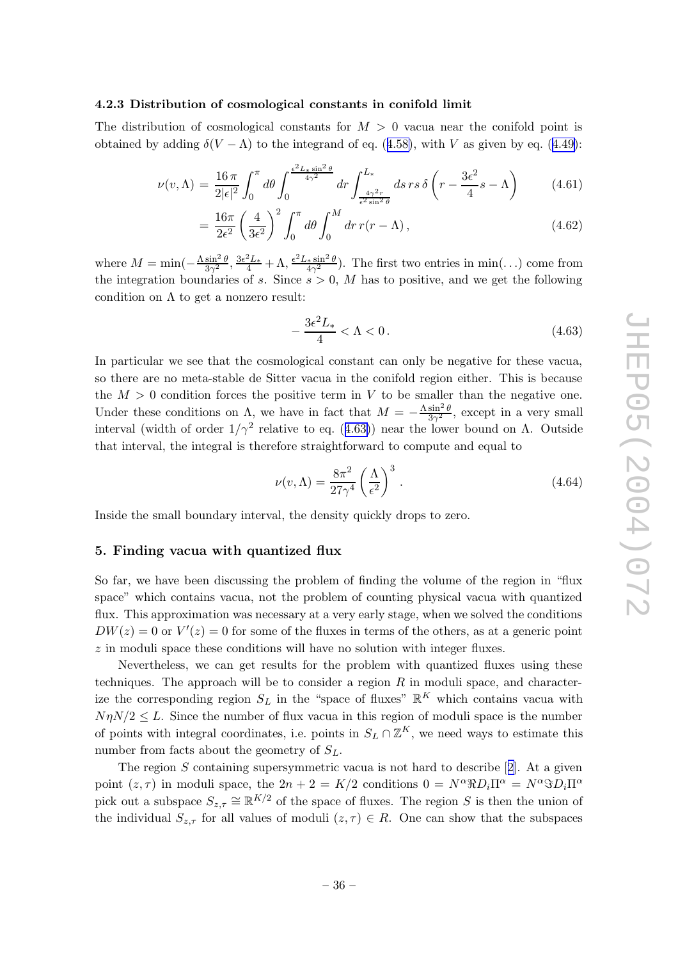#### <span id="page-36-0"></span>4.2.3 Distribution of cosmological constants in conifold limit

The distribution of cosmological constants for  $M > 0$  vacua near the conifold point is obtained by adding  $\delta(V - \Lambda)$  to the integrand of eq. ([4.58\)](#page-35-0), with V as given by eq. ([4.49\)](#page-34-0):

$$
\nu(v,\Lambda) = \frac{16\,\pi}{2|\epsilon|^2} \int_0^\pi d\theta \int_0^{\frac{\epsilon^2 L_* \sin^2 \theta}{4\gamma^2}} dr \int_{\frac{4\gamma^2 r}{\epsilon^2 \sin^2 \theta}}^{L_*} ds \, rs \, \delta\left(r - \frac{3\epsilon^2}{4} s - \Lambda\right) \tag{4.61}
$$

$$
= \frac{16\pi}{2\epsilon^2} \left(\frac{4}{3\epsilon^2}\right)^2 \int_0^\pi d\theta \int_0^M dr \, r(r-\Lambda), \tag{4.62}
$$

where  $M = \min(-\frac{\Lambda \sin^2 \theta}{3\gamma^2})$  $\frac{\sin^2\theta}{3\gamma^2}, \frac{3\epsilon^2L_*}{4}+\Lambda, \frac{\epsilon^2L_*\sin^2\theta}{4\gamma^2}$  $\frac{\sin^2\theta}{4\gamma^2}$ ). The first two entries in min(...) come from the integration boundaries of s. Since  $s > 0$ , M has to positive, and we get the following condition on  $\Lambda$  to get a nonzero result:

$$
-\frac{3\epsilon^2 L_*}{4} < \Lambda < 0\,. \tag{4.63}
$$

In particular we see that the cosmological constant can only be negative for these vacua, so there are no meta-stable de Sitter vacua in the conifold region either. This is because the  $M > 0$  condition forces the positive term in V to be smaller than the negative one. Under these conditions on  $\Lambda$ , we have in fact that  $M = -\frac{\Lambda \sin^2 \theta}{3\gamma^2}$  $\frac{\sin^2 \theta}{3\gamma^2}$ , except in a very small interval (width of order  $1/\gamma^2$  relative to eq. (4.63)) near the lower bound on Λ. Outside that interval, the integral is therefore straightforward to compute and equal to

$$
\nu(v,\Lambda) = \frac{8\pi^2}{27\gamma^4} \left(\frac{\Lambda}{\epsilon^2}\right)^3.
$$
\n(4.64)

Inside the small boundary interval, the density quickly drops to zero.

## 5. Finding vacua with quantized flux

So far, w e hav e been discussing the problem of finding the volume of the region in "flux space" whic h contains vacua, not the problem of counting physical vacua with quantized flux. This approximation was necessary at a very early stage, when we solved the conditions  $DW(z) = 0$  or  $V'(z) = 0$  for some of the fluxes in terms of the others, as at a generic point z in moduli space these conditions will hav e no solution with integer fluxes.

Nevertheless, w e can get results for the problem with quantized fluxes using these techniques. The approach will be to consider a region  $R$  in moduli space, and characterize the corresponding region  $S_L$  in the "space of fluxes"  $\mathbb{R}^K$  which contains vacua with  $N\eta N/2 \leq L$ . Since the number of flux vacua in this region of moduli space is the number of points with integral coordinates, i.e. points in  $S_L \cap \mathbb{Z}^K$ , we need ways to estimate this number from facts about the geometry of  $S_L$ .

The region  $S$  containing supersymmetric vacua is not hard to describe  $[2]$  $[2]$ . At a given point  $(z, \tau)$  in moduli space, the  $2n + 2 = K/2$  conditions  $0 = N^{\alpha} \Re D_i \Pi^{\alpha} = N^{\alpha} \Im D_i \Pi^{\alpha}$ pick out a subspace  $S_{z,\tau} \cong \mathbb{R}^{K/2}$  of the space of fluxes. The region S is then the union of the individual  $S_{z,\tau}$  for all values of moduli  $(z,\tau) \in R$ . One can show that the subspaces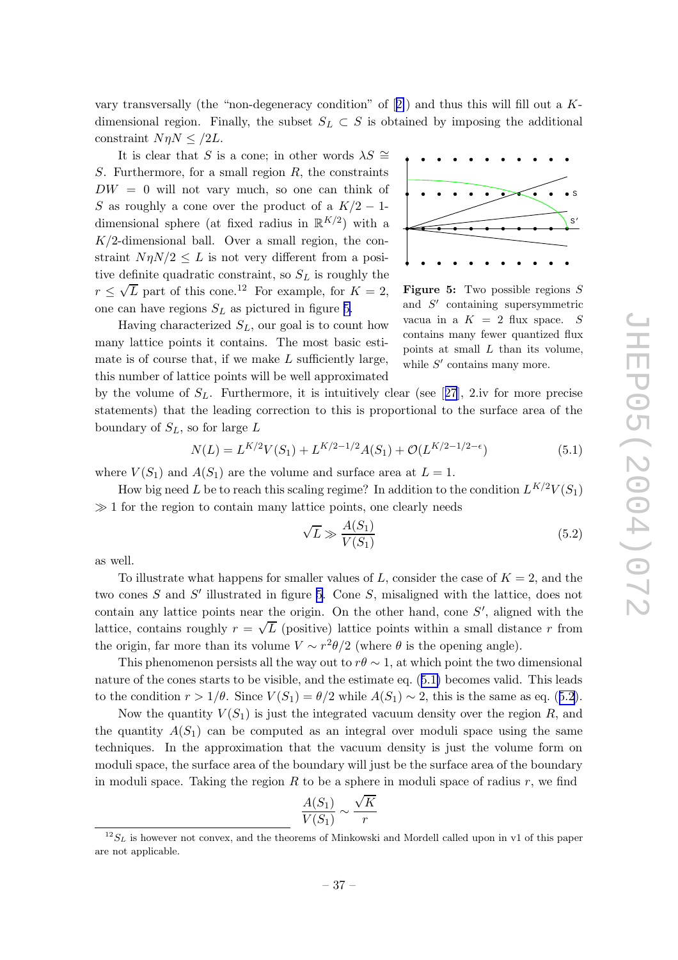<span id="page-37-0"></span>vary transversally (the "non-degeneracy condition" of  $[2]$  $[2]$ ) and thus this will fill out a Kdimensional region. Finally, the subset  $S_L \subset S$  is obtained by imposing the additional constraint  $N\eta N \leq /2L$ .

It is clear that S is a cone; in other words  $\lambda S \cong$ S . Furthermore, for a small region R , the constraints  $DW = 0$  will not vary much, so one can think of S as roughly a cone over the product of a  $K/2 - 1$ dimensional sphere (at fixed radius in  $\mathbb{R}^{K/2}$ ) with a K /2-dimensional ball. Over a small region, the constraint  $N\eta N/2 \leq L$  is not very different from a positive definite quadratic constraint, so  $S_L$  is roughly the  $r \leq \sqrt{L}$  part of this cone.<sup>12</sup> For example, for  $K = 2$ , one can have regions  $S_L$  as pictured in figure 5.

Having characterized  $S_L$ , our goal is to count how man y lattice points it contains. The most basic estimate is of course that, if we make  $L$  sufficiently large, this num ber of lattice points will b e well approximated



Figure 5: Two possible regions S and  $S'$  containing supersymmetric vacua in a  $K = 2$  flux space. S contains man y fewer quantized flux points at small L than its volume, while  $S'$  contains many more.

by the volume of  $S_L$ . Furthermore, it is intuitively clear (see [[27](#page-44-0)], 2.iv for more precise statements) that the leading correction to this is proportional to the surface area of the boundary of  $S_L$ , so for large  $L$ 

$$
N(L) = L^{K/2}V(S_1) + L^{K/2 - 1/2}A(S_1) + \mathcal{O}(L^{K/2 - 1/2 - \epsilon})
$$
\n(5.1)

where  $V(S_1)$  and  $A(S_1)$  are the volume and surface area at  $L = 1$ .

How big need L be to reach this scaling regime? In addition to the condition  $L^{K/2}V(S_1)$  $\gg 1$  for the region to contain many lattice points, one clearly needs

$$
\sqrt{L} \gg \frac{A(S_1)}{V(S_1)}\tag{5.2}
$$

as well.

To illustrate what happens for smaller values of  $L$ , consider the case of  $K = 2$ , and the two cones  $S$  and  $S'$  illustrated in figure 5. Cone  $S$ , misaligned with the lattice, does not contain any lattice points near the origin. On the other hand, cone  $S'$ , aligned with the lattice, contains roughly  $r = \sqrt{L}$  (positive) lattice points within a small distance r from the origin, far more than its volume  $V \sim r^2 \theta/2$  (where  $\theta$  is the opening angle).

This phenomenon persists all the way out to  $r\theta \sim 1$ , at which point the two dimensional nature of the cones starts to be visible, and the estimate eq.  $(5.1)$  becomes valid. This leads to the condition  $r > 1/\theta$ . Since  $V(S_1) = \theta/2$  while  $A(S_1) \sim 2$ , this is the same as eq. (5.2).

Now the quantity  $V(S_1)$  is just the integrated vacuum density over the region R, and the quantity  $A(S_1)$  can be computed as an integral over moduli space using the same techniques. In the approximation that the vacuum density is just the volume form on moduli space, the surface area of the boundary will just b e the surface area of the boundary in moduli space. Taking the region  $R$  to be a sphere in moduli space of radius  $r$ , we find

$$
\frac{A(S_1)}{V(S_1)} \sim \frac{\sqrt{K}}{r}
$$

 $^{12}S_L$  is however not convex, and the theorems of Minkowski and Mordell called upon in v1 of this paper are not applicable.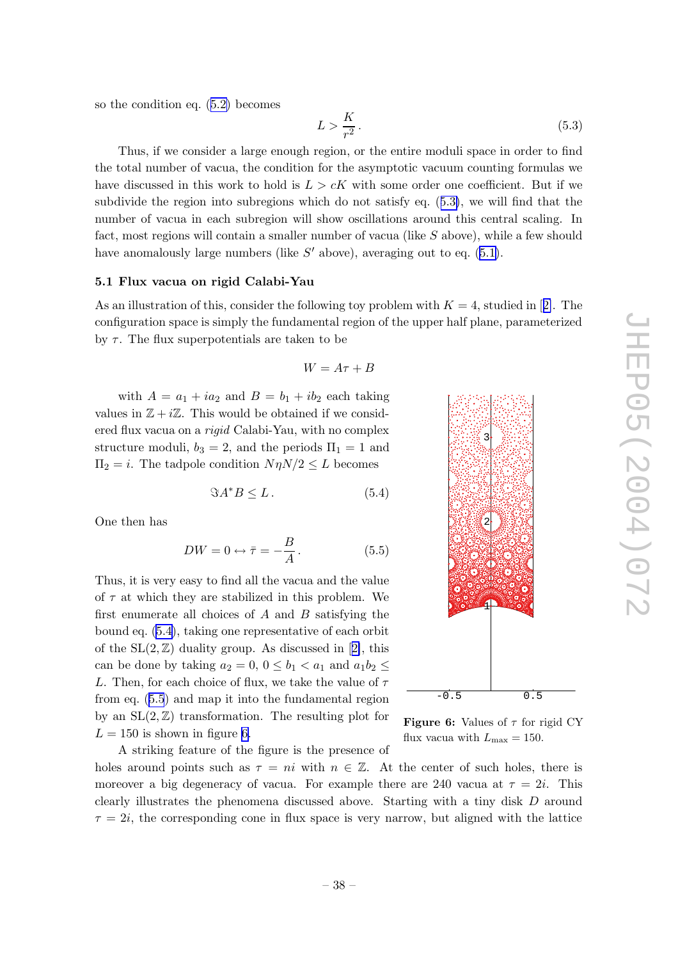<span id="page-38-0"></span>so the condition eq. ([5.2](#page-37-0) ) becomes

$$
L > \frac{K}{r^2} \,. \tag{5.3}
$$

Thus, if w e consider a large enough region, or the entire moduli space in order to find the total number of vacua, the condition for the asymptotic vacuum counting formulas we have discussed in this work to hold is  $L > cK$  with some order one coefficient. But if we subdivide the region into subregions whic h do not satisfy eq. (5.3), w e will find that the num ber of vacua in eac h subregion will sho w oscillations around this central scaling. In fact, most regions will contain a smaller number of vacua (like S above), while a few should have anomalously large numbers (like  $S'$  above), averaging out to eq.  $(5.1)$  $(5.1)$ .

#### 5.1 Flux vacua on rigid Calabi-Yau

As an illustration of this, consider the following toy problem with  $K = 4$ , studied in [[2\]](#page-43-0). The configuration space is simply the fundamental region of the upper half plane, parameterized by  $\tau$ . The flux superpotentials are taken to be

$$
W=A\tau+B
$$

with  $A = a_1 + ia_2$  and  $B = b_1 + ib_2$  each taking values in  $\mathbb{Z} + i\mathbb{Z}$ . This would be obtained if we considered flux vacua on a rigid Calabi-Yau, with no complex structure moduli,  $b_3 = 2$ , and the periods  $\Pi_1 = 1$  and  $\Pi_2 = i$ . The tadpole condition  $N\eta N/2 \leq L$  becomes

$$
\Im A^* B \le L. \tag{5.4}
$$

One then has

$$
DW = 0 \leftrightarrow \bar{\tau} = -\frac{B}{A}.
$$
\n(5.5)

Thus, it is very easy to find all the vacua and the value of  $\tau$  at which they are stabilized in this problem. We first enumerate all choices of A and B satisfying the bound eq. (5.4), taking one representativ e of eac h orbit of the  $SL(2, \mathbb{Z})$  duality group. As discussed in [[2\]](#page-43-0), this can be done by taking  $a_2 = 0$ ,  $0 \le b_1 < a_1$  and  $a_1b_2 \le$ L. Then, for each choice of flux, we take the value of  $\tau$ from eq. (5.5 ) and map it into the fundamental region by an  $SL(2, \mathbb{Z})$  transformation. The resulting plot for  $L = 150$  is shown in figure 6.

A striking feature of the figure is the presence of



**Figure 6:** Values of  $\tau$  for rigid CY flux vacua with  $L_{\text{max}} = 150$ .

holes around points such as  $\tau = ni$  with  $n \in \mathbb{Z}$ . At the center of such holes, there is moreover a big degeneracy of vacua. For example there are 240 vacua at  $\tau = 2i$ . This clearly illustrates the phenomena discussed above. Starting with a tiny disk  $D$  around  $\tau = 2i$ , the corresponding cone in flux space is very narrow, but aligned with the lattice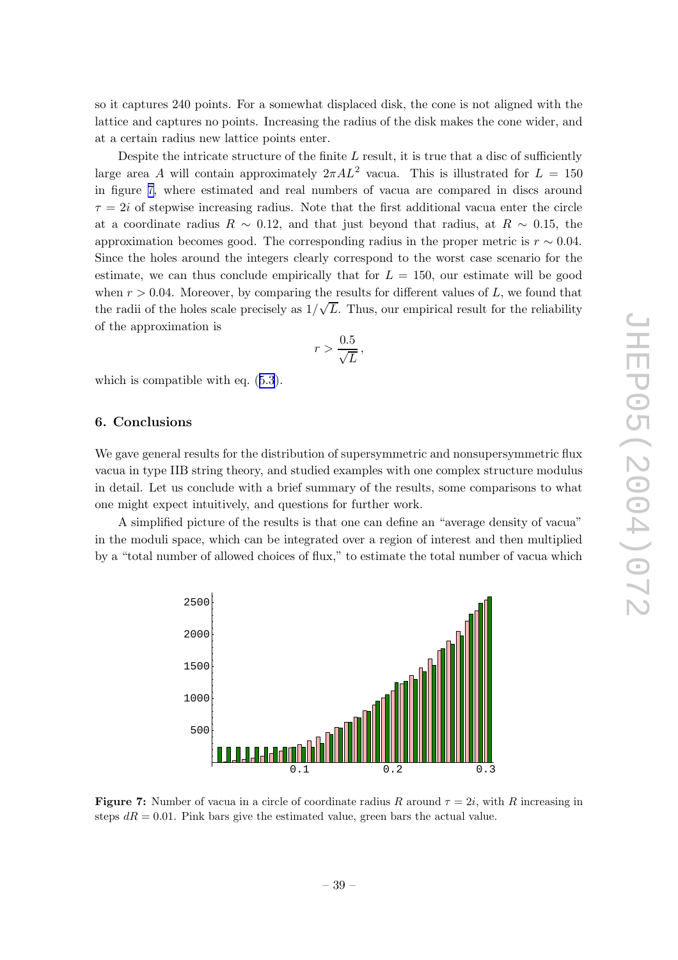<span id="page-39-0"></span>so it captures 240 points. For a somewhat displaced disk, the cone is not aligned with the lattice and captures no points. Increasing the radius of the disk makes the cone wider, and at a certain radius new lattice points enter.

Despite the intricate structure of the finite  $L$  result, it is true that a disc of sufficiently large area A will contain approximately  $2\pi A L^2$  vacua. This is illustrated for  $L = 150$ in figure 7 , where estimated and real num bers of vacua are compared in discs around  $\tau = 2i$  of stepwise increasing radius. Note that the first additional vacua enter the circle at a coordinate radius  $R \sim 0.12$ , and that just beyond that radius, at  $R \sim 0.15$ , the approximation becomes good. The corresponding radius in the proper metric is  $r \sim 0.04$ . Since the holes around the integers clearly correspond to the worst case scenario for the estimate, we can thus conclude empirically that for  $L = 150$ , our estimate will be good when  $r > 0.04$ . Moreover, by comparing the results for different values of L, we found that the radii of the holes scale precisely as  $1/\sqrt{L}$ . Thus, our empirical result for the reliability of the approximation is

$$
r>\frac{0.5}{\sqrt{L}}\,,
$$

whic h is compatible with eq. ([5.3](#page-38-0)).

## 6. Conclusions

We gave general results for the distribution of supersymmetric and nonsupersymmetric flux vacua in type IIB string theory, and studied examples with one complex structure modulus in detail. Let us conclude with a brief summary of the results, some comparisons to what one migh t expect intuitively , and questions for further work.

A simplified picture of the results is that one can define an "average density of vacua" in the moduli space, whic h can b e integrated o ver a region of interest and then multiplied by a "total number of allowed choices of flux," to estimate the total number of vacua which



Figure 7: Number of vacua in a circle of coordinate radius R around  $\tau = 2i$ , with R increasing in steps  $dR = 0.01$ . Pink bars give the estimated value, green bars the actual value.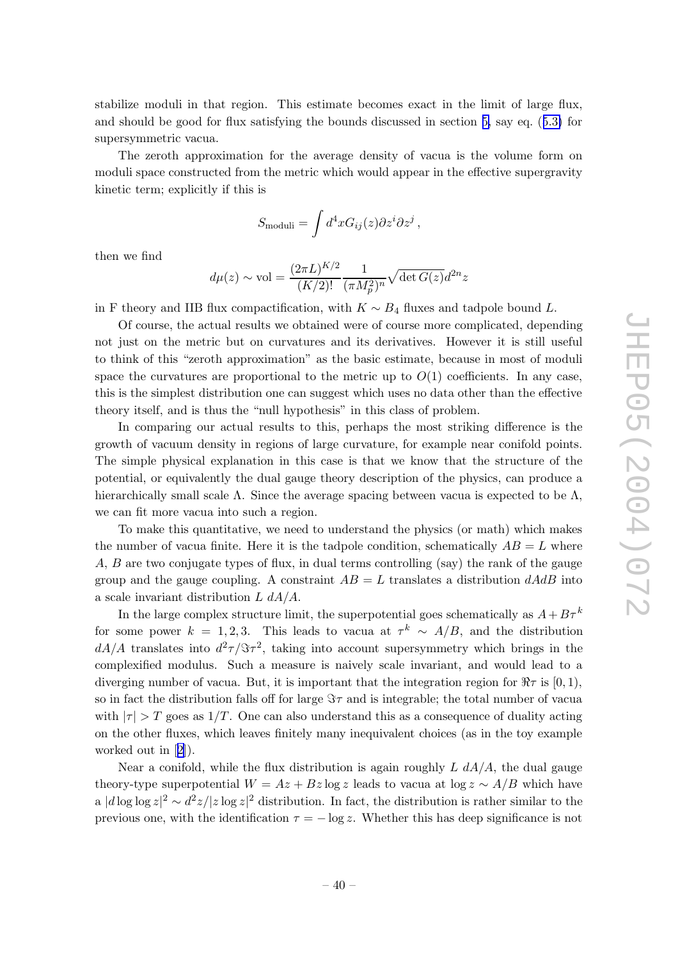stabilize moduli in that region. This estimate becomes exact in the limit of large flux, and should be good for flux satisfying the bounds discussed in section [5](#page-36-0), say eq.  $(5.3)$  $(5.3)$  $(5.3)$  for supersymmetric vacua.

The zeroth approximation for the average densit y of vacua is the volume form on moduli space constructed from the metric which would appear in the effective supergravity kinetic term; explicitly if this is

$$
S_{\text{moduli}} = \int d^4x G_{ij}(z) \partial z^i \partial z^j ,
$$

then w e find

$$
d\mu(z) \sim \text{vol} = \frac{(2\pi L)^{K/2}}{(K/2)!} \frac{1}{(\pi M_p^2)^n} \sqrt{\det G(z)} d^{2n} z
$$

in F theory and IIB flux compactification, with  $K \sim B_4$  fluxes and tadpole bound L.

Of course, the actual results w e obtained were of course more complicated, depending not just on the metric but on curvatures and its derivatives. Ho wever it is still useful to think of this "zeroth approximation" as the basic estimate, because in most of moduli space the curvatures are proportional to the metric up to  $O(1)$  coefficients. In any case, this is the simplest distribution one can suggest whic h uses no data other than the effectiv e theory itself, and is thus the "null hypothesis" in this class of problem.

In comparing our actual results to this, perhaps the most striking difference is the growth of vacuum densit y in regions of large curvature, for example near conifold points. The simple physical explanation in this case is that w e kno w that the structure of the potential, or equivalently the dual gauge theory description of the physics, can produce a hierarchically small scale  $\Lambda$ . Since the average spacing between vacua is expected to be  $\Lambda$ , w e can fit more vacua into suc h a region.

To mak e this quantitative, w e need to understand the physics (or math) whic h makes the number of vacua finite. Here it is the tadpole condition, schematically  $AB = L$  where A, B are two conjugate types of flux, in dual terms controlling (say) the rank of the gauge group and the gauge coupling. A constraint  $AB = L$  translates a distribution  $dA dB$  into a scale invariant distribution  $L \, dA/A$ .

In the large complex structure limit, the superpotential goes schematically as  $A + B\tau^k$ for some power  $k = 1, 2, 3$ . This leads to vacua at  $\tau^k \sim A/B$ , and the distribution  $dA/A$  translates into  $d^2\tau/\Im\tau^2$ , taking into account supersymmetry which brings in the complexified modulus. Suc h a measure is naively scale in variant, and would lead to a diverging number of vacua. But, it is important that the integration region for  $\Re \tau$  is  $[0,1)$ , so in fact the distribution falls off for large  $\Im \tau$  and is integrable; the total number of vacua with  $|\tau| > T$  goes as  $1/T$ . One can also understand this as a consequence of duality acting on the other fluxes, whic h leaves finitely man y inequivalen t choices (as in the to y example worked out in [[2](#page-43-0)]).

Near a conifold, while the flux distribution is again roughly  $L \, dA/A$ , the dual gauge theory-type superpotential  $W = Az + Bz \log z$  leads to vacua at  $\log z \sim A/B$  which have a |d log log  $z|^2 \sim d^2z/|z| \log z|^2$  distribution. In fact, the distribution is rather similar to the previous one, with the identification  $\tau = -\log z$ . Whether this has deep significance is not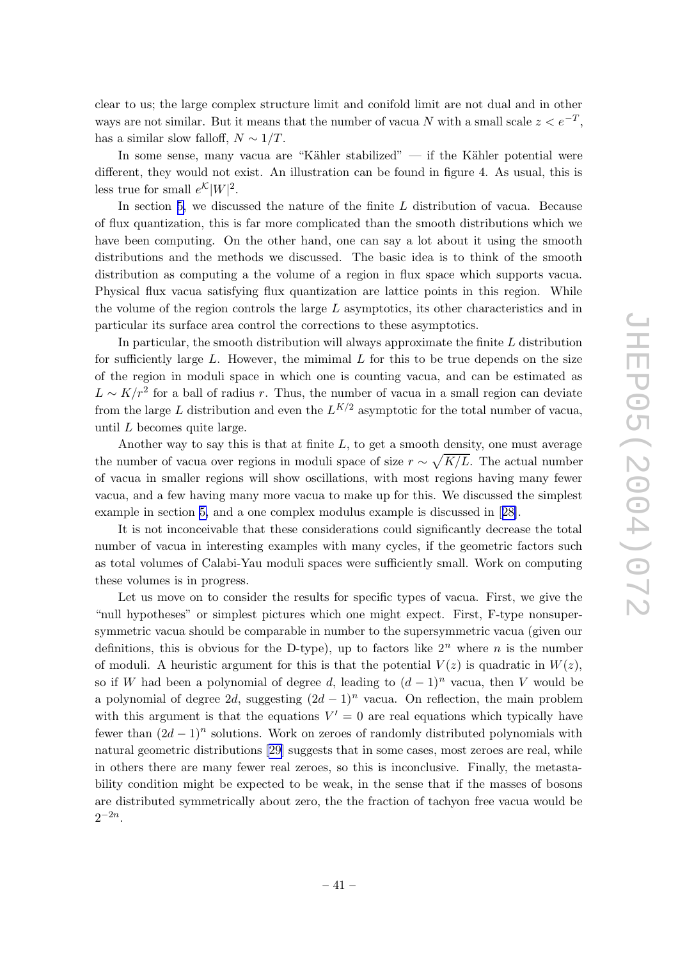clear to us; the large complex structure limit and conifold limit are not dual and in other ways are not similar. But it means that the number of vacua N with a small scale  $z < e^{-T}$ , has a similar slow falloff,  $N \sim 1/T$ .

In some sense, many vacua are "Kähler stabilized" — if the Kähler potential were different, they would not exist. An illustration can b e found in figure 4. As usual, this is less true for small  $e^{\mathcal{K}}|W|^2$ .

In section [5](#page-36-0), we discussed the nature of the finite  $L$  distribution of vacua. Because of flux quantization, this is far more complicated than the smooth distributions whic h w e hav e been computing. On the other hand, one can say a lot about it using the smooth distributions and the methods w e discussed. The basic idea is to think of the smooth distribution as computing a the volume of a region in flux space which supports vacua. Physical flux vacua satisfying flux quantization are lattice points in this region. While the volume of the region controls the large L asymptotics, its other characteristics and in particular its surface area control the corrections to these asymptotics.

In particular, the smooth distribution will always approximate the finite L distribution for sufficiently large  $L$ . However, the mimimal  $L$  for this to be true depends on the size of the region in moduli space in whic h one is counting vacua, and can b e estimated as  $L \sim K/r^2$  for a ball of radius r. Thus, the number of vacua in a small region can deviate from the large L distribution and even the  $L^{K/2}$  asymptotic for the total number of vacua, until L becomes quite large.

Another way to say this is that at finite  $L$ , to get a smooth density, one must average the number of vacua over regions in moduli space of size  $r \sim \sqrt{K/L}$ . The actual number of vacua in smaller regions will sho w oscillations, with most regions having man y fewer vacua, and a few having man y more vacua to mak e up for this. We discussed the simplest example in section [5](#page-36-0) , and a one complex modulus example is discussed in [[28\]](#page-44-0).

It is not inconceivable that these considerations could significantly decrease the total num ber of vacua in interesting examples with man y cycles, if the geometric factors suc h as total volumes of Calabi-Yau moduli spaces were sufficiently small. Work on computing these volumes is in progress.

Let us move on to consider the results for specific types of vacua. First, we give the "null hypotheses" or simplest pictures whic h one migh t expect. First, F-typ e nonsupersymmetric vacua should be comparable in number to the supersymmetric vacua (given our definitions, this is obvious for the D-type), up to factors like  $2^n$  where n is the number of moduli. A heuristic argument for this is that the potential  $V(z)$  is quadratic in  $W(z)$ , so if W had been a polynomial of degree d, leading to  $(d-1)^n$  vacua, then V would be a polynomial of degree 2d, suggesting  $(2d-1)^n$  vacua. On reflection, the main problem with this argument is that the equations  $V' = 0$  are real equations which typically have fewer than  $(2d - 1)^n$  solutions. Work on zeroes of randomly distributed polynomials with natural geometric distributions [\[29](#page-44-0) ] suggests that in some cases, most zeroes are real, while in others there are man y fewer real zeroes, so this is inconclusive. Finally , the metastability condition might be expected to be weak, in the sense that if the masses of bosons are distributed symmetrically about zero, the the fraction of tachyon free vacua would be  $2^{-2n}$ .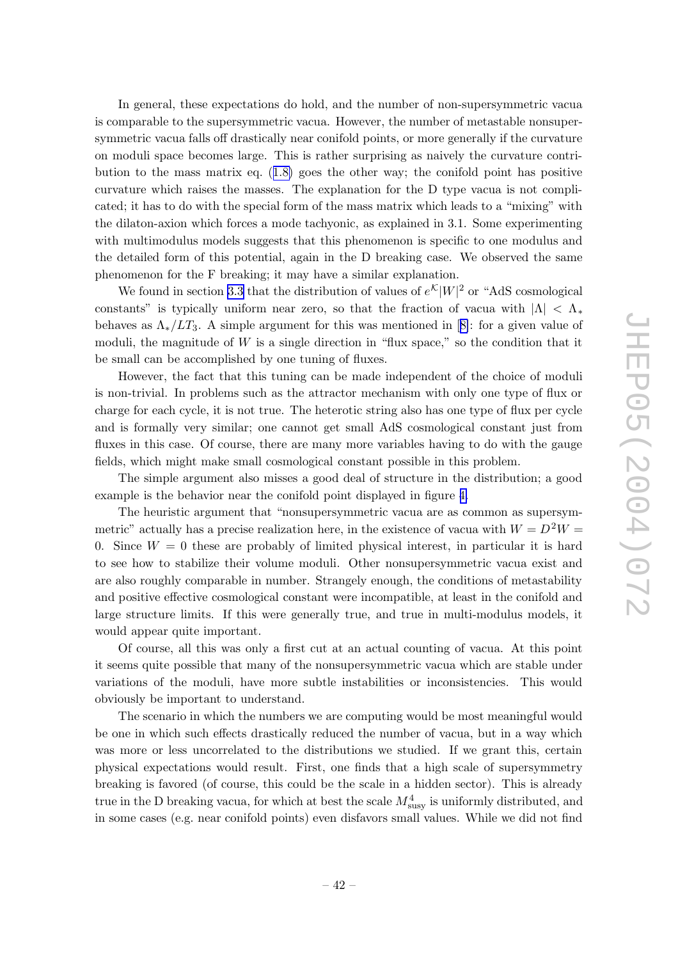In general, these expectations do hold, and the num ber of non-supersymmetric vacua is comparable to the supersymmetric vacua. Ho wever, the num ber of metastable nonsupersymmetric vacua falls off drastically near conifold points, or more generally if the curvature on moduli space becomes large. This is rather surprising as naively the curvature contribution to the mass matrix eq. ([1.8\)](#page-7-0) goes the other way; the conifold point has positive curvature whic h raises the masses. The explanation for the D typ e vacua is not complicated; it has to do with the special form of the mass matrix which leads to a "mixing" with the dilaton-axion whic h forces a mode tac h yonic, as explained in 3.1. Some experimenting with multimodulus models suggests that this phenomenon is specific to one modulus and the detailed form of this potential, again in the D breaking case. We observed the same phenomenon for the F breaking; it may hav e a similar explanation.

We found in section [3.3](#page-23-0) that the distribution of values of  $e^{\mathcal{K}}|W|^2$  or "AdS cosmological constants" is typically uniform near zero, so that the fraction of vacua with  $|\Lambda| < \Lambda_*$ behaves as  $\Lambda_*/LT_3$ . A simple argument for this was mentioned in [[8\]](#page-44-0): for a given value of moduli, the magnitude of W is a single direction in "flux space," so the condition that it b e small can b e accomplished b y one tuning of fluxes.

Ho wever, the fact that this tuning can b e made independen t of the choice of moduli is non-trivial. In problems suc h as the attractor mechanism with only one typ e of flux or charge for eac h cycle, it is not true. The heterotic string also has one typ e of flux per cycle and is formally very similar; one cannot get small AdS cosmological constan t just from fluxes in this case. Of course, there are man y more variables having to do with the gauge fields, whic h migh t mak e small cosmological constan t possible in this problem.

The simple argument also misses a good deal of structure in the distribution; a good example is the behavior near the conifold point displayed in figure [4](#page-25-0).

The heuristic argumen t that "nonsupersymmetric vacua are as common as supersymmetric" actually has a precise realization here, in the existence of vacua with  $W = D^2 W =$ 0. Since  $W = 0$  these are probably of limited physical interest, in particular it is hard to see ho w to stabilize their volume moduli. Other nonsupersymmetric vacua exist and are also roughly comparable in num ber. Strangely enough, the conditions of metastabilit y and positiv e effectiv e cosmological constan t were incompatible, at least in the conifold and large structure limits. If this were generally true, and true in multi-modulus models, it would appear quite important.

Of course, all this was only a first cut at an actual counting of vacua. A t this poin t it seems quite possible that man y of the nonsupersymmetric vacua whic h are stable under variations of the moduli, hav e more subtle instabilities or inconsistencies. This would obviously b e importan t to understand.

The scenario in whic h the num bers w e are computing would b e most meaningful would be one in which such effects drastically reduced the number of vacua, but in a way which was more or less uncorrelated to the distributions we studied. If we grant this, certain physical expectations would result. First, one finds that a high scale of supersymmetry breaking is favored (of course, this could b e the scale in a hidden sector). This is already true in the D breaking vacua, for which at best the scale  $M<sup>4</sup><sub>susy</sub>$  is uniformly distributed, and in some cases (e.g. near conifold points) even disfavors small values. While w e did not find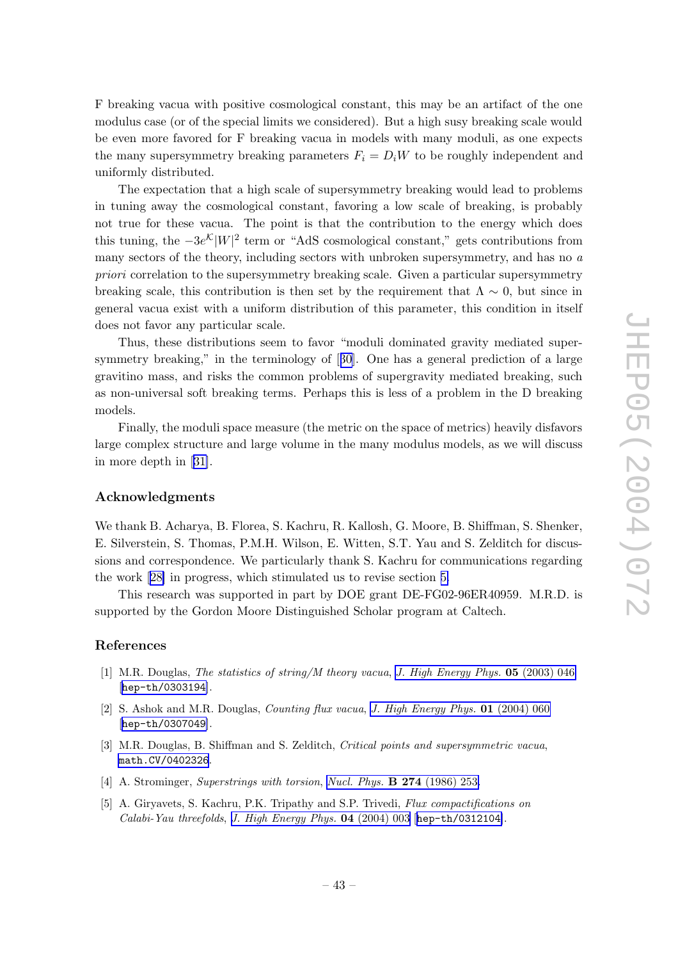<span id="page-43-0"></span>F breaking vacua with positiv e cosmological constant, this may b e an artifact of the one modulus case (or of the special limits w e considered). But a high susy breaking scale would b e even more favored for F breaking vacua in models with man y moduli, as one expects the many supersymmetry breaking parameters  $F_i = D_i W$  to be roughly independent and uniformly distributed.

The expectation that a high scale of supersymmetry breaking would lead to problems in tuning aw ay the cosmological constant, favoring a lo w scale of breaking, is probably not true for these vacua. The point is that the contribution to the energy which does this tuning, the  $-3e^{\mathcal{K}}|W|^2$  term or "AdS cosmological constant," gets contributions from man y sectors of the theory , including sectors with unbroken supersymmetry , and has no a priori correlation to the supersymmetry breaking scale. Given a particular supersymmetry breaking scale, this contribution is then set by the requirement that  $\Lambda \sim 0$ , but since in general vacua exist with a uniform distribution of this parameter, this condition in itself does not favor an y particular scale.

Thus, these distributions seem to favor "moduli dominated gravity mediated super-symmetry breaking," in the terminology of [[30](#page-45-0)]. One has a general prediction of a large gravitino mass, and risks the common problems of supergravit y mediated breaking, suc h as non-universal soft breaking terms. Perhaps this is less of a problem in the D breaking models.

Finally , the moduli space measure (the metric on the space of metrics) heavily disfavors large complex structure and large volume in the man y modulus models, as w e will discuss in more depth in [[31\]](#page-45-0).

#### Acknowledgments

We thank B. Acharya, B. Florea, S. Kachru, R. Kallosh, G. Moore, B. Shiffman, S. Shenker, E. Silverstein, S. Thomas, P.M.H. Wilson, E. Witten, S.T. Yau and S. Zelditc h for discussions and correspondence. We particularly thank S. Kachru for communications regarding the work [[28](#page-44-0) ] in progress, whic h stimulated us to revise section [5](#page-36-0) .

This researc h was supported in part b y DOE gran t DE-FG02-96ER40959. M.R.D. is supported b y the Gordon Moore Distinguished Scholar program at Caltech.

### References

- [1] M.R. Douglas, The statistics of string/M theory vacua, J. High [Energy](http://jhep.sissa.it/stdsearch?paper=05%282003%29046) Phys.  $05$  (2003) 046 [[hep-th/0303194](http://xxx.lanl.gov/abs/hep-th/0303194)].
- [2] S. Ashok and M.R. Douglas, *Counting flux vacua, J. High [Energy](http://jhep.sissa.it/stdsearch?paper=01%282004%29060) Phys.*  $01$  (2004) 060 [[hep-th/0307049](http://xxx.lanl.gov/abs/hep-th/0307049)].
- [3] M.R. Douglas, B. Shiffman and S. Zelditch, *Critical points and supersymmetric vacua*, [math.CV/0402326](http://xxx.lanl.gov/abs/math.CV/0402326) .
- [4] A. Strominger, Superstrings with torsion, Nucl. Phys. **B 274** [\(1986\)](http://www-spires.slac.stanford.edu/spires/find/hep/www?j=NUPHA%2CB274%2C253) 253.
- [5] A. Giryavets, S. Kachru, P.K. Tripathy and S.P. Trivedi, Flux compactifications on Calabi-Yau threefolds, J. High [Energy](http://jhep.sissa.it/stdsearch?paper=04%282004%29003) Phys. 04 (2004) 003 [[hep-th/0312104](http://xxx.lanl.gov/abs/hep-th/0312104)].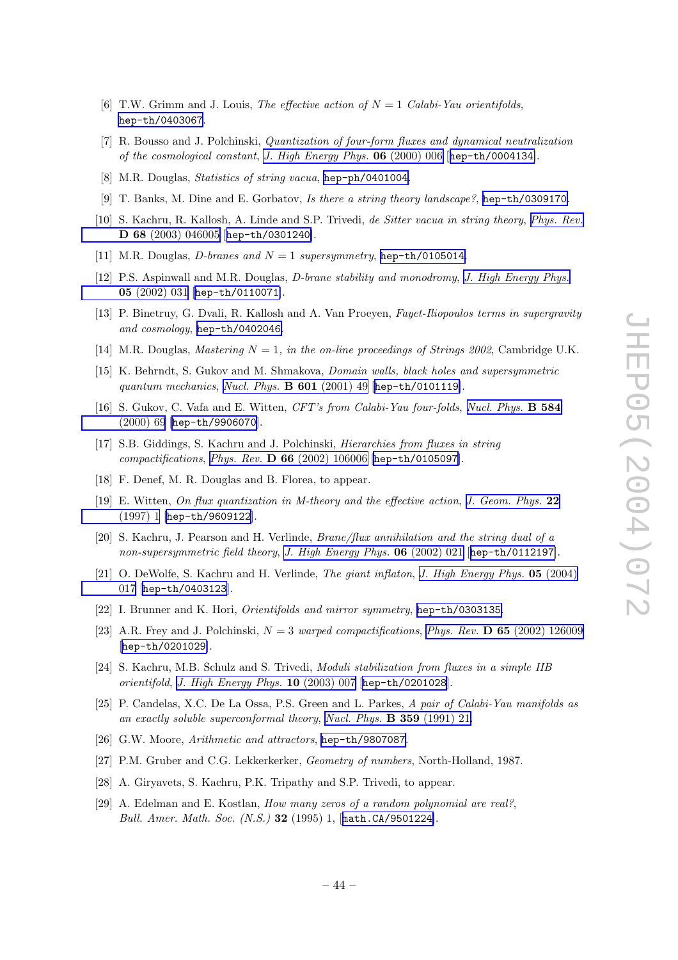- <span id="page-44-0"></span>[6] T.W. Grimm and J. Louis, The effective action of  $N = 1$  Calabi-Yau orientifolds, [hep-th/0403067](http://xxx.lanl.gov/abs/hep-th/0403067) .
- [7] R. Bousso and J. Polchinski, Quantization of four-form fluxes and dynamical neutralization of the cosmological constant , J. High [Energy](http://jhep.sissa.it/stdsearch?paper=06%282000%29006) Phys. 06 (2000) 006 [[hep-th/0004134](http://xxx.lanl.gov/abs/hep-th/0004134)].
- [8] M.R. Douglas, Statistics of string vacua, [hep-ph/0401004](http://xxx.lanl.gov/abs/hep-ph/0401004).
- [9] T. Banks, M. Dine and E. Gorbatov, Is there a string theory landscape?, [hep-th/0309170](http://xxx.lanl.gov/abs/hep-th/0309170).
- [10] S. Kachru, R. Kallosh, A. Linde and S.P. Trivedi, de Sitter vacua in string theory, [Phys.](http://www-spires.slac.stanford.edu/spires/find/hep/www?j=PHRVA%2CD68%2C046005) Rev. D 68 (2003) [046005](http://www-spires.slac.stanford.edu/spires/find/hep/www?j=PHRVA%2CD68%2C046005) [[hep-th/0301240](http://xxx.lanl.gov/abs/hep-th/0301240)].
- [11] M.R. Douglas, *D*-branes and  $N = 1$  supersymmetry, [hep-th/0105014](http://xxx.lanl.gov/abs/hep-th/0105014).
- [12] P.S. Aspinwall and M.R. Douglas, *D-brane stability and monodromy*, *J. High [Energy](http://jhep.sissa.it/stdsearch?paper=05%282002%29031) Phys.* 05 [\(2002\)](http://jhep.sissa.it/stdsearch?paper=05%282002%29031) 031 [[hep-th/0110071](http://xxx.lanl.gov/abs/hep-th/0110071)].
- [13] P. Binetruy, G. Dvali, R. Kallosh and A. Van Proeyen, Fayet-Iliopoulos terms in supergravity and cosmology, [hep-th/0402046](http://xxx.lanl.gov/abs/hep-th/0402046).
- [14] M.R. Douglas, *Mastering*  $N = 1$ , in the on-line proceedings of Strings 2002, Cambridge U.K.
- [15] K. Behrndt, S. Gukov and M. Shmakova, *Domain walls, black holes and supersymmetric* quantum mechanics, Nucl. Phys. **B 601** [\(2001\)](http://www-spires.slac.stanford.edu/spires/find/hep/www?j=NUPHA%2CB601%2C49) 49 [[hep-th/0101119](http://xxx.lanl.gov/abs/hep-th/0101119)].
- [16] S. Gukov, C. Vafa and E. Witten, CFT's from Calabi-Yau four-folds, Nucl. [Phys.](http://www-spires.slac.stanford.edu/spires/find/hep/www?j=NUPHA%2CB584%2C69) **B 584** [\(2000\)](http://www-spires.slac.stanford.edu/spires/find/hep/www?j=NUPHA%2CB584%2C69) 69 [[hep-th/9906070](http://xxx.lanl.gov/abs/hep-th/9906070)].
- [17] S.B. Giddings, S. Kachru and J. Polchinski, Hierarchies from fluxes in string compactifications, Phys. Rev. D 66 (2002) [106006](http://www-spires.slac.stanford.edu/spires/find/hep/www?j=PHRVA%2CD66%2C106006) [[hep-th/0105097](http://xxx.lanl.gov/abs/hep-th/0105097)].
- [18] F. Denef, M. R. Douglas and B. Florea, to appear.
- [19] E. Witten, On flux quantization in M-theory and the effective action, J. [Geom.](http://www-spires.slac.stanford.edu/spires/find/hep/www?j=JGPHE%2C22%2C1) Phys. 22 [\(1997\)](http://www-spires.slac.stanford.edu/spires/find/hep/www?j=JGPHE%2C22%2C1) 1 [[hep-th/9609122](http://xxx.lanl.gov/abs/hep-th/9609122)].
- [20] S. Kachru, J. Pearson and H. Verlinde, *Brane/flux annihilation and the string dual of a* non-supersymmetric field theory, J. High [Energy](http://jhep.sissa.it/stdsearch?paper=06%282002%29021) Phys. 06 (2002) 021 [[hep-th/0112197](http://xxx.lanl.gov/abs/hep-th/0112197)].
- [21] O. DeWolfe, S. Kachru and H. Verlinde, *The giant inflaton*, *J. High [Energy](http://jhep.sissa.it/stdsearch?paper=05%282004%29017) Phys.* **05** (2004) [017](http://jhep.sissa.it/stdsearch?paper=05%282004%29017) [[hep-th/0403123](http://xxx.lanl.gov/abs/hep-th/0403123)].
- [22] I. Brunner and K. Hori, Orientifolds and mirror symmetry, [hep-th/0303135](http://xxx.lanl.gov/abs/hep-th/0303135).
- [23] A.R. Frey and J. Polchinski,  $N = 3$  warped compactifications, Phys. Rev. D 65 (2002) [126009](http://www-spires.slac.stanford.edu/spires/find/hep/www?j=PHRVA%2CD65%2C126009) [[hep-th/0201029](http://xxx.lanl.gov/abs/hep-th/0201029)].
- [24] S. Kachru, M.B. Schulz and S. Trivedi, *Moduli stabilization from fluxes in a simple IIB* orientifold, J. High [Energy](http://jhep.sissa.it/stdsearch?paper=10%282003%29007) Phys. 10 (2003) 007 [[hep-th/0201028](http://xxx.lanl.gov/abs/hep-th/0201028)].
- [25] P. Candelas, X.C. De La Ossa, P.S. Green and L. Parkes, A pair of Calabi-Yau manifolds as an exactly soluble superconformal theory, Nucl. Phys. **B 359** [\(1991\)](http://www-spires.slac.stanford.edu/spires/find/hep/www?j=NUPHA%2CB359%2C21) 21.
- [26] G.W. Moore, Arithmetic and attractors, [hep-th/9807087](http://xxx.lanl.gov/abs/hep-th/9807087).
- [27] P.M. Gruber and C.G. Lekkerkerker, *Geometry of numbers*, North-Holland, 1987.
- [28] A. Giryavets, S. Kachru, P.K. Tripathy and S.P. Trivedi, to appear.
- [29] A. Edelman and E. Kostlan, *How many zeros of a random polynomial are real?*, Bull. Amer. Math. Soc. (N.S.) 32 (1995) 1, [[math.CA/9501224](http://xxx.lanl.gov/abs/math.CA/9501224)].